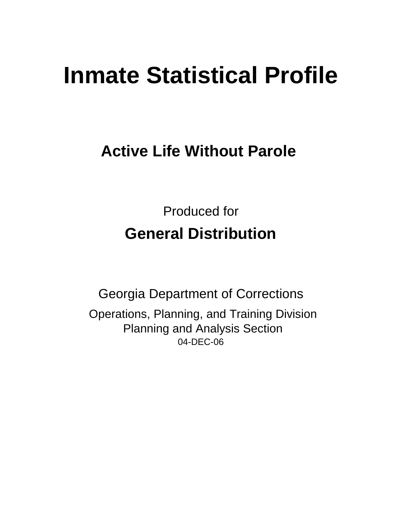# **Inmate Statistical Profile**

## **Active Life Without Parole**

Produced for **General Distribution**

04-DEC-06 Georgia Department of Corrections Operations, Planning, and Training Division Planning and Analysis Section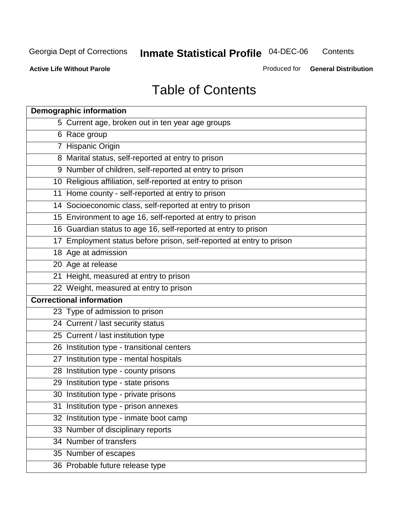**Contents** 

**Active Life Without Parole** 

Produced for **General Distribution**

## Table of Contents

| <b>Demographic information</b>                                       |
|----------------------------------------------------------------------|
| 5 Current age, broken out in ten year age groups                     |
| 6 Race group                                                         |
| 7 Hispanic Origin                                                    |
| 8 Marital status, self-reported at entry to prison                   |
| 9 Number of children, self-reported at entry to prison               |
| 10 Religious affiliation, self-reported at entry to prison           |
| 11 Home county - self-reported at entry to prison                    |
| 14 Socioeconomic class, self-reported at entry to prison             |
| 15 Environment to age 16, self-reported at entry to prison           |
| 16 Guardian status to age 16, self-reported at entry to prison       |
| 17 Employment status before prison, self-reported at entry to prison |
| 18 Age at admission                                                  |
| 20 Age at release                                                    |
| 21 Height, measured at entry to prison                               |
| 22 Weight, measured at entry to prison                               |
| <b>Correctional information</b>                                      |
| 23 Type of admission to prison                                       |
| 24 Current / last security status                                    |
| 25 Current / last institution type                                   |
| 26 Institution type - transitional centers                           |
| 27 Institution type - mental hospitals                               |
| 28 Institution type - county prisons                                 |
| 29 Institution type - state prisons                                  |
| 30 Institution type - private prisons                                |
| 31 Institution type - prison annexes                                 |
| 32 Institution type - inmate boot camp                               |
| 33 Number of disciplinary reports                                    |
| 34 Number of transfers                                               |
| 35 Number of escapes                                                 |
| 36 Probable future release type                                      |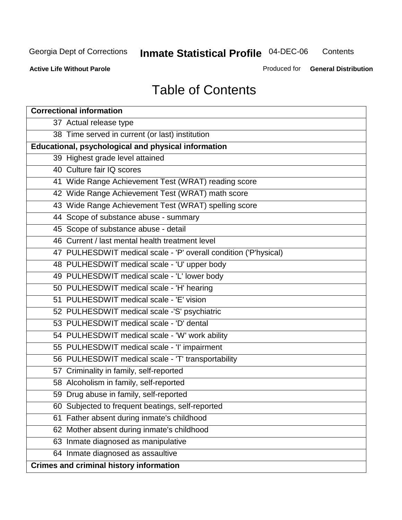**Contents** 

**Active Life Without Parole** 

Produced for **General Distribution**

## Table of Contents

| <b>Correctional information</b>                                  |
|------------------------------------------------------------------|
| 37 Actual release type                                           |
| 38 Time served in current (or last) institution                  |
| <b>Educational, psychological and physical information</b>       |
| 39 Highest grade level attained                                  |
| 40 Culture fair IQ scores                                        |
| 41 Wide Range Achievement Test (WRAT) reading score              |
| 42 Wide Range Achievement Test (WRAT) math score                 |
| 43 Wide Range Achievement Test (WRAT) spelling score             |
| 44 Scope of substance abuse - summary                            |
| 45 Scope of substance abuse - detail                             |
| 46 Current / last mental health treatment level                  |
| 47 PULHESDWIT medical scale - 'P' overall condition ('P'hysical) |
| 48 PULHESDWIT medical scale - 'U' upper body                     |
| 49 PULHESDWIT medical scale - 'L' lower body                     |
| 50 PULHESDWIT medical scale - 'H' hearing                        |
| 51 PULHESDWIT medical scale - 'E' vision                         |
| 52 PULHESDWIT medical scale -'S' psychiatric                     |
| 53 PULHESDWIT medical scale - 'D' dental                         |
| 54 PULHESDWIT medical scale - 'W' work ability                   |
| 55 PULHESDWIT medical scale - 'I' impairment                     |
| 56 PULHESDWIT medical scale - 'T' transportability               |
| 57 Criminality in family, self-reported                          |
| 58 Alcoholism in family, self-reported                           |
| 59 Drug abuse in family, self-reported                           |
| 60 Subjected to frequent beatings, self-reported                 |
| Father absent during inmate's childhood<br>61                    |
| 62 Mother absent during inmate's childhood                       |
| 63 Inmate diagnosed as manipulative                              |
| 64 Inmate diagnosed as assaultive                                |
| <b>Crimes and criminal history information</b>                   |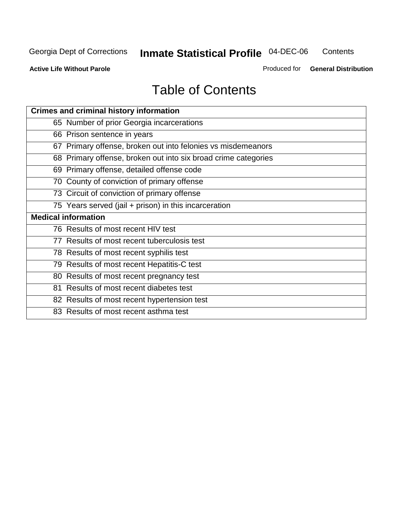**Contents** 

**Active Life Without Parole** 

Produced for **General Distribution**

## Table of Contents

| <b>Crimes and criminal history information</b>                 |
|----------------------------------------------------------------|
| 65 Number of prior Georgia incarcerations                      |
| 66 Prison sentence in years                                    |
| 67 Primary offense, broken out into felonies vs misdemeanors   |
| 68 Primary offense, broken out into six broad crime categories |
| 69 Primary offense, detailed offense code                      |
| 70 County of conviction of primary offense                     |
| 73 Circuit of conviction of primary offense                    |
| 75 Years served (jail + prison) in this incarceration          |
| <b>Medical information</b>                                     |
|                                                                |
| 76 Results of most recent HIV test                             |
| 77 Results of most recent tuberculosis test                    |
| 78 Results of most recent syphilis test                        |
| 79 Results of most recent Hepatitis-C test                     |
| 80 Results of most recent pregnancy test                       |
| 81 Results of most recent diabetes test                        |
| 82 Results of most recent hypertension test                    |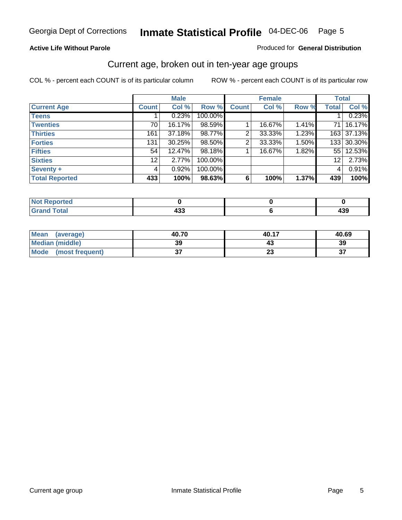#### **Active Life Without Parole**

#### Produced for **General Distribution**

#### Current age, broken out in ten-year age groups

|                       |              | <b>Male</b> |         |              | <b>Female</b> |       |                 | <b>Total</b> |
|-----------------------|--------------|-------------|---------|--------------|---------------|-------|-----------------|--------------|
| <b>Current Age</b>    | <b>Count</b> | Col %       | Row %   | <b>Count</b> | Col %         | Row % | <b>Total</b>    | Col %        |
| <b>Teens</b>          |              | 0.23%       | 100.00% |              |               |       |                 | 0.23%        |
| <b>Twenties</b>       | 70           | 16.17%      | 98.59%  |              | 16.67%        | 1.41% | 71 I            | 16.17%       |
| <b>Thirties</b>       | 161          | 37.18%      | 98.77%  | 2            | 33.33%        | 1.23% |                 | 163 37.13%   |
| <b>Forties</b>        | 131          | 30.25%      | 98.50%  | 2            | 33.33%        | 1.50% | 133             | 30.30%       |
| <b>Fifties</b>        | 54           | 12.47%      | 98.18%  |              | 16.67%        | 1.82% | 551             | 12.53%       |
| <b>Sixties</b>        | 12           | 2.77%       | 100.00% |              |               |       | 12 <sup>2</sup> | 2.73%        |
| Seventy +             | 4            | 0.92%       | 100.00% |              |               |       | 4               | 0.91%        |
| <b>Total Reported</b> | 433          | 100%        | 98.63%  | 6            | 100%          | 1.37% | 439             | 100%         |

| i Alba<br>المتسابقين<br>τeα<br>w |     |             |
|----------------------------------|-----|-------------|
| T <sub>of</sub><br><b>CHAM</b>   | 100 | "^^<br>-137 |

| <b>Mean</b><br>(average) | 40.70     | 40.17                | 40.69  |
|--------------------------|-----------|----------------------|--------|
| Median (middle)          | 39        |                      | 39     |
| Mode<br>(most frequent)  | ^-<br>ا پ | $\ddot{\phantom{0}}$ | ^<br>ູ |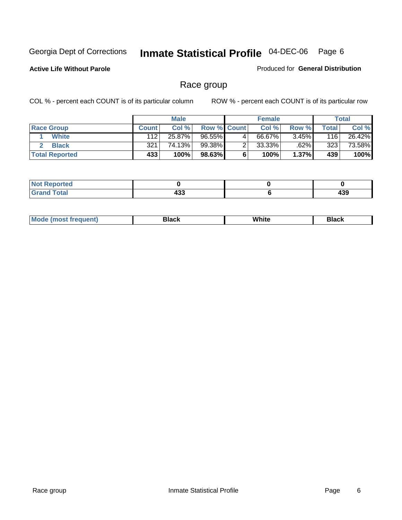**Active Life Without Parole** 

Produced for **General Distribution**

#### Race group

|                       |              | <b>Male</b> |                    |   | <b>Female</b> |       |       | <b>Total</b> |
|-----------------------|--------------|-------------|--------------------|---|---------------|-------|-------|--------------|
| <b>Race Group</b>     | <b>Count</b> | Col %       | <b>Row % Count</b> |   | Col %         | Row % | Total | Col %        |
| <b>White</b>          | 112          | 25.87%      | 96.55%             | 4 | 66.67%        | 3.45% | 116   | 26.42%       |
| <b>Black</b>          | 321          | 74.13%      | 99.38%             |   | 33.33%        | .62%  | 323   | 73.58%       |
| <b>Total Reported</b> | 433          | 100%        | 98.63%             |   | 100%          | 1.37% | 439   | 100%         |

| eported                   |                    |           |
|---------------------------|--------------------|-----------|
| $int^{\bullet}$<br>ı ulal | 499<br>400<br>$ -$ | "^<br>493 |

| $^1$ Mo. | Rlack | White | 3lack |
|----------|-------|-------|-------|
| .        |       |       |       |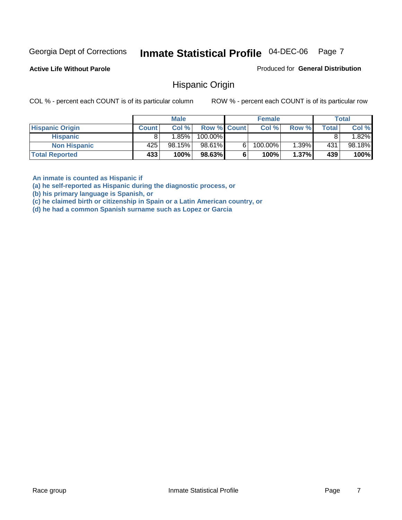**Active Life Without Parole** 

Produced for **General Distribution**

#### Hispanic Origin

COL % - percent each COUNT is of its particular column ROW % - percent each COUNT is of its particular row

|                        |              | <b>Male</b> |                    |   | <b>Female</b> |          |       | <b>Total</b> |
|------------------------|--------------|-------------|--------------------|---|---------------|----------|-------|--------------|
| <b>Hispanic Origin</b> | <b>Count</b> | Col%        | <b>Row % Count</b> |   | Col %         | Row %    | Total | Col %        |
| <b>Hispanic</b>        |              | 1.85%       | 100.00%            |   |               |          |       | $.82\%$      |
| <b>Non Hispanic</b>    | 425          | 98.15%      | 98.61%             | 6 | 100.00%       | $1.39\%$ | 431   | 98.18%       |
| <b>Total Reported</b>  | 433'         | 100%        | 98.63%             |   | 100%          | 1.37%    | 439   | 100%         |

**An inmate is counted as Hispanic if** 

**(a) he self-reported as Hispanic during the diagnostic process, or** 

**(b) his primary language is Spanish, or** 

**(c) he claimed birth or citizenship in Spain or a Latin American country, or** 

**(d) he had a common Spanish surname such as Lopez or Garcia**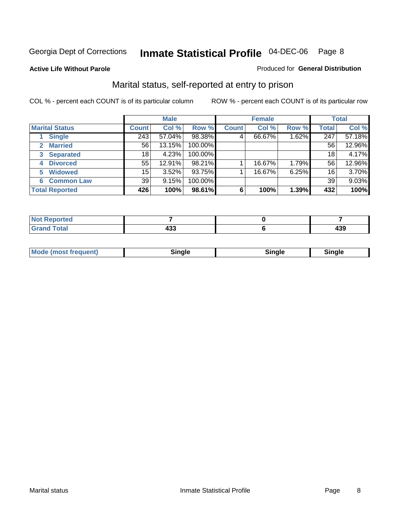#### **Active Life Without Parole**

#### Produced for **General Distribution**

#### Marital status, self-reported at entry to prison

|                        | <b>Male</b>  |        |         | <b>Female</b> |        |       | <b>Total</b> |        |
|------------------------|--------------|--------|---------|---------------|--------|-------|--------------|--------|
| <b>Marital Status</b>  | <b>Count</b> | Col %  | Row %   | <b>Count</b>  | Col %  | Row % | <b>Total</b> | Col %  |
| <b>Single</b>          | 243          | 57.04% | 98.38%  | 4             | 66.67% | 1.62% | 247          | 57.18% |
| <b>Married</b><br>2    | 56           | 13.15% | 100.00% |               |        |       | 56           | 12.96% |
| <b>Separated</b><br>3  | 18           | 4.23%  | 100.00% |               |        |       | 18           | 4.17%  |
| <b>Divorced</b><br>4   | 55           | 12.91% | 98.21%  |               | 16.67% | 1.79% | 56           | 12.96% |
| <b>Widowed</b><br>5    | 15           | 3.52%  | 93.75%  |               | 16.67% | 6.25% | 16           | 3.70%  |
| <b>Common Law</b><br>6 | 39           | 9.15%  | 100.00% |               |        |       | 39           | 9.03%  |
| <b>Total Reported</b>  | 426          | 100%   | 98.61%  | 6             | 100%   | 1.39% | 432          | 100%   |

| المنتصب المتعاد<br>пео    |     |        |
|---------------------------|-----|--------|
| $f = f$<br>C <sub>r</sub> | 100 | <br>᠇ᡂ |

| <b>Mode (most frequent)</b><br>Sinale<br>≒ınale |
|-------------------------------------------------|
|-------------------------------------------------|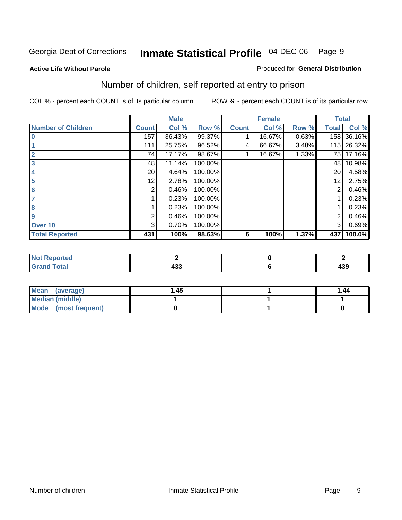#### **Active Life Without Parole**

#### Produced for **General Distribution**

## Number of children, self reported at entry to prison

|                           |              | <b>Male</b> |         |              | <b>Female</b> |       | <b>Total</b> |        |
|---------------------------|--------------|-------------|---------|--------------|---------------|-------|--------------|--------|
| <b>Number of Children</b> | <b>Count</b> | Col %       | Row %   | <b>Count</b> | Col %         | Row % | <b>Total</b> | Col %  |
| $\bf{0}$                  | 157          | 36.43%      | 99.37%  |              | 16.67%        | 0.63% | 158          | 36.16% |
|                           | 111          | 25.75%      | 96.52%  | 4            | 66.67%        | 3.48% | 115          | 26.32% |
| $\overline{2}$            | 74           | 17.17%      | 98.67%  |              | 16.67%        | 1.33% | 75 l         | 17.16% |
| 3                         | 48           | 11.14%      | 100.00% |              |               |       | 48           | 10.98% |
| 4                         | 20           | 4.64%       | 100.00% |              |               |       | 20           | 4.58%  |
| 5                         | 12.          | 2.78%       | 100.00% |              |               |       | 12           | 2.75%  |
| 6                         | 2            | 0.46%       | 100.00% |              |               |       | 2            | 0.46%  |
|                           |              | 0.23%       | 100.00% |              |               |       |              | 0.23%  |
| 8                         |              | 0.23%       | 100.00% |              |               |       |              | 0.23%  |
| 9                         | 2            | 0.46%       | 100.00% |              |               |       | 2            | 0.46%  |
| Over 10                   | 3            | 0.70%       | 100.00% |              |               |       | 3            | 0.69%  |
| <b>Total Reported</b>     | 431          | 100%        | 98.63%  | 6            | 100%          | 1.37% | 437          | 100.0% |

| n eo                   |            |     |
|------------------------|------------|-----|
| <b>c</b> ota<br>$\sim$ | ,,,<br>400 | 439 |

| <b>Mean</b><br>(average) | 45. ا | 1.44 |
|--------------------------|-------|------|
| <b>Median (middle)</b>   |       |      |
| Mode (most frequent)     |       |      |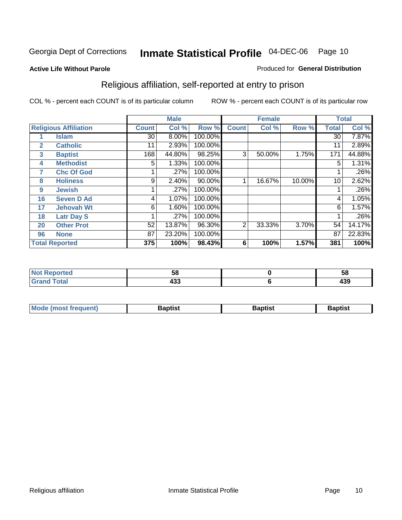#### **Active Life Without Parole**

#### Produced for **General Distribution**

## Religious affiliation, self-reported at entry to prison

|              |                              |                 | <b>Male</b> |         |              | <b>Female</b> |        |              | <b>Total</b> |
|--------------|------------------------------|-----------------|-------------|---------|--------------|---------------|--------|--------------|--------------|
|              | <b>Religious Affiliation</b> | <b>Count</b>    | Col %       | Row %   | <b>Count</b> | Col %         | Row %  | <b>Total</b> | Col %        |
|              | <b>Islam</b>                 | 30 <sup>2</sup> | 8.00%       | 100.00% |              |               |        | 30           | 7.87%        |
| $\mathbf{2}$ | <b>Catholic</b>              | 11              | 2.93%       | 100.00% |              |               |        | 11           | 2.89%        |
| 3            | <b>Baptist</b>               | 168             | 44.80%      | 98.25%  | 3            | 50.00%        | 1.75%  | 171          | 44.88%       |
| 4            | <b>Methodist</b>             | 5               | 1.33%       | 100.00% |              |               |        | 5            | 1.31%        |
| 7            | <b>Chc Of God</b>            |                 | .27%        | 100.00% |              |               |        |              | .26%         |
| 8            | <b>Holiness</b>              | 9               | 2.40%       | 90.00%  |              | 16.67%        | 10.00% | 10           | 2.62%        |
| 9            | <b>Jewish</b>                |                 | .27%        | 100.00% |              |               |        |              | .26%         |
| 16           | <b>Seven D Ad</b>            | 4               | 1.07%       | 100.00% |              |               |        | 4            | 1.05%        |
| 17           | <b>Jehovah Wt</b>            | 6               | 1.60%       | 100.00% |              |               |        | 6            | 1.57%        |
| 18           | <b>Latr Day S</b>            |                 | .27%        | 100.00% |              |               |        |              | .26%         |
| 20           | <b>Other Prot</b>            | 52              | 13.87%      | 96.30%  | 2            | 33.33%        | 3.70%  | 54           | 14.17%       |
| 96           | <b>None</b>                  | 87              | 23.20%      | 100.00% |              |               |        | 87           | 22.83%       |
|              | <b>Total Reported</b>        | 375             | 100%        | 98.43%  | 6            | 100%          | 1.57%  | 381          | 100%         |

| <b>rted</b> | --<br>Ju    | ູບດ        |
|-------------|-------------|------------|
| <b>otal</b> | ,,,<br>້າບພ | 400<br>495 |

| ' Mo<br>went | <b>}aptist</b> | Baptist<br>$ -$ | <b>Baptist</b> |
|--------------|----------------|-----------------|----------------|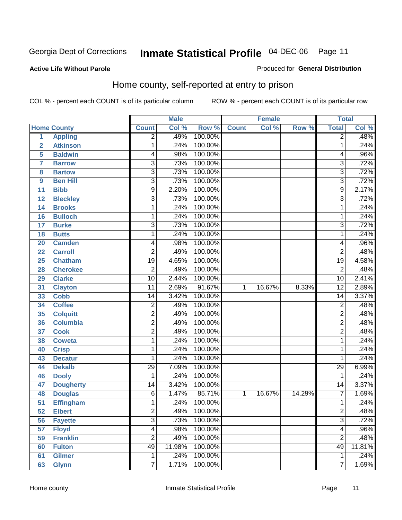#### **Active Life Without Parole**

#### Produced for **General Distribution**

#### Home county, self-reported at entry to prison

|                 |                    |                         | <b>Male</b> |         |              | <b>Female</b> |        | <b>Total</b>    |        |
|-----------------|--------------------|-------------------------|-------------|---------|--------------|---------------|--------|-----------------|--------|
|                 | <b>Home County</b> | <b>Count</b>            | Col %       | Row %   | <b>Count</b> | Col %         | Row %  | <b>Total</b>    | CoI%   |
| $\overline{1}$  | <b>Appling</b>     | $\overline{2}$          | .49%        | 100.00% |              |               |        | $\overline{2}$  | .48%   |
| $\overline{2}$  | <b>Atkinson</b>    | 1                       | .24%        | 100.00% |              |               |        | 1               | .24%   |
| 5               | <b>Baldwin</b>     | 4                       | .98%        | 100.00% |              |               |        | 4               | .96%   |
| 7               | <b>Barrow</b>      | $\overline{3}$          | .73%        | 100.00% |              |               |        | $\overline{3}$  | .72%   |
| 8               | <b>Bartow</b>      | $\overline{3}$          | .73%        | 100.00% |              |               |        | $\overline{3}$  | .72%   |
| 9               | <b>Ben Hill</b>    | 3                       | .73%        | 100.00% |              |               |        | $\overline{3}$  | .72%   |
| 11              | <b>Bibb</b>        | $\overline{9}$          | 2.20%       | 100.00% |              |               |        | 9               | 2.17%  |
| 12              | <b>Bleckley</b>    | $\overline{3}$          | .73%        | 100.00% |              |               |        | $\overline{3}$  | .72%   |
| 14              | <b>Brooks</b>      | 1                       | .24%        | 100.00% |              |               |        | 1               | .24%   |
| 16              | <b>Bulloch</b>     | 1                       | .24%        | 100.00% |              |               |        | 1               | .24%   |
| 17              | <b>Burke</b>       | $\overline{3}$          | .73%        | 100.00% |              |               |        | $\overline{3}$  | .72%   |
| 18              | <b>Butts</b>       | 1                       | .24%        | 100.00% |              |               |        | 1               | .24%   |
| 20              | <b>Camden</b>      | 4                       | .98%        | 100.00% |              |               |        | 4               | .96%   |
| 22              | <b>Carroll</b>     | $\overline{2}$          | .49%        | 100.00% |              |               |        | $\overline{2}$  | .48%   |
| 25              | <b>Chatham</b>     | $\overline{19}$         | 4.65%       | 100.00% |              |               |        | $\overline{19}$ | 4.58%  |
| 28              | <b>Cherokee</b>    | 2                       | .49%        | 100.00% |              |               |        | $\overline{2}$  | .48%   |
| 29              | <b>Clarke</b>      | 10                      | 2.44%       | 100.00% |              |               |        | $\overline{10}$ | 2.41%  |
| 31              | <b>Clayton</b>     | 11                      | 2.69%       | 91.67%  | 1            | 16.67%        | 8.33%  | $\overline{12}$ | 2.89%  |
| 33              | <b>Cobb</b>        | 14                      | 3.42%       | 100.00% |              |               |        | 14              | 3.37%  |
| 34              | <b>Coffee</b>      | $\overline{\mathbf{c}}$ | .49%        | 100.00% |              |               |        | $\overline{2}$  | .48%   |
| 35              | <b>Colquitt</b>    | $\overline{\mathbf{c}}$ | .49%        | 100.00% |              |               |        | $\overline{2}$  | .48%   |
| 36              | <b>Columbia</b>    | $\overline{2}$          | .49%        | 100.00% |              |               |        | $\overline{2}$  | .48%   |
| 37              | <b>Cook</b>        | $\overline{\mathbf{c}}$ | .49%        | 100.00% |              |               |        | $\overline{2}$  | .48%   |
| 38              | <b>Coweta</b>      | 1                       | .24%        | 100.00% |              |               |        | 1               | .24%   |
| 40              | <b>Crisp</b>       | 1                       | .24%        | 100.00% |              |               |        | 1               | .24%   |
| 43              | <b>Decatur</b>     | 1                       | .24%        | 100.00% |              |               |        | 1               | .24%   |
| 44              | <b>Dekalb</b>      | $\overline{29}$         | 7.09%       | 100.00% |              |               |        | $\overline{29}$ | 6.99%  |
| 46              | <b>Dooly</b>       | 1                       | .24%        | 100.00% |              |               |        | 1               | .24%   |
| 47              | <b>Dougherty</b>   | 14                      | 3.42%       | 100.00% |              |               |        | $\overline{14}$ | 3.37%  |
| 48              | <b>Douglas</b>     | $\overline{6}$          | 1.47%       | 85.71%  | $\mathbf{1}$ | 16.67%        | 14.29% | $\overline{7}$  | 1.69%  |
| $\overline{51}$ | <b>Effingham</b>   | 1                       | .24%        | 100.00% |              |               |        | 1               | .24%   |
| 52              | <b>Elbert</b>      | $\overline{\mathbf{c}}$ | .49%        | 100.00% |              |               |        | $\overline{c}$  | .48%   |
| 56              | <b>Fayette</b>     | $\overline{3}$          | .73%        | 100.00% |              |               |        | $\overline{3}$  | .72%   |
| 57              | <b>Floyd</b>       | 4                       | .98%        | 100.00% |              |               |        | 4               | .96%   |
| 59              | <b>Franklin</b>    | $\overline{2}$          | .49%        | 100.00% |              |               |        | $\overline{2}$  | .48%   |
| 60              | <b>Fulton</b>      | 49                      | 11.98%      | 100.00% |              |               |        | 49              | 11.81% |
| 61              | <b>Gilmer</b>      | 1                       | .24%        | 100.00% |              |               |        | 1               | .24%   |
| 63              | <b>Glynn</b>       | $\overline{7}$          | 1.71%       | 100.00% |              |               |        | $\overline{7}$  | 1.69%  |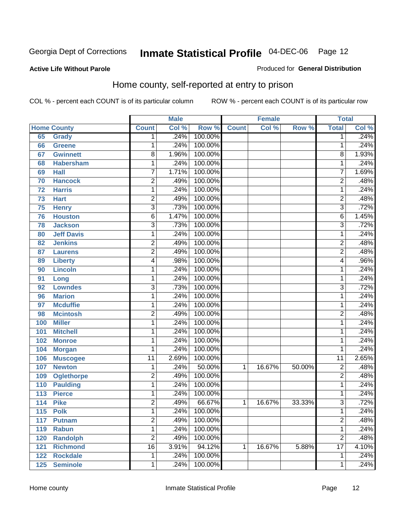#### **Active Life Without Parole**

#### Produced for **General Distribution**

#### Home county, self-reported at entry to prison

|     |                    |                 | <b>Male</b> |         |              | <b>Female</b> |        | <b>Total</b>    |       |
|-----|--------------------|-----------------|-------------|---------|--------------|---------------|--------|-----------------|-------|
|     | <b>Home County</b> | <b>Count</b>    | Col %       | Row %   | <b>Count</b> | Col %         | Row %  | <b>Total</b>    | Col % |
| 65  | <b>Grady</b>       | 1               | .24%        | 100.00% |              |               |        | 1               | .24%  |
| 66  | <b>Greene</b>      | 1               | .24%        | 100.00% |              |               |        | 1               | .24%  |
| 67  | <b>Gwinnett</b>    | 8               | 1.96%       | 100.00% |              |               |        | 8               | 1.93% |
| 68  | <b>Habersham</b>   | 1               | .24%        | 100.00% |              |               |        | 1               | .24%  |
| 69  | <b>Hall</b>        | 7               | 1.71%       | 100.00% |              |               |        | 7               | 1.69% |
| 70  | <b>Hancock</b>     | $\overline{2}$  | .49%        | 100.00% |              |               |        | $\overline{2}$  | .48%  |
| 72  | <b>Harris</b>      | 1               | .24%        | 100.00% |              |               |        | 1               | .24%  |
| 73  | <b>Hart</b>        | $\overline{2}$  | .49%        | 100.00% |              |               |        | $\overline{2}$  | .48%  |
| 75  | <b>Henry</b>       | 3               | .73%        | 100.00% |              |               |        | $\overline{3}$  | .72%  |
| 76  | <b>Houston</b>     | 6               | 1.47%       | 100.00% |              |               |        | 6               | 1.45% |
| 78  | <b>Jackson</b>     | 3               | .73%        | 100.00% |              |               |        | $\overline{3}$  | .72%  |
| 80  | <b>Jeff Davis</b>  | $\mathbf{1}$    | .24%        | 100.00% |              |               |        | 1               | .24%  |
| 82  | <b>Jenkins</b>     | 2               | .49%        | 100.00% |              |               |        | $\overline{c}$  | .48%  |
| 87  | <b>Laurens</b>     | $\overline{2}$  | .49%        | 100.00% |              |               |        | $\overline{2}$  | .48%  |
| 89  | <b>Liberty</b>     | 4               | .98%        | 100.00% |              |               |        | 4               | .96%  |
| 90  | <b>Lincoln</b>     | 1               | .24%        | 100.00% |              |               |        | 1               | .24%  |
| 91  | Long               | 1               | .24%        | 100.00% |              |               |        | 1               | .24%  |
| 92  | <b>Lowndes</b>     | $\overline{3}$  | .73%        | 100.00% |              |               |        | $\overline{3}$  | .72%  |
| 96  | <b>Marion</b>      | 1               | .24%        | 100.00% |              |               |        | 1               | .24%  |
| 97  | <b>Mcduffie</b>    | 1               | .24%        | 100.00% |              |               |        | 1               | .24%  |
| 98  | <b>Mcintosh</b>    | 2               | .49%        | 100.00% |              |               |        | $\overline{c}$  | .48%  |
| 100 | <b>Miller</b>      | 1               | .24%        | 100.00% |              |               |        | 1               | .24%  |
| 101 | <b>Mitchell</b>    | 1               | .24%        | 100.00% |              |               |        | 1               | .24%  |
| 102 | <b>Monroe</b>      | 1               | .24%        | 100.00% |              |               |        | 1               | .24%  |
| 104 | <b>Morgan</b>      | 1               | .24%        | 100.00% |              |               |        | 1               | .24%  |
| 106 | <b>Muscogee</b>    | $\overline{11}$ | 2.69%       | 100.00% |              |               |        | $\overline{11}$ | 2.65% |
| 107 | <b>Newton</b>      | 1               | .24%        | 50.00%  | 1            | 16.67%        | 50.00% | $\overline{2}$  | .48%  |
| 109 | <b>Oglethorpe</b>  | $\overline{2}$  | .49%        | 100.00% |              |               |        | $\overline{2}$  | .48%  |
| 110 | <b>Paulding</b>    | 1               | .24%        | 100.00% |              |               |        | 1               | .24%  |
| 113 | <b>Pierce</b>      | 1               | .24%        | 100.00% |              |               |        | 1               | .24%  |
| 114 | <b>Pike</b>        | 2               | .49%        | 66.67%  | 1            | 16.67%        | 33.33% | $\overline{3}$  | .72%  |
| 115 | <b>Polk</b>        | 1               | .24%        | 100.00% |              |               |        | 1               | .24%  |
| 117 | <b>Putnam</b>      | $\overline{2}$  | .49%        | 100.00% |              |               |        | $\overline{2}$  | .48%  |
| 119 | <b>Rabun</b>       | $\mathbf{1}$    | .24%        | 100.00% |              |               |        | 1               | .24%  |
| 120 | <b>Randolph</b>    | $\overline{2}$  | .49%        | 100.00% |              |               |        | $\overline{2}$  | .48%  |
| 121 | <b>Richmond</b>    | $\overline{16}$ | 3.91%       | 94.12%  | 1            | 16.67%        | 5.88%  | $\overline{17}$ | 4.10% |
| 122 | <b>Rockdale</b>    | 1               | .24%        | 100.00% |              |               |        | 1               | .24%  |
| 125 | <b>Seminole</b>    | 1               | .24%        | 100.00% |              |               |        | 1               | .24%  |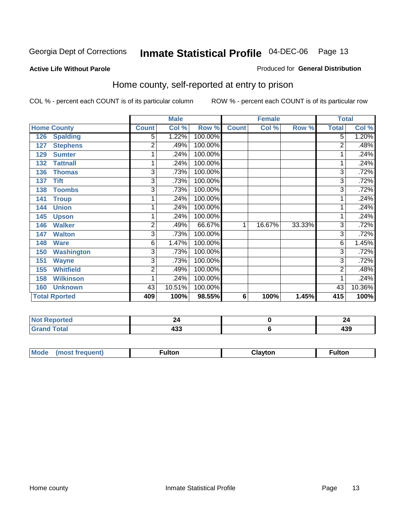#### **Active Life Without Parole**

#### Produced for **General Distribution**

#### Home county, self-reported at entry to prison

|                          |                         | <b>Male</b> |         | <b>Female</b>   |        |        | <b>Total</b> |        |
|--------------------------|-------------------------|-------------|---------|-----------------|--------|--------|--------------|--------|
| <b>Home County</b>       | <b>Count</b>            | Col %       | Row %   | <b>Count</b>    | Col %  | Row %  | <b>Total</b> | Col %  |
| <b>Spalding</b><br>126   | 5                       | 1.22%       | 100.00% |                 |        |        | 5            | 1.20%  |
| <b>Stephens</b><br>127   | 2                       | .49%        | 100.00% |                 |        |        | 2            | .48%   |
| <b>Sumter</b><br>129     | 1                       | .24%        | 100.00% |                 |        |        |              | .24%   |
| 132<br><b>Tattnall</b>   | 1                       | .24%        | 100.00% |                 |        |        |              | .24%   |
| 136<br><b>Thomas</b>     | 3                       | .73%        | 100.00% |                 |        |        | 3            | .72%   |
| <b>Tift</b><br>137       | 3                       | .73%        | 100.00% |                 |        |        | 3            | .72%   |
| <b>Toombs</b><br>138     | 3                       | .73%        | 100.00% |                 |        |        | 3            | .72%   |
| <b>Troup</b><br>141      |                         | .24%        | 100.00% |                 |        |        |              | .24%   |
| <b>Union</b><br>144      | 1                       | .24%        | 100.00% |                 |        |        |              | .24%   |
| 145<br><b>Upson</b>      | 1                       | .24%        | 100.00% |                 |        |        |              | .24%   |
| <b>Walker</b><br>146     | $\overline{2}$          | .49%        | 66.67%  | 1               | 16.67% | 33.33% | 3            | .72%   |
| 147<br><b>Walton</b>     | 3                       | .73%        | 100.00% |                 |        |        | 3            | .72%   |
| <b>Ware</b><br>148       | 6                       | 1.47%       | 100.00% |                 |        |        | 6            | 1.45%  |
| <b>Washington</b><br>150 | $\overline{3}$          | .73%        | 100.00% |                 |        |        | 3            | .72%   |
| <b>Wayne</b><br>151      | 3                       | .73%        | 100.00% |                 |        |        | 3            | .72%   |
| <b>Whitfield</b><br>155  | $\overline{\mathbf{c}}$ | .49%        | 100.00% |                 |        |        | 2            | .48%   |
| <b>Wilkinson</b><br>158  | 1                       | .24%        | 100.00% |                 |        |        |              | .24%   |
| <b>Unknown</b><br>160    | 43                      | 10.51%      | 100.00% |                 |        |        | 43           | 10.36% |
| <b>Total Rported</b>     | 409                     | 100%        | 98.55%  | $6\phantom{1}6$ | 100%   | 1.45%  | 415          | 100%   |

| <b>Not</b><br><b>eported</b> |        |     |
|------------------------------|--------|-----|
| <b>otal</b><br>Grar<br>_     | <br>__ | 700 |

| <b>Mode</b><br>$\cdots$ | TOT. | $ -$ | uiton |
|-------------------------|------|------|-------|
|                         |      |      |       |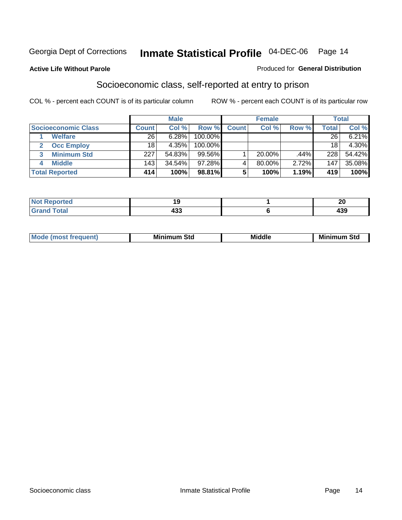#### **Active Life Without Parole**

#### Produced for **General Distribution**

#### Socioeconomic class, self-reported at entry to prison

|                            | <b>Male</b>  |        |         | <b>Female</b> |           |       | <b>Total</b>     |        |
|----------------------------|--------------|--------|---------|---------------|-----------|-------|------------------|--------|
| <b>Socioeconomic Class</b> | <b>Count</b> | Col %  | Row %   | <b>Count</b>  | Col %     | Row % | Total            | Col %  |
| <b>Welfare</b>             | 26           | 6.28%  | 100.00% |               |           |       | 26               | 6.21%  |
| <b>Occ Employ</b>          | 18           | 4.35%  | 100.00% |               |           |       | 18               | 4.30%  |
| <b>Minimum Std</b>         | 227          | 54.83% | 99.56%  |               | $20.00\%$ | .44%  | 228              | 54.42% |
| <b>Middle</b>              | 143          | 34.54% | 97.28%I |               | 80.00%    | 2.72% | 147 <sub>1</sub> | 35.08% |
| <b>Total Reported</b>      | 414          | 100%   | 98.81%  |               | 100%      | 1.19% | 419              | 100%   |

| <b>rtea</b>                                      | . .      |     |
|--------------------------------------------------|----------|-----|
| $f \wedge f \wedge f$<br>. Gre<br>υιαι<br>$\sim$ | .<br>400 | 439 |

| .<br>___ |
|----------|
|----------|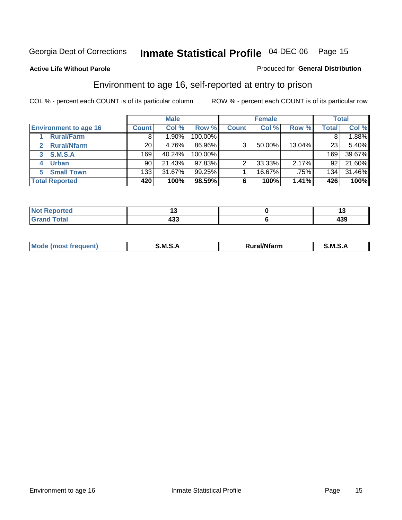Produced for **General Distribution**

#### **Active Life Without Parole**

#### Environment to age 16, self-reported at entry to prison

|                              |              | <b>Male</b> |         |              | <b>Female</b> |        |       | <b>Total</b> |
|------------------------------|--------------|-------------|---------|--------------|---------------|--------|-------|--------------|
| <b>Environment to age 16</b> | <b>Count</b> | Col %       | Row %   | <b>Count</b> | Col %         | Row %  | Total | Col %        |
| <b>Rural/Farm</b>            | 8            | .90%        | 100.00% |              |               |        |       | 1.88%        |
| <b>Rural/Nfarm</b><br>2      | 20           | 4.76%       | 86.96%  | 3            | 50.00%        | 13.04% | 23    | 5.40%        |
| S.M.S.A<br>3                 | 169          | 40.24%      | 100.00% |              |               |        | 169   | 39.67%       |
| <b>Urban</b>                 | 90           | 21.43%      | 97.83%  |              | 33.33%        | 2.17%  | 92    | 21.60%       |
| <b>Small Town</b><br>5.      | 133          | 31.67%      | 99.25%  |              | 16.67%        | .75%   | 134   | 31.46%       |
| <b>Total Reported</b>        | 420          | 100%        | 98.59%  | 6            | 100%          | 1.41%  | 426   | 100%         |

| Reported<br>. Not<br>. <b>.</b> . |            | . . |
|-----------------------------------|------------|-----|
| <b>Grand Total</b>                | ,,,<br>499 | 439 |

| Mo<br>м s<br>M<br>---<br>.<br>□……<br>rarr |  |  |
|-------------------------------------------|--|--|
|                                           |  |  |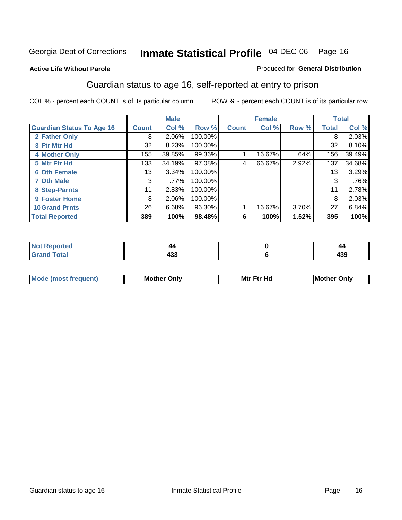#### **Active Life Without Parole**

#### Produced for **General Distribution**

#### Guardian status to age 16, self-reported at entry to prison

|                                  |              | <b>Male</b> |         |              | <b>Female</b> |       |              | <b>Total</b> |
|----------------------------------|--------------|-------------|---------|--------------|---------------|-------|--------------|--------------|
| <b>Guardian Status To Age 16</b> | <b>Count</b> | Col %       | Row %   | <b>Count</b> | Col %         | Row % | <b>Total</b> | Col %        |
| 2 Father Only                    | 8            | 2.06%       | 100.00% |              |               |       | 8            | 2.03%        |
| 3 Ftr Mtr Hd                     | 32           | 8.23%       | 100.00% |              |               |       | 32           | 8.10%        |
| <b>4 Mother Only</b>             | 155          | 39.85%      | 99.36%  |              | 16.67%        | .64%  | 156          | 39.49%       |
| 5 Mtr Ftr Hd                     | 133          | 34.19%      | 97.08%  | 4            | 66.67%        | 2.92% | 137          | 34.68%       |
| <b>6 Oth Female</b>              | 13           | 3.34%       | 100.00% |              |               |       | 13           | 3.29%        |
| <b>7 Oth Male</b>                | 3            | .77%        | 100.00% |              |               |       | 3            | .76%         |
| 8 Step-Parnts                    | 11           | 2.83%       | 100.00% |              |               |       | 11           | 2.78%        |
| 9 Foster Home                    | 8            | 2.06%       | 100.00% |              |               |       | 8            | 2.03%        |
| <b>10 Grand Prnts</b>            | 26           | 6.68%       | 96.30%  |              | 16.67%        | 3.70% | 27           | 6.84%        |
| <b>Total Reported</b>            | 389          | 100%        | 98.48%  | 6            | 100%          | 1.52% | 395          | 100%         |

|       | 4            |
|-------|--------------|
| - - - | - - -<br>433 |

| <b>Mou</b> | Mother<br>Onlv | Hd<br>Mtr<br>E4w | M<br>Only<br>. |
|------------|----------------|------------------|----------------|
|            |                |                  |                |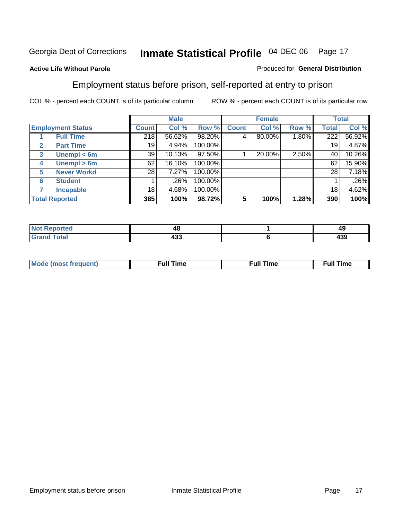#### **Active Life Without Parole**

#### Produced for **General Distribution**

#### Employment status before prison, self-reported at entry to prison

|                          |                       |              | <b>Male</b> |         |              | <b>Female</b> |          |              | <b>Total</b> |
|--------------------------|-----------------------|--------------|-------------|---------|--------------|---------------|----------|--------------|--------------|
| <b>Employment Status</b> |                       | <b>Count</b> | Col %       | Row %   | <b>Count</b> | Col %         | Row %    | <b>Total</b> | Col %        |
|                          | <b>Full Time</b>      | 218          | 56.62%      | 98.20%  |              | 80.00%        | $1.80\%$ | 222          | 56.92%       |
| $\mathbf{2}$             | <b>Part Time</b>      | 19           | 4.94%       | 100.00% |              |               |          | 19           | 4.87%        |
| 3                        | Unempl $<$ 6m         | 39           | 10.13%      | 97.50%  |              | 20.00%        | 2.50%    | 40           | 10.26%       |
| 4                        | Unempl $> 6m$         | 62           | 16.10%      | 100.00% |              |               |          | 62           | 15.90%       |
| 5                        | <b>Never Workd</b>    | 28           | 7.27%       | 100.00% |              |               |          | 28           | 7.18%        |
| 6                        | <b>Student</b>        |              | .26%        | 100.00% |              |               |          |              | .26%         |
|                          | <b>Incapable</b>      | 18           | 4.68%       | 100.00% |              |               |          | 18           | 4.62%        |
|                          | <b>Total Reported</b> | 385          | 100%        | 98.72%  | 5            | 100%          | 1.28%    | 390          | 100%         |

| Tec.               | 40  | лv<br><b>To</b> |
|--------------------|-----|-----------------|
| T <sub>other</sub> | "   | ,,,             |
| $ -$               | 433 | 499             |

| Mo | 'me<br>uн<br>the contract of the contract of the contract of the contract of the contract of the contract of the contract of | ïme<br>uı.<br>the contract of the contract of the contract of the contract of the contract of the contract of the contract of |
|----|------------------------------------------------------------------------------------------------------------------------------|-------------------------------------------------------------------------------------------------------------------------------|
|    |                                                                                                                              |                                                                                                                               |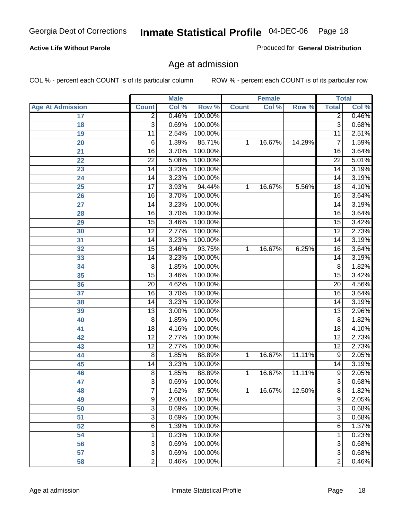#### **Active Life Without Parole**

Produced for **General Distribution**

#### Age at admission

|                         |                 | <b>Male</b> |         | <b>Female</b> |        | <b>Total</b> |                 |       |
|-------------------------|-----------------|-------------|---------|---------------|--------|--------------|-----------------|-------|
| <b>Age At Admission</b> | <b>Count</b>    | Col %       | Row %   | <b>Count</b>  | Col %  | Row %        | <b>Total</b>    | Col % |
| 17                      | $\overline{2}$  | 0.46%       | 100.00% |               |        |              | 2               | 0.46% |
| 18                      | $\overline{3}$  | 0.69%       | 100.00% |               |        |              | $\overline{3}$  | 0.68% |
| 19                      | $\overline{11}$ | 2.54%       | 100.00% |               |        |              | $\overline{11}$ | 2.51% |
| 20                      | 6               | 1.39%       | 85.71%  | 1             | 16.67% | 14.29%       | 7               | 1.59% |
| 21                      | $\overline{16}$ | 3.70%       | 100.00% |               |        |              | 16              | 3.64% |
| 22                      | $\overline{22}$ | 5.08%       | 100.00% |               |        |              | $\overline{22}$ | 5.01% |
| 23                      | $\overline{14}$ | 3.23%       | 100.00% |               |        |              | $\overline{14}$ | 3.19% |
| 24                      | 14              | 3.23%       | 100.00% |               |        |              | 14              | 3.19% |
| 25                      | $\overline{17}$ | 3.93%       | 94.44%  | 1             | 16.67% | 5.56%        | 18              | 4.10% |
| 26                      | 16              | 3.70%       | 100.00% |               |        |              | 16              | 3.64% |
| 27                      | $\overline{14}$ | 3.23%       | 100.00% |               |        |              | $\overline{14}$ | 3.19% |
| 28                      | $\overline{16}$ | 3.70%       | 100.00% |               |        |              | 16              | 3.64% |
| 29                      | $\overline{15}$ | 3.46%       | 100.00% |               |        |              | $\overline{15}$ | 3.42% |
| 30                      | $\overline{12}$ | 2.77%       | 100.00% |               |        |              | $\overline{12}$ | 2.73% |
| 31                      | $\overline{14}$ | 3.23%       | 100.00% |               |        |              | $\overline{14}$ | 3.19% |
| 32                      | 15              | 3.46%       | 93.75%  | 1             | 16.67% | 6.25%        | 16              | 3.64% |
| 33                      | 14              | 3.23%       | 100.00% |               |        |              | 14              | 3.19% |
| 34                      | $\overline{8}$  | 1.85%       | 100.00% |               |        |              | 8               | 1.82% |
| 35                      | 15              | 3.46%       | 100.00% |               |        |              | 15              | 3.42% |
| 36                      | $\overline{20}$ | 4.62%       | 100.00% |               |        |              | $\overline{20}$ | 4.56% |
| 37                      | $\overline{16}$ | 3.70%       | 100.00% |               |        |              | $\overline{16}$ | 3.64% |
| 38                      | $\overline{14}$ | 3.23%       | 100.00% |               |        |              | 14              | 3.19% |
| 39                      | $\overline{13}$ | 3.00%       | 100.00% |               |        |              | $\overline{13}$ | 2.96% |
| 40                      | 8               | 1.85%       | 100.00% |               |        |              | 8               | 1.82% |
| 41                      | 18              | 4.16%       | 100.00% |               |        |              | 18              | 4.10% |
| 42                      | $\overline{12}$ | 2.77%       | 100.00% |               |        |              | $\overline{12}$ | 2.73% |
| 43                      | $\overline{12}$ | 2.77%       | 100.00% |               |        |              | $\overline{12}$ | 2.73% |
| 44                      | 8               | 1.85%       | 88.89%  | 1             | 16.67% | 11.11%       | 9               | 2.05% |
| 45                      | 14              | 3.23%       | 100.00% |               |        |              | 14              | 3.19% |
| 46                      | $\overline{8}$  | 1.85%       | 88.89%  | 1             | 16.67% | 11.11%       | $\overline{9}$  | 2.05% |
| 47                      | 3               | 0.69%       | 100.00% |               |        |              | $\overline{3}$  | 0.68% |
| 48                      | ſ               | 1.62%       | 87.50%  | 1             | 16.67% | 12.50%       | 8               | 1.82% |
| 49                      | 9               | 2.08%       | 100.00% |               |        |              | 9               | 2.05% |
| 50                      | 3               | 0.69%       | 100.00% |               |        |              | $\overline{3}$  | 0.68% |
| 51                      | 3               | 0.69%       | 100.00% |               |        |              | $\overline{3}$  | 0.68% |
| 52                      | 6               | 1.39%       | 100.00% |               |        |              | 6               | 1.37% |
| 54                      | 1               | 0.23%       | 100.00% |               |        |              | 1               | 0.23% |
| 56                      | 3               | 0.69%       | 100.00% |               |        |              | $\overline{3}$  | 0.68% |
| 57                      | $\overline{3}$  | 0.69%       | 100.00% |               |        |              | $\overline{3}$  | 0.68% |
| 58                      | $\overline{2}$  | 0.46%       | 100.00% |               |        |              | $\overline{2}$  | 0.46% |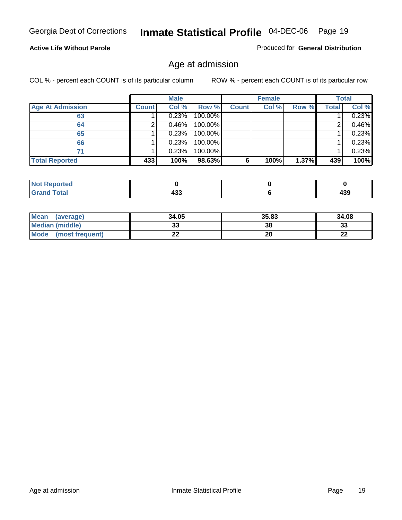#### **Active Life Without Parole**

Produced for **General Distribution**

#### Age at admission

|                         |              | <b>Male</b> |         |              | <b>Female</b> |       |              | <b>Total</b> |
|-------------------------|--------------|-------------|---------|--------------|---------------|-------|--------------|--------------|
| <b>Age At Admission</b> | <b>Count</b> | Col %       | Row %   | <b>Count</b> | Col %         | Row % | <b>Total</b> | Col %        |
| 63                      |              | 0.23%       | 100.00% |              |               |       |              | 0.23%        |
| 64                      |              | 0.46%       | 100.00% |              |               |       |              | 0.46%        |
| 65                      |              | 0.23%       | 100.00% |              |               |       |              | 0.23%        |
| 66                      |              | 0.23%       | 100.00% |              |               |       |              | 0.23%        |
| 71                      |              | 0.23%       | 100.00% |              |               |       |              | 0.23%        |
| <b>Total Reported</b>   | 433          | 100%        | 98.63%  | 6            | 100%          | 1.37% | 439          | 100%         |

| Reported<br>N<br>$\sim$ |            |     |
|-------------------------|------------|-----|
| <b>Cotal</b><br>_____   | ,,,<br>᠇୰୰ | 439 |

| Mean<br>(average)              | 34.05 | 35.83 | 34.08   |
|--------------------------------|-------|-------|---------|
| <b>Median (middle)</b>         | JJ    | 38    | 33      |
| <b>Mode</b><br>(most frequent) |       | 20    | …<br>LL |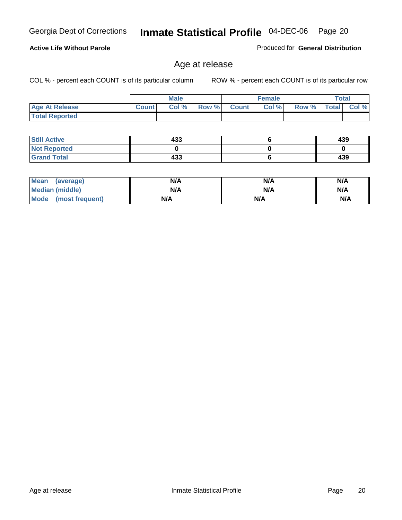#### **Active Life Without Parole**

Produced for **General Distribution**

#### Age at release

|                       |              | <b>Male</b> |       |              | <b>Female</b> |       | Total        |          |
|-----------------------|--------------|-------------|-------|--------------|---------------|-------|--------------|----------|
| <b>Age At Release</b> | <b>Count</b> | Col%        | Row % | <b>Count</b> | Col %         | Row % | <b>Total</b> | Col $\%$ |
| <b>Total Reported</b> |              |             |       |              |               |       |              |          |

| <b>Still Active</b> | 433 | 439 |
|---------------------|-----|-----|
| <b>Not Reported</b> |     |     |
| <b>Grand Total</b>  | 433 | 439 |

| <b>Mean</b><br>(average) | N/A | N/A | N/A |
|--------------------------|-----|-----|-----|
| Median (middle)          | N/A | N/A | N/A |
| Mode<br>(most frequent)  | N/A | N/A | N/A |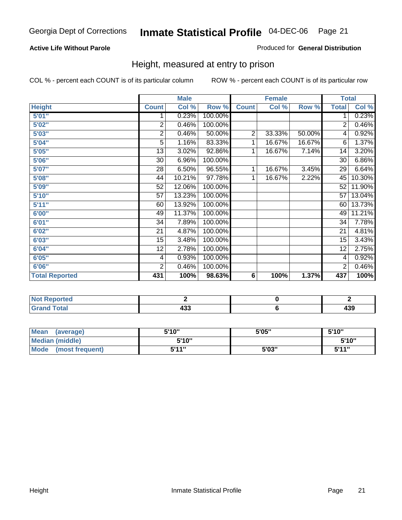#### **Active Life Without Parole**

#### Produced for **General Distribution**

#### Height, measured at entry to prison

|                       |                | <b>Male</b> |         |                | <b>Female</b> |        | <b>Total</b>    |        |
|-----------------------|----------------|-------------|---------|----------------|---------------|--------|-----------------|--------|
| <b>Height</b>         | <b>Count</b>   | Col %       | Row %   | <b>Count</b>   | Col %         | Row %  | <b>Total</b>    | Col %  |
| 5'01''                | 1              | 0.23%       | 100.00% |                |               |        | 1               | 0.23%  |
| 5'02"                 | $\overline{2}$ | 0.46%       | 100.00% |                |               |        | 2               | 0.46%  |
| 5'03"                 | 2              | 0.46%       | 50.00%  | $\overline{c}$ | 33.33%        | 50.00% | 4               | 0.92%  |
| 5'04"                 | 5              | 1.16%       | 83.33%  | 1              | 16.67%        | 16.67% | 6               | 1.37%  |
| 5'05"                 | 13             | 3.02%       | 92.86%  | 1              | 16.67%        | 7.14%  | 14              | 3.20%  |
| 5'06"                 | 30             | 6.96%       | 100.00% |                |               |        | $\overline{30}$ | 6.86%  |
| 5'07''                | 28             | 6.50%       | 96.55%  | 1              | 16.67%        | 3.45%  | 29              | 6.64%  |
| 5'08''                | 44             | 10.21%      | 97.78%  | 1              | 16.67%        | 2.22%  | 45              | 10.30% |
| 5'09"                 | 52             | 12.06%      | 100.00% |                |               |        | 52              | 11.90% |
| 5'10''                | 57             | 13.23%      | 100.00% |                |               |        | 57              | 13.04% |
| 5'11''                | 60             | 13.92%      | 100.00% |                |               |        | 60              | 13.73% |
| 6'00"                 | 49             | 11.37%      | 100.00% |                |               |        | 49              | 11.21% |
| 6'01"                 | 34             | 7.89%       | 100.00% |                |               |        | 34              | 7.78%  |
| 6'02''                | 21             | 4.87%       | 100.00% |                |               |        | 21              | 4.81%  |
| 6'03"                 | 15             | 3.48%       | 100.00% |                |               |        | 15              | 3.43%  |
| 6'04"                 | 12             | 2.78%       | 100.00% |                |               |        | 12              | 2.75%  |
| 6'05"                 | 4              | 0.93%       | 100.00% |                |               |        | 4               | 0.92%  |
| 6'06"                 | $\overline{2}$ | 0.46%       | 100.00% |                |               |        | $\overline{2}$  | 0.46%  |
| <b>Total Reported</b> | 431            | 100%        | 98.63%  | 6              | 100%          | 1.37%  | 437             | 100%   |

| oorted<br>TV 6<br>$\sim$         |            |                |
|----------------------------------|------------|----------------|
| $int^{\bullet}$<br>---<br>______ | 400<br>4აა | <b></b><br>493 |

| <b>Mean</b><br>(average)       | 5'10" | 5'05" | 5'10"             |
|--------------------------------|-------|-------|-------------------|
| Median (middle)                | 5'10" |       | 5'10"             |
| <b>Mode</b><br>(most frequent) | 5'11" | 5'03" | <b>5'44"</b><br>◡ |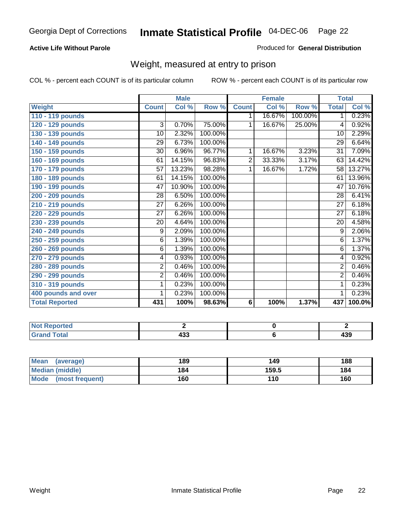#### **Active Life Without Parole**

#### Produced for **General Distribution**

#### Weight, measured at entry to prison

|                       |                | <b>Male</b>               |         |              | <b>Female</b> |         |                 | <b>Total</b> |
|-----------------------|----------------|---------------------------|---------|--------------|---------------|---------|-----------------|--------------|
| <b>Weight</b>         | <b>Count</b>   | $\overline{\text{Col}}$ % | Row %   | <b>Count</b> | Col %         | Row %   | <b>Total</b>    | Col %        |
| 110 - 119 pounds      |                |                           |         | 1.           | 16.67%        | 100.00% | 1.              | 0.23%        |
| 120 - 129 pounds      | 3              | 0.70%                     | 75.00%  | 1            | 16.67%        | 25.00%  | 4               | 0.92%        |
| 130 - 139 pounds      | 10             | 2.32%                     | 100.00% |              |               |         | 10              | 2.29%        |
| 140 - 149 pounds      | 29             | 6.73%                     | 100.00% |              |               |         | $\overline{29}$ | 6.64%        |
| 150 - 159 pounds      | 30             | 6.96%                     | 96.77%  | 1            | 16.67%        | 3.23%   | $\overline{31}$ | 7.09%        |
| 160 - 169 pounds      | 61             | 14.15%                    | 96.83%  | 2            | 33.33%        | 3.17%   | 63              | 14.42%       |
| 170 - 179 pounds      | 57             | 13.23%                    | 98.28%  | 1            | 16.67%        | 1.72%   | 58              | 13.27%       |
| 180 - 189 pounds      | 61             | 14.15%                    | 100.00% |              |               |         | 61              | 13.96%       |
| 190 - 199 pounds      | 47             | 10.90%                    | 100.00% |              |               |         | 47              | 10.76%       |
| 200 - 209 pounds      | 28             | 6.50%                     | 100.00% |              |               |         | 28              | 6.41%        |
| 210 - 219 pounds      | 27             | 6.26%                     | 100.00% |              |               |         | $\overline{27}$ | 6.18%        |
| 220 - 229 pounds      | 27             | 6.26%                     | 100.00% |              |               |         | 27              | 6.18%        |
| 230 - 239 pounds      | 20             | 4.64%                     | 100.00% |              |               |         | 20              | 4.58%        |
| 240 - 249 pounds      | 9              | 2.09%                     | 100.00% |              |               |         | $\overline{9}$  | 2.06%        |
| 250 - 259 pounds      | $\overline{6}$ | 1.39%                     | 100.00% |              |               |         | $\overline{6}$  | 1.37%        |
| 260 - 269 pounds      | 6              | 1.39%                     | 100.00% |              |               |         | 6               | 1.37%        |
| 270 - 279 pounds      | 4              | 0.93%                     | 100.00% |              |               |         | 4               | 0.92%        |
| 280 - 289 pounds      | $\overline{2}$ | 0.46%                     | 100.00% |              |               |         | $\overline{2}$  | 0.46%        |
| 290 - 299 pounds      | $\overline{2}$ | 0.46%                     | 100.00% |              |               |         | $\overline{2}$  | 0.46%        |
| 310 - 319 pounds      | 1              | 0.23%                     | 100.00% |              |               |         | 1               | 0.23%        |
| 400 pounds and over   | 1              | 0.23%                     | 100.00% |              |               |         | 1               | 0.23%        |
| <b>Total Reported</b> | 431            | 100%                      | 98.63%  | 6            | 100%          | 1.37%   | 437             | 100.0%       |

| . .<br>N<br>мео - |                    |             |
|-------------------|--------------------|-------------|
| d Total           | $\sqrt{2}$<br>$ -$ | ה הו<br>499 |

| Mean<br>(average)       | 189 | 149   | 188 |
|-------------------------|-----|-------|-----|
| Median (middle)         | 184 | 159.5 | 184 |
| Mode<br>(most frequent) | 160 | 110   | 160 |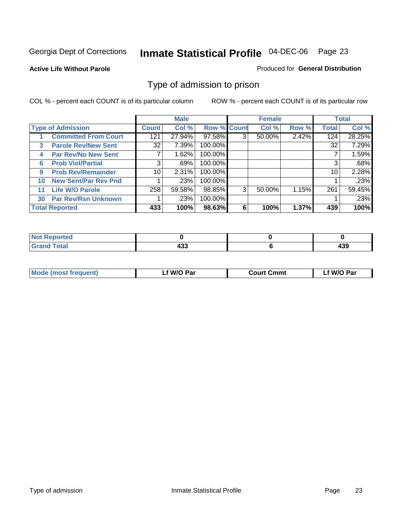#### **Active Life Without Parole**

#### Produced for **General Distribution**

#### Type of admission to prison

|    |                             |                 | <b>Male</b> |                    |   | <b>Female</b> |       |              | <b>Total</b> |
|----|-----------------------------|-----------------|-------------|--------------------|---|---------------|-------|--------------|--------------|
|    | <b>Type of Admission</b>    | <b>Count</b>    | Col %       | <b>Row % Count</b> |   | Col %         | Row % | <b>Total</b> | Col %        |
|    | <b>Committed From Court</b> | 121             | 27.94%      | 97.58%             | 3 | 50.00%        | 2.42% | 124          | 28.25%       |
| 3  | <b>Parole Rev/New Sent</b>  | 32              | 7.39%       | 100.00%            |   |               |       | 32           | 7.29%        |
| 4  | <b>Par Rev/No New Sent</b>  |                 | 1.62%       | 100.00%            |   |               |       |              | 1.59%        |
| 6  | <b>Prob Viol/Partial</b>    | 3               | .69%        | 100.00%            |   |               |       | 3            | .68%         |
| 9  | <b>Prob Rev/Remainder</b>   | 10 <sup>1</sup> | 2.31%       | 100.00%            |   |               |       | 10           | 2.28%        |
| 10 | <b>New Sent/Par Rev Pnd</b> |                 | .23%        | 100.00%            |   |               |       |              | .23%         |
| 11 | <b>Life W/O Parole</b>      | 258             | 59.58%      | 98.85%             | 3 | 50.00%        | 1.15% | 261          | 59.45%       |
| 30 | <b>Par Rev/Rsn Unknown</b>  |                 | .23%        | 100.00%            |   |               |       |              | .23%         |
|    | <b>Total Reported</b>       | 433             | 100%        | 98.63%             | 6 | 100%          | 1.37% | 439          | 100%         |

| <b>Reported</b><br>NOT         |     |            |
|--------------------------------|-----|------------|
| <b>Total</b><br>Caro<br>$\sim$ | "^^ | ,,,<br>433 |

| <b>Mode (most frequent)</b> | <b>W/O Par</b> | <b>Court Cmmt</b> | M/O Par |
|-----------------------------|----------------|-------------------|---------|
|                             |                |                   |         |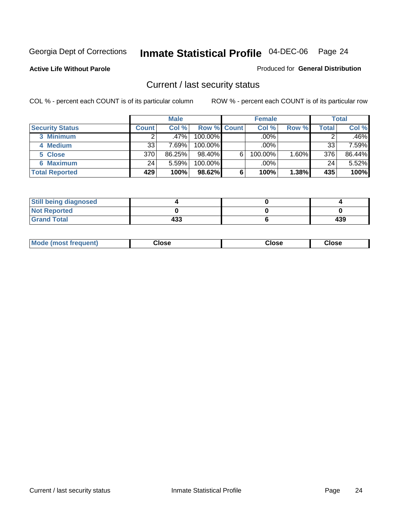**Active Life Without Parole** 

Produced for **General Distribution**

#### Current / last security status

|                        |         | <b>Male</b> |                    |   | <b>Female</b> |          |       | <b>Total</b> |
|------------------------|---------|-------------|--------------------|---|---------------|----------|-------|--------------|
| <b>Security Status</b> | Count l | Col %       | <b>Row % Count</b> |   | Col %         | Row %    | Total | Col %        |
| 3 Minimum              | ົ       | .47%        | $100.00\%$         |   | .00%          |          | ⌒     | $.46\%$      |
| 4 Medium               | 33      | 7.69%       | $100.00\%$         |   | $.00\%$       |          | 33    | 7.59%        |
| 5 Close                | 370     | 86.25%      | 98.40%             | 6 | 100.00%       | $1.60\%$ | 376   | 86.44%       |
| 6 Maximum              | 24      | 5.59%       | 100.00%            |   | .00%          |          | 24    | 5.52%        |
| <b>Total Reported</b>  | 429     | 100%        | 98.62%             | 6 | 100%          | 1.38%    | 435   | 100%         |

| <b>Still being diagnosed</b> |     |     |
|------------------------------|-----|-----|
| <b>Not Reported</b>          |     |     |
| <b>Grand Total</b>           | 433 | 439 |

| <b>Mode</b><br><b>OSE</b><br>∵lose<br>(most frequent)<br>oseث<br>- - - -<br>- - - -<br>- - - - |  |
|------------------------------------------------------------------------------------------------|--|
|------------------------------------------------------------------------------------------------|--|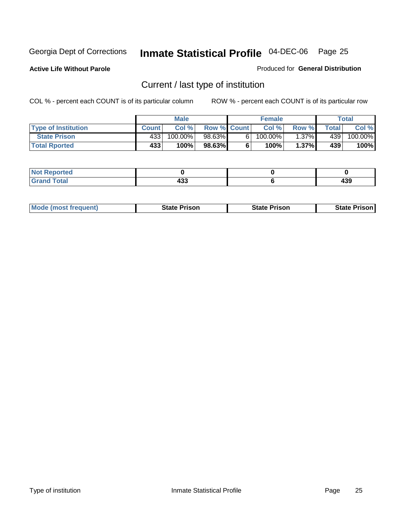**Active Life Without Parole** 

Produced for **General Distribution**

## Current / last type of institution

|                            |              | <b>Male</b> |                    |    | <b>Female</b> |          |       | Total                 |
|----------------------------|--------------|-------------|--------------------|----|---------------|----------|-------|-----------------------|
| <b>Type of Institution</b> | <b>Count</b> | Col%        | <b>Row % Count</b> |    | Col %         | Row %I   | Total | Col %                 |
| <b>State Prison</b>        | 433          | 100.00%」    | 98.63%             | 61 | $100.00\%$    | $1.37\%$ | 439   | $100.\overline{00\%}$ |
| <b>Total Rported</b>       | 433'         | 100%        | 98.63%             |    | 100%          | $1.37\%$ | 439   | 100%                  |

| <b>rted</b><br>.       |           |                |
|------------------------|-----------|----------------|
| $\sim$<br><b>Stall</b> | ,,,<br>__ | <br>433<br>- - |

| <b>Mode (most frequent)</b> | <b>State Prison</b> | <b>State Prison</b> | <b>State Prison I</b> |
|-----------------------------|---------------------|---------------------|-----------------------|
|                             |                     |                     |                       |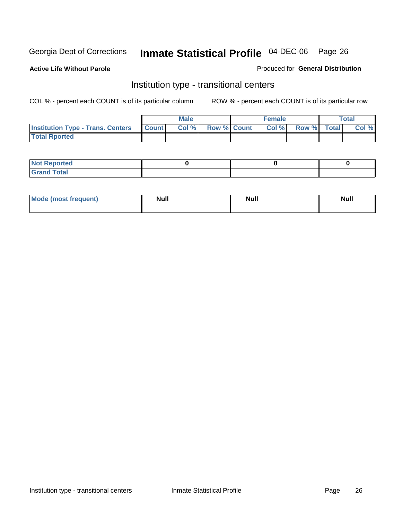**Active Life Without Parole** 

Produced for **General Distribution**

#### Institution type - transitional centers

|                                                | <b>Male</b> |                    | <b>Female</b> |             | Total |
|------------------------------------------------|-------------|--------------------|---------------|-------------|-------|
| <b>Institution Type - Trans. Centers Count</b> | Col %       | <b>Row % Count</b> | Col %         | Row % Total | Col % |
| <b>Total Rported</b>                           |             |                    |               |             |       |

| <b>Not Reported</b>  |  |  |
|----------------------|--|--|
| <b>Total</b><br>Cror |  |  |

| Mode (most frequent) | <b>Null</b> | <b>Null</b> | <b>Null</b> |
|----------------------|-------------|-------------|-------------|
|                      |             |             |             |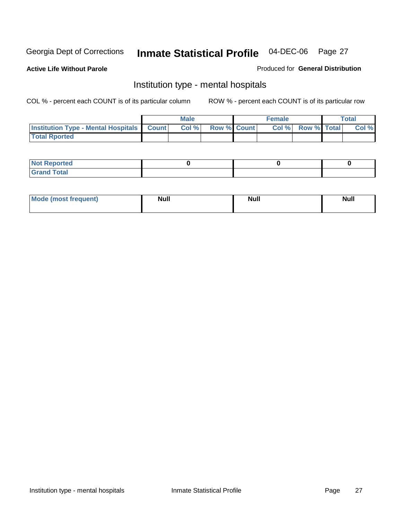**Active Life Without Parole** 

Produced for **General Distribution**

#### Institution type - mental hospitals

|                                                  | <b>Male</b> |                    | <b>Female</b> |                          | <b>Total</b> |
|--------------------------------------------------|-------------|--------------------|---------------|--------------------------|--------------|
| <b>Institution Type - Mental Hospitals Count</b> | Col%        | <b>Row % Count</b> |               | <b>Col % Row % Total</b> | Col %        |
| <b>Total Rported</b>                             |             |                    |               |                          |              |

| <b>Not Reported</b> |  |  |
|---------------------|--|--|
| <b>Fotal</b><br>Cro |  |  |

| Mode (most frequent) | <b>Null</b> | <b>Null</b> | <b>Null</b> |
|----------------------|-------------|-------------|-------------|
|                      |             |             |             |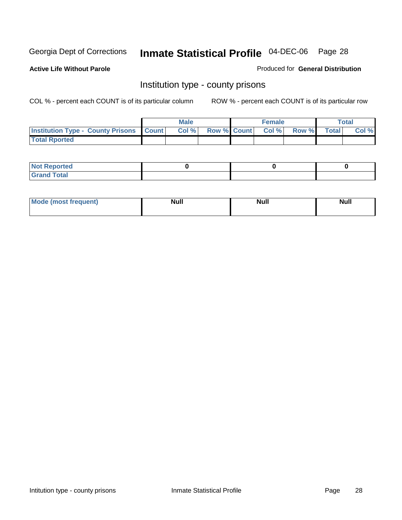**Active Life Without Parole** 

Produced for **General Distribution**

#### Institution type - county prisons

|                                                    | <b>Male</b> |                          | <b>Female</b> |       |       | Total |
|----------------------------------------------------|-------------|--------------------------|---------------|-------|-------|-------|
| <b>Institution Type - County Prisons   Count  </b> | Col %       | <b>Row % Count Col %</b> |               | Row % | Total | Col % |
| <b>Total Rported</b>                               |             |                          |               |       |       |       |

| <b>Not Reported</b>        |  |  |
|----------------------------|--|--|
| <b>Total</b><br>.Grar<br>_ |  |  |

| <b>Mode (most frequent)</b> | <b>Null</b> | <b>Null</b> | <b>Null</b> |
|-----------------------------|-------------|-------------|-------------|
|                             |             |             |             |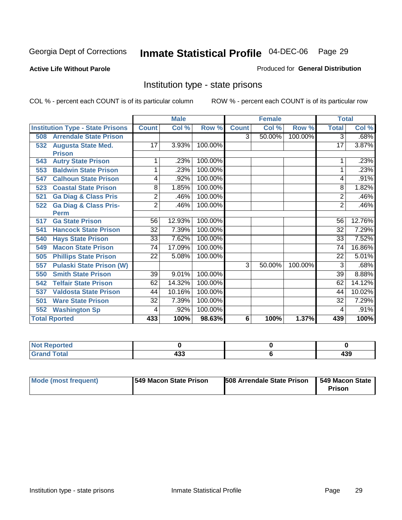**Active Life Without Parole** 

Produced for **General Distribution**

#### Institution type - state prisons

|                                         |                 | <b>Male</b> |         |              | <b>Female</b> |         | <b>Total</b>    |        |
|-----------------------------------------|-----------------|-------------|---------|--------------|---------------|---------|-----------------|--------|
| <b>Institution Type - State Prisons</b> | <b>Count</b>    | Col %       | Row %   | <b>Count</b> | Col %         | Row %   | <b>Total</b>    | Col %  |
| <b>Arrendale State Prison</b><br>508    |                 |             |         | 3            | 50.00%        | 100.00% | $\overline{3}$  | .68%   |
| <b>Augusta State Med.</b><br>532        | 17              | 3.93%       | 100.00% |              |               |         | 17              | 3.87%  |
| <b>Prison</b>                           |                 |             |         |              |               |         |                 |        |
| <b>Autry State Prison</b><br>543        |                 | .23%        | 100.00% |              |               |         |                 | .23%   |
| <b>Baldwin State Prison</b><br>553      |                 | .23%        | 100.00% |              |               |         |                 | .23%   |
| <b>Calhoun State Prison</b><br>547      | 4               | .92%        | 100.00% |              |               |         | 4               | .91%   |
| <b>Coastal State Prison</b><br>523      | 8               | 1.85%       | 100.00% |              |               |         | 8               | 1.82%  |
| <b>Ga Diag &amp; Class Pris</b><br>521  | $\overline{2}$  | .46%        | 100.00% |              |               |         | $\overline{2}$  | .46%   |
| <b>Ga Diag &amp; Class Pris-</b><br>522 | $\overline{2}$  | .46%        | 100.00% |              |               |         | $\overline{2}$  | .46%   |
| <b>Perm</b>                             |                 |             |         |              |               |         |                 |        |
| <b>Ga State Prison</b><br>517           | 56              | 12.93%      | 100.00% |              |               |         | 56              | 12.76% |
| <b>Hancock State Prison</b><br>541      | $\overline{32}$ | 7.39%       | 100.00% |              |               |         | $\overline{32}$ | 7.29%  |
| <b>Hays State Prison</b><br>540         | $\overline{33}$ | 7.62%       | 100.00% |              |               |         | $\overline{33}$ | 7.52%  |
| <b>Macon State Prison</b><br>549        | $\overline{74}$ | 17.09%      | 100.00% |              |               |         | 74              | 16.86% |
| <b>Phillips State Prison</b><br>505     | 22              | 5.08%       | 100.00% |              |               |         | 22              | 5.01%  |
| <b>Pulaski State Prison (W)</b><br>557  |                 |             |         | 3            | 50.00%        | 100.00% | 3               | .68%   |
| <b>Smith State Prison</b><br>550        | 39              | 9.01%       | 100.00% |              |               |         | $\overline{39}$ | 8.88%  |
| <b>Telfair State Prison</b><br>542      | 62              | 14.32%      | 100.00% |              |               |         | 62              | 14.12% |
| <b>Valdosta State Prison</b><br>537     | 44              | 10.16%      | 100.00% |              |               |         | 44              | 10.02% |
| <b>Ware State Prison</b><br>501         | 32              | 7.39%       | 100.00% |              |               |         | 32              | 7.29%  |
| <b>Washington Sp</b><br>552             | 4               | .92%        | 100.00% |              |               |         | 4               | .91%   |
| <b>Total Rported</b>                    | 433             | 100%        | 98.63%  | 6            | 100%          | 1.37%   | 439             | 100%   |

| <b>Continued and State</b><br>rtea              |                    |            |
|-------------------------------------------------|--------------------|------------|
| $T \cap f \cap T$<br>$\sim$<br>------<br>______ | ,,,<br>499<br>$ -$ | ,,,<br>439 |

| Mode (most frequent) | 1549 Macon State Prison | <b>508 Arrendale State Prison</b> | 1549 Macon State<br>Prison |
|----------------------|-------------------------|-----------------------------------|----------------------------|
|----------------------|-------------------------|-----------------------------------|----------------------------|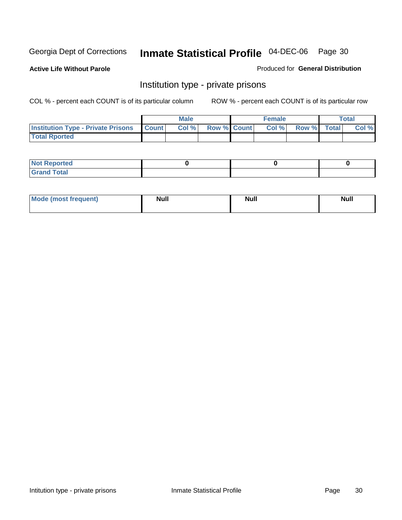**Active Life Without Parole** 

Produced for **General Distribution**

#### Institution type - private prisons

|                                                 | <b>Male</b> |                    | <b>Female</b> |             | Total |
|-------------------------------------------------|-------------|--------------------|---------------|-------------|-------|
| <b>Institution Type - Private Prisons Count</b> | Col %       | <b>Row % Count</b> | Col %         | Row % Total | Col % |
| <b>Total Rported</b>                            |             |                    |               |             |       |

| <b>Not Reported</b>        |  |  |
|----------------------------|--|--|
| <b>otal</b><br>. Gror<br>. |  |  |

| Mode (most frequent) | <b>Null</b> | <b>Null</b> | <b>Null</b> |
|----------------------|-------------|-------------|-------------|
|                      |             |             |             |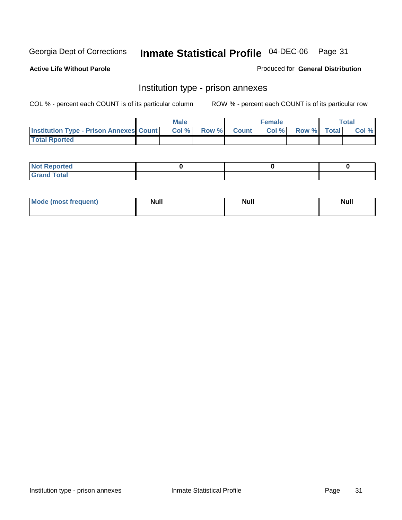**Active Life Without Parole** 

Produced for **General Distribution**

#### Institution type - prison annexes

|                                                | <b>Male</b> |                    | <b>Female</b> |             | <b>Total</b> |
|------------------------------------------------|-------------|--------------------|---------------|-------------|--------------|
| <b>Institution Type - Prison Annexes Count</b> | Col %       | <b>Row % Count</b> | Col %         | Row % Total | Col %        |
| <b>Total Rported</b>                           |             |                    |               |             |              |

| <b>Not Reported</b>            |  |  |
|--------------------------------|--|--|
| <b>Total</b><br>Croi<br>$\sim$ |  |  |

| Mode (most frequent) | <b>Null</b> | <b>Null</b> | <b>Null</b> |
|----------------------|-------------|-------------|-------------|
|                      |             |             |             |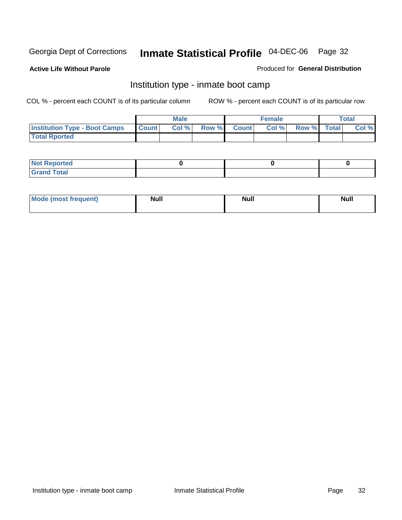**Active Life Without Parole** 

Produced for **General Distribution**

#### Institution type - inmate boot camp

|                                      |              | Male  |             | <b>Female</b> |             | <b>Total</b> |
|--------------------------------------|--------------|-------|-------------|---------------|-------------|--------------|
| <b>Institution Type - Boot Camps</b> | <b>Count</b> | Col % | Row % Count | Col %         | Row % Total | Col %        |
| <b>Total Rported</b>                 |              |       |             |               |             |              |

| <b>Not Reported</b>  |  |  |
|----------------------|--|--|
| <b>Total</b><br>Croy |  |  |

| Mode (most frequent) | <b>Null</b> | <b>Null</b> | <b>Null</b> |
|----------------------|-------------|-------------|-------------|
|                      |             |             |             |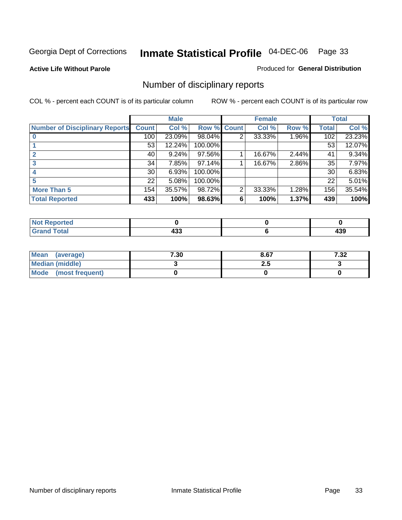#### **Active Life Without Parole**

#### Produced for **General Distribution**

## Number of disciplinary reports

|                                       |                 | <b>Male</b> |             |   | <b>Female</b> |          |              | <b>Total</b> |
|---------------------------------------|-----------------|-------------|-------------|---|---------------|----------|--------------|--------------|
| <b>Number of Disciplinary Reports</b> | <b>Count</b>    | Col %       | Row % Count |   | Col %         | Row %    | <b>Total</b> | Col %        |
|                                       | 100             | 23.09%      | 98.04%      | 2 | 33.33%        | $1.96\%$ | 102          | 23.23%       |
|                                       | 53              | 12.24%      | 100.00%     |   |               |          | 53           | 12.07%       |
|                                       | 40              | 9.24%       | 97.56%      |   | 16.67%        | 2.44%    | 41           | $9.34\%$     |
| 3                                     | 34              | 7.85%       | 97.14%      |   | 16.67%        | 2.86%    | 35           | 7.97%        |
|                                       | 30 <sup>1</sup> | 6.93%       | 100.00%     |   |               |          | 30           | 6.83%        |
|                                       | 22              | 5.08%       | 100.00%     |   |               |          | 22           | 5.01%        |
| <b>More Than 5</b>                    | 154             | 35.57%      | 98.72%      | 2 | 33.33%        | 1.28%    | 156          | 35.54%       |
| <b>Total Reported</b>                 | 433             | 100%        | 98.63%      | 6 | 100%          | 1.37%    | 439          | 100%         |

| .<br>N<br>Tet. |                |                                 |
|----------------|----------------|---------------------------------|
| T <sub>1</sub> | .<br>™<br>$ -$ | $\sim$ $\sim$<br>-<br>טטו<br>__ |

| Mean (average)       | 7.30 | 8.67 | 7.32 |
|----------------------|------|------|------|
| Median (middle)      |      | 2.J  |      |
| Mode (most frequent) |      |      |      |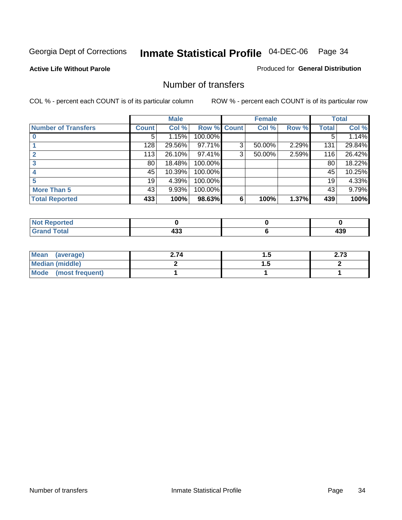**Active Life Without Parole** 

Produced for **General Distribution**

#### Number of transfers

|                            |              | <b>Male</b> |             |   | <b>Female</b> |       |              | <b>Total</b> |
|----------------------------|--------------|-------------|-------------|---|---------------|-------|--------------|--------------|
| <b>Number of Transfers</b> | <b>Count</b> | Col %       | Row % Count |   | Col %         | Row % | <b>Total</b> | Col %        |
|                            | 5            | 1.15%       | 100.00%     |   |               |       | 5            | 1.14%        |
|                            | 128          | 29.56%      | 97.71%      | 3 | 50.00%        | 2.29% | 131          | 29.84%       |
|                            | 113          | 26.10%      | 97.41%      | 3 | 50.00%        | 2.59% | 116          | 26.42%       |
|                            | 80           | 18.48%      | 100.00%     |   |               |       | 80           | 18.22%       |
|                            | 45           | 10.39%      | 100.00%     |   |               |       | 45           | 10.25%       |
|                            | 19           | 4.39%       | 100.00%     |   |               |       | 19           | 4.33%        |
| <b>More Than 5</b>         | 43           | 9.93%       | 100.00%     |   |               |       | 43           | 9.79%        |
| <b>Total Reported</b>      | 433          | 100%        | 98.63%      | 6 | 100%          | 1.37% | 439          | 100%         |

| N<br>тес. |           |                |
|-----------|-----------|----------------|
| $\sim$    | .<br>$ -$ | .<br>-<br>---- |

| Mean (average)       | 2.74 |   | 2.IJ |
|----------------------|------|---|------|
| Median (middle)      |      | . |      |
| Mode (most frequent) |      |   |      |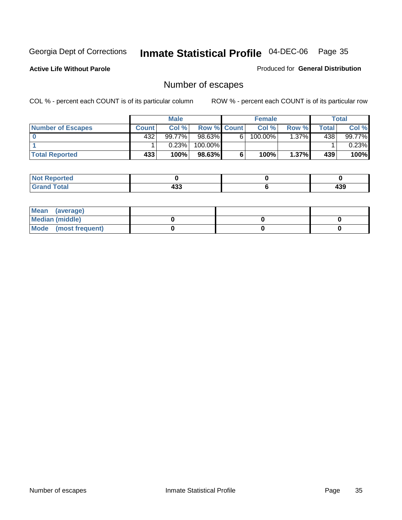**Active Life Without Parole** 

Produced for **General Distribution**

## Number of escapes

|                          |       | <b>Male</b> |                    |   | <b>Female</b> |          |       | <b>Total</b> |
|--------------------------|-------|-------------|--------------------|---|---------------|----------|-------|--------------|
| <b>Number of Escapes</b> | Count | Col%        | <b>Row % Count</b> |   | Col %         | Row %I   | Total | Col %        |
|                          | 432   | 99.77%      | 98.63%             | 6 | 100.00%       | $1.37\%$ | 438   | 99.77%       |
|                          |       | 0.23%       | 100.00%            |   |               |          |       | 0.23%        |
| <b>Total Reported</b>    | 433   | 100%        | 98.63%             | 6 | 100%          | $1.37\%$ | 439   | 100%         |

| الدائم الأمدار<br>neo |     |     |
|-----------------------|-----|-----|
| <b>otal</b>           | "^  | 120 |
| $\mathbf{v}$ and      | ヿヷぃ | 499 |

| Mean (average)       |  |  |
|----------------------|--|--|
| Median (middle)      |  |  |
| Mode (most frequent) |  |  |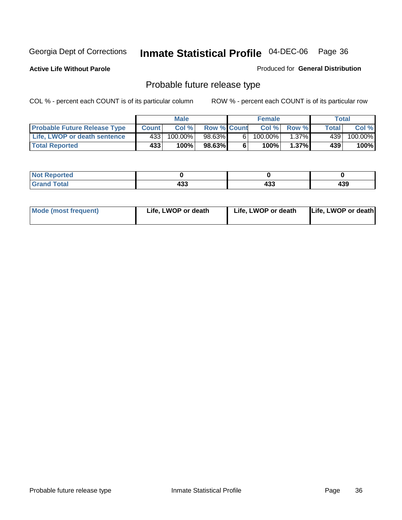**Active Life Without Parole** 

Produced for **General Distribution**

## Probable future release type

|                                     |              | <b>Male</b> |                    |   | <b>Female</b> |          |       | Total   |
|-------------------------------------|--------------|-------------|--------------------|---|---------------|----------|-------|---------|
| <b>Probable Future Release Type</b> | <b>Count</b> | Col %       | <b>Row % Count</b> |   | Col %         | Row %    | Total | Col %   |
| Life, LWOP or death sentence        | 4331         | 100.00%     | 98.63%             | 6 | 100.00%       | $1.37\%$ | 439   | 100.00% |
| <b>Total Reported</b>               | 433          | 100%        | 98.63%             | 6 | 100%          | $1.37\%$ | 439   | 100%    |

| <b>Reported</b><br>NO1 |            |            |     |
|------------------------|------------|------------|-----|
| <b>Total</b>           | ,,,<br>499 | 10O<br>493 | 439 |

| <b>Mode (most frequent)</b> | Life, LWOP or death | Life, LWOP or death | Life, LWOP or death |
|-----------------------------|---------------------|---------------------|---------------------|
|-----------------------------|---------------------|---------------------|---------------------|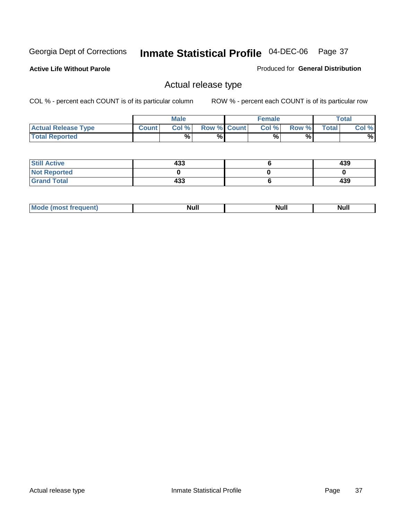**Active Life Without Parole** 

Produced for **General Distribution**

### Actual release type

|                            |              | <b>Male</b> |                    | <b>Female</b> |       |              | Total |
|----------------------------|--------------|-------------|--------------------|---------------|-------|--------------|-------|
| <b>Actual Release Type</b> | <b>Count</b> | Col %       | <b>Row % Count</b> | Col %         | Row % | <b>Total</b> | Col % |
| <b>Total Reported</b>      |              | $\%$        | %                  | %             | %     |              | %     |

| <b>Still Active</b> | 433 | 439 |
|---------------------|-----|-----|
| <b>Not Reported</b> |     |     |
| <b>Grand Total</b>  | 433 | 439 |

| M<br>_____ | .<br>AU 1<br> | an d<br><u></u> | $\cdots$ |
|------------|---------------|-----------------|----------|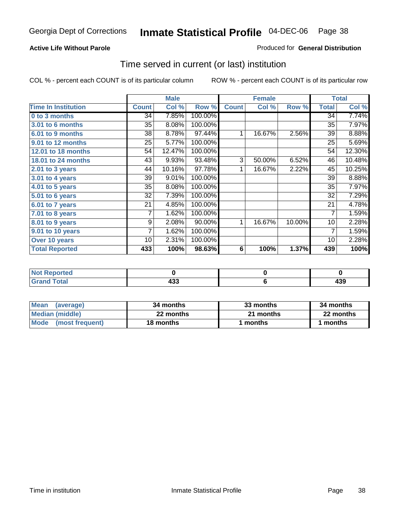#### **Active Life Without Parole**

#### Produced for **General Distribution**

### Time served in current (or last) institution

|                            |              | <b>Male</b> |         |              | <b>Female</b> |        |                | <b>Total</b> |
|----------------------------|--------------|-------------|---------|--------------|---------------|--------|----------------|--------------|
| <b>Time In Institution</b> | <b>Count</b> | Col %       | Row %   | <b>Count</b> | Col %         | Row %  | <b>Total</b>   | Col %        |
| 0 to 3 months              | 34           | 7.85%       | 100.00% |              |               |        | 34             | 7.74%        |
| <b>3.01 to 6 months</b>    | 35           | 8.08%       | 100.00% |              |               |        | 35             | 7.97%        |
| 6.01 to 9 months           | 38           | 8.78%       | 97.44%  | 1            | 16.67%        | 2.56%  | 39             | 8.88%        |
| 9.01 to 12 months          | 25           | 5.77%       | 100.00% |              |               |        | 25             | 5.69%        |
| <b>12.01 to 18 months</b>  | 54           | 12.47%      | 100.00% |              |               |        | 54             | 12.30%       |
| 18.01 to 24 months         | 43           | 9.93%       | 93.48%  | 3            | 50.00%        | 6.52%  | 46             | 10.48%       |
| $2.01$ to 3 years          | 44           | 10.16%      | 97.78%  | 1            | 16.67%        | 2.22%  | 45             | 10.25%       |
| $3.01$ to 4 years          | 39           | 9.01%       | 100.00% |              |               |        | 39             | 8.88%        |
| 4.01 to 5 years            | 35           | 8.08%       | 100.00% |              |               |        | 35             | 7.97%        |
| 5.01 to 6 years            | 32           | 7.39%       | 100.00% |              |               |        | 32             | 7.29%        |
| 6.01 to 7 years            | 21           | 4.85%       | 100.00% |              |               |        | 21             | 4.78%        |
| $7.01$ to 8 years          | 7            | 1.62%       | 100.00% |              |               |        | $\overline{7}$ | 1.59%        |
| 8.01 to 9 years            | 9            | 2.08%       | 90.00%  | 1            | 16.67%        | 10.00% | 10             | 2.28%        |
| 9.01 to 10 years           | 7            | 1.62%       | 100.00% |              |               |        | $\overline{7}$ | 1.59%        |
| Over 10 years              | 10           | 2.31%       | 100.00% |              |               |        | 10             | 2.28%        |
| <b>Total Reported</b>      | 433          | 100%        | 98.63%  | 6            | 100%          | 1.37%  | 439            | 100%         |

| <b>Reported</b><br><b>Not</b> |           |         |
|-------------------------------|-----------|---------|
| <b>Total</b>                  | ,,,<br>ט- | <br>133 |

| <b>Mean</b><br>(average) | 34 months | 33 months | 34 months |  |
|--------------------------|-----------|-----------|-----------|--|
| Median (middle)          | 22 months | 21 months | 22 months |  |
| Mode (most frequent)     | 18 months | ∣ months  | months    |  |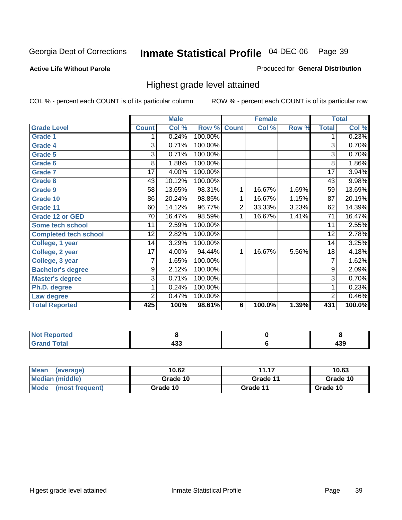#### **Active Life Without Parole**

#### Produced for **General Distribution**

### Highest grade level attained

|                              |                 | <b>Male</b> |         |                | <b>Female</b> |       |                 | <b>Total</b> |
|------------------------------|-----------------|-------------|---------|----------------|---------------|-------|-----------------|--------------|
| <b>Grade Level</b>           | <b>Count</b>    | Col %       | Row %   | <b>Count</b>   | Col %         | Row % | <b>Total</b>    | Col %        |
| <b>Grade 1</b>               |                 | 0.24%       | 100.00% |                |               |       | 1               | 0.23%        |
| <b>Grade 4</b>               | 3               | 0.71%       | 100.00% |                |               |       | $\overline{3}$  | 0.70%        |
| Grade 5                      | 3               | 0.71%       | 100.00% |                |               |       | 3               | 0.70%        |
| Grade 6                      | 8               | 1.88%       | 100.00% |                |               |       | 8               | 1.86%        |
| <b>Grade 7</b>               | 17              | 4.00%       | 100.00% |                |               |       | $\overline{17}$ | 3.94%        |
| <b>Grade 8</b>               | 43              | 10.12%      | 100.00% |                |               |       | 43              | 9.98%        |
| <b>Grade 9</b>               | 58              | 13.65%      | 98.31%  | 1              | 16.67%        | 1.69% | 59              | 13.69%       |
| Grade 10                     | 86              | 20.24%      | 98.85%  | 1              | 16.67%        | 1.15% | $\overline{87}$ | 20.19%       |
| Grade 11                     | 60              | 14.12%      | 96.77%  | $\overline{2}$ | 33.33%        | 3.23% | 62              | 14.39%       |
| <b>Grade 12 or GED</b>       | 70              | 16.47%      | 98.59%  | 1              | 16.67%        | 1.41% | 71              | 16.47%       |
| <b>Some tech school</b>      | 11              | 2.59%       | 100.00% |                |               |       | 11              | 2.55%        |
| <b>Completed tech school</b> | 12              | 2.82%       | 100.00% |                |               |       | $\overline{12}$ | 2.78%        |
| College, 1 year              | 14              | 3.29%       | 100.00% |                |               |       | 14              | 3.25%        |
| College, 2 year              | $\overline{17}$ | 4.00%       | 94.44%  | 1              | 16.67%        | 5.56% | 18              | 4.18%        |
| College, 3 year              | 7               | 1.65%       | 100.00% |                |               |       | $\overline{7}$  | 1.62%        |
| <b>Bachelor's degree</b>     | 9               | 2.12%       | 100.00% |                |               |       | 9               | 2.09%        |
| <b>Master's degree</b>       | 3               | 0.71%       | 100.00% |                |               |       | 3               | 0.70%        |
| Ph.D. degree                 | 1               | 0.24%       | 100.00% |                |               |       | 1               | 0.23%        |
| Law degree                   | $\overline{2}$  | 0.47%       | 100.00% |                |               |       | $\overline{2}$  | 0.46%        |
| <b>Total Reported</b>        | 425             | 100%        | 98.61%  | 6              | 100.0%        | 1.39% | 431             | 100.0%       |

| i Alex<br>اد د قب<br>rtea<br>N0<br>.      |         |            |
|-------------------------------------------|---------|------------|
| $T \wedge A \wedge T$<br><b>C.L.</b><br>- | <br>400 | ,,,<br>433 |

| <b>Mean</b><br>(average)       | 10.62    | 11.17    | 10.63    |
|--------------------------------|----------|----------|----------|
| Median (middle)                | Grade 10 | Grade 11 | Grade 10 |
| <b>Mode</b><br>(most frequent) | Grade 10 | Grade 11 | Grade 10 |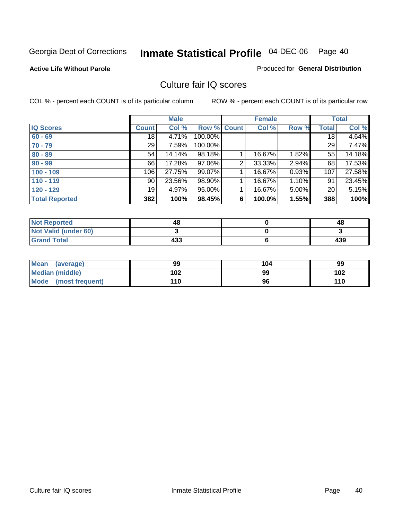### **Active Life Without Parole**

#### Produced for **General Distribution**

### Culture fair IQ scores

|                       |                 | <b>Male</b> |         |              | <b>Female</b> |       |                 | <b>Total</b> |
|-----------------------|-----------------|-------------|---------|--------------|---------------|-------|-----------------|--------------|
| <b>IQ Scores</b>      | <b>Count</b>    | Col %       | Row %   | <b>Count</b> | Col %         | Row % | <b>Total</b>    | Col %        |
| $60 - 69$             | $\overline{18}$ | 4.71%       | 100.00% |              |               |       | $\overline{18}$ | 4.64%        |
| $70 - 79$             | 29              | 7.59%       | 100.00% |              |               |       | 29              | 7.47%        |
| $80 - 89$             | 54              | 14.14%      | 98.18%  |              | 16.67%        | 1.82% | 55              | 14.18%       |
| $90 - 99$             | 66              | 17.28%      | 97.06%  | 2            | 33.33%        | 2.94% | 68              | 17.53%       |
| $100 - 109$           | 106             | 27.75%      | 99.07%  |              | 16.67%        | 0.93% | 107             | 27.58%       |
| $110 - 119$           | 90              | 23.56%      | 98.90%  |              | 16.67%        | 1.10% | 91              | 23.45%       |
| $120 - 129$           | 19 <sup>1</sup> | 4.97%       | 95.00%  |              | 16.67%        | 5.00% | 20              | 5.15%        |
| <b>Total Reported</b> | 382             | 100%        | 98.45%  | 6            | 100.0%        | 1.55% | 388             | 100%         |

| <b>Not Reported</b>         | 48  | 48  |
|-----------------------------|-----|-----|
| <b>Not Valid (under 60)</b> |     |     |
| <b>Grand Total</b>          | 433 | 439 |

| <b>Mean</b><br>(average) | 99  | 104 | 99  |
|--------------------------|-----|-----|-----|
| Median (middle)          | 102 | 99  | 102 |
| Mode (most frequent)     | 110 | 96  | 110 |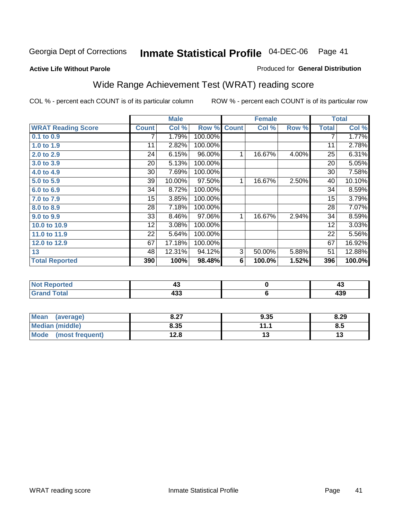**Active Life Without Parole** 

#### Produced for **General Distribution**

# Wide Range Achievement Test (WRAT) reading score

|                           |                 | <b>Male</b> |         |              | <b>Female</b> |       |                 | <b>Total</b> |
|---------------------------|-----------------|-------------|---------|--------------|---------------|-------|-----------------|--------------|
| <b>WRAT Reading Score</b> | <b>Count</b>    | Col %       | Row %   | <b>Count</b> | Col %         | Row % | <b>Total</b>    | Col %        |
| 0.1 to 0.9                |                 | 1.79%       | 100.00% |              |               |       | 7               | 1.77%        |
| 1.0 to 1.9                | 11              | 2.82%       | 100.00% |              |               |       | $\overline{11}$ | 2.78%        |
| 2.0 to 2.9                | 24              | 6.15%       | 96.00%  | 1            | 16.67%        | 4.00% | 25              | 6.31%        |
| 3.0 to 3.9                | $\overline{20}$ | 5.13%       | 100.00% |              |               |       | 20              | 5.05%        |
| 4.0 to 4.9                | 30              | 7.69%       | 100.00% |              |               |       | 30              | 7.58%        |
| 5.0 to 5.9                | 39              | 10.00%      | 97.50%  | 1            | 16.67%        | 2.50% | 40              | 10.10%       |
| 6.0 to 6.9                | 34              | 8.72%       | 100.00% |              |               |       | 34              | 8.59%        |
| 7.0 to 7.9                | 15              | 3.85%       | 100.00% |              |               |       | 15              | 3.79%        |
| 8.0 to 8.9                | 28              | 7.18%       | 100.00% |              |               |       | 28              | 7.07%        |
| 9.0 to 9.9                | 33              | 8.46%       | 97.06%  | 1            | 16.67%        | 2.94% | 34              | 8.59%        |
| 10.0 to 10.9              | 12              | 3.08%       | 100.00% |              |               |       | 12              | 3.03%        |
| 11.0 to 11.9              | 22              | 5.64%       | 100.00% |              |               |       | 22              | 5.56%        |
| 12.0 to 12.9              | 67              | 17.18%      | 100.00% |              |               |       | 67              | 16.92%       |
| 13                        | 48              | 12.31%      | 94.12%  | 3            | 50.00%        | 5.88% | 51              | 12.88%       |
| <b>Total Reported</b>     | 390             | 100%        | 98.48%  | 6            | 100.0%        | 1.52% | 396             | 100.0%       |
|                           |                 |             |         |              |               |       |                 |              |
| <b>Not Reported</b>       |                 | 43          |         |              | $\pmb{0}$     |       |                 | 43           |
| <b>Grand Total</b>        |                 | 433         |         |              | 6             |       |                 | 439          |

| <b>Mean</b><br>(average)       | 0.27<br>0.Z1 | 9.35      | 8.29 |
|--------------------------------|--------------|-----------|------|
| <b>Median (middle)</b>         | 8.35         | 11.1<br>. | 8.5  |
| <b>Mode</b><br>(most frequent) | 12.8         | ′∙        | ט ו  |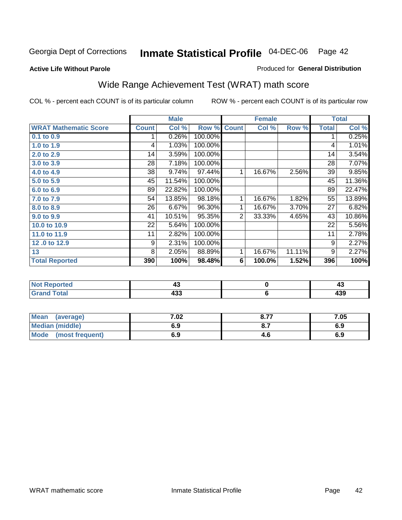#### **Active Life Without Parole**

### Produced for **General Distribution**

# Wide Range Achievement Test (WRAT) math score

|                              |              | <b>Male</b> |         |              | <b>Female</b> |        |                 | <b>Total</b> |
|------------------------------|--------------|-------------|---------|--------------|---------------|--------|-----------------|--------------|
| <b>WRAT Mathematic Score</b> | <b>Count</b> | Col %       | Row %   | <b>Count</b> | Col %         | Row %  | <b>Total</b>    | Col %        |
| 0.1 to 0.9                   |              | 0.26%       | 100.00% |              |               |        | 1               | 0.25%        |
| 1.0 to 1.9                   | 4            | 1.03%       | 100.00% |              |               |        | 4               | 1.01%        |
| 2.0 to 2.9                   | 14           | 3.59%       | 100.00% |              |               |        | 14              | 3.54%        |
| 3.0 to 3.9                   | 28           | 7.18%       | 100.00% |              |               |        | 28              | 7.07%        |
| 4.0 to 4.9                   | 38           | 9.74%       | 97.44%  | 1            | 16.67%        | 2.56%  | 39              | 9.85%        |
| 5.0 to 5.9                   | 45           | 11.54%      | 100.00% |              |               |        | 45              | 11.36%       |
| 6.0 to 6.9                   | 89           | 22.82%      | 100.00% |              |               |        | 89              | 22.47%       |
| 7.0 to 7.9                   | 54           | 13.85%      | 98.18%  | 1            | 16.67%        | 1.82%  | 55              | 13.89%       |
| 8.0 to 8.9                   | 26           | 6.67%       | 96.30%  | 1            | 16.67%        | 3.70%  | $\overline{27}$ | 6.82%        |
| 9.0 to 9.9                   | 41           | 10.51%      | 95.35%  | 2            | 33.33%        | 4.65%  | 43              | 10.86%       |
| 10.0 to 10.9                 | 22           | 5.64%       | 100.00% |              |               |        | 22              | 5.56%        |
| 11.0 to 11.9                 | 11           | 2.82%       | 100.00% |              |               |        | 11              | 2.78%        |
| 12.0 to 12.9                 | 9            | 2.31%       | 100.00% |              |               |        | 9               | 2.27%        |
| 13                           | 8            | 2.05%       | 88.89%  | $\mathbf{1}$ | 16.67%        | 11.11% | 9               | 2.27%        |
| <b>Total Reported</b>        | 390          | 100%        | 98.48%  | 6            | 100.0%        | 1.52%  | 396             | 100%         |
|                              |              |             |         |              |               |        |                 |              |
| <b>Not Reported</b>          |              | 43          |         |              | $\pmb{0}$     |        |                 | 43           |
| <b>Grand Total</b>           |              | 433         |         |              | 6             |        |                 | 439          |

| <b>Mean</b><br>(average) | 7.02 | 0.77<br>0.7 | 7.05 |
|--------------------------|------|-------------|------|
| <b>Median (middle)</b>   | 6.9  |             | 6.Y  |
| Mode<br>(most frequent)  | 6.9  | 4.0         | 6.9  |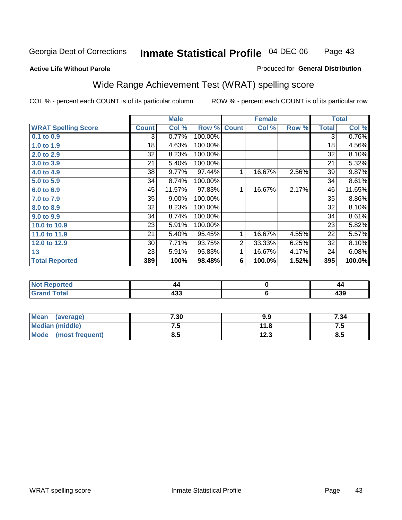### **Active Life Without Parole**

#### Produced for **General Distribution**

# Wide Range Achievement Test (WRAT) spelling score

|                            |                 | <b>Male</b> |         |                | <b>Female</b> |       |                | <b>Total</b> |
|----------------------------|-----------------|-------------|---------|----------------|---------------|-------|----------------|--------------|
| <b>WRAT Spelling Score</b> | <b>Count</b>    | Col %       | Row %   | <b>Count</b>   | Col %         | Row % | <b>Total</b>   | Col %        |
| $0.1$ to $0.9$             | 3               | 0.77%       | 100.00% |                |               |       | $\overline{3}$ | 0.76%        |
| 1.0 to 1.9                 | 18              | 4.63%       | 100.00% |                |               |       | 18             | 4.56%        |
| 2.0 to 2.9                 | 32              | 8.23%       | 100.00% |                |               |       | 32             | 8.10%        |
| 3.0 to 3.9                 | 21              | 5.40%       | 100.00% |                |               |       | 21             | 5.32%        |
| 4.0 to 4.9                 | 38              | 9.77%       | 97.44%  | 1              | 16.67%        | 2.56% | 39             | 9.87%        |
| 5.0 to 5.9                 | 34              | 8.74%       | 100.00% |                |               |       | 34             | 8.61%        |
| 6.0 to 6.9                 | 45              | 11.57%      | 97.83%  | 1              | 16.67%        | 2.17% | 46             | 11.65%       |
| 7.0 to 7.9                 | 35              | 9.00%       | 100.00% |                |               |       | 35             | 8.86%        |
| 8.0 to 8.9                 | 32              | 8.23%       | 100.00% |                |               |       | 32             | 8.10%        |
| 9.0 to 9.9                 | 34              | 8.74%       | 100.00% |                |               |       | 34             | 8.61%        |
| 10.0 to 10.9               | 23              | 5.91%       | 100.00% |                |               |       | 23             | 5.82%        |
| 11.0 to 11.9               | $\overline{21}$ | 5.40%       | 95.45%  | 1              | 16.67%        | 4.55% | 22             | 5.57%        |
| 12.0 to 12.9               | 30              | 7.71%       | 93.75%  | $\overline{2}$ | 33.33%        | 6.25% | 32             | 8.10%        |
| 13                         | 23              | 5.91%       | 95.83%  | 1              | 16.67%        | 4.17% | 24             | 6.08%        |
| <b>Total Reported</b>      | 389             | 100%        | 98.48%  | 6              | 100.0%        | 1.52% | 395            | 100.0%       |
|                            |                 |             |         |                |               |       |                |              |
| <b>Not Reported</b>        |                 | 44          |         |                | $\pmb{0}$     |       |                | 44           |
| <b>Grand Total</b>         |                 | 433         |         |                | $\bf 6$       |       |                | 439          |

| Mean (average)       | 7.30 | 9.9  | 7.34 |
|----------------------|------|------|------|
| Median (middle)      | ن. ا | 11.8 | ن ،  |
| Mode (most frequent) | 8.5  | 12.3 | 8.5  |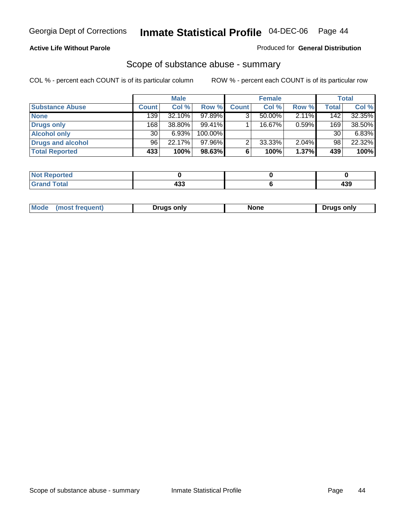#### **Active Life Without Parole**

#### Produced for **General Distribution**

### Scope of substance abuse - summary

|                        |        | <b>Male</b> |            |              | <b>Female</b> |       |       | Total    |
|------------------------|--------|-------------|------------|--------------|---------------|-------|-------|----------|
| <b>Substance Abuse</b> | Count! | Col %       | Row %      | <b>Count</b> | Col %         | Row % | Total | Col %    |
| <b>None</b>            | 139    | $32.10\%$   | 97.89%     |              | 50.00%        | 2.11% | 142   | 32.35%   |
| Drugs only             | 168    | 38.80%      | $99.41\%$  |              | 16.67%        | 0.59% | 169   | 38.50%   |
| <b>Alcohol only</b>    | 30     | 6.93%       | $100.00\%$ |              |               |       | 30    | $6.83\%$ |
| Drugs and alcohol      | 96     | 22.17%      | $97.96\%$  | າ            | 33.33%        | 2.04% | 98    | 22.32%   |
| <b>Total Reported</b>  | 433    | 100%        | 98.63%     | 6            | 100%          | 1.37% | 439   | 100%     |

| <b>Reported</b><br>$\sim$ |  |                 |
|---------------------------|--|-----------------|
| <b>Total</b><br>$\sim$    |  | "<br>ヿつご<br>$-$ |

|  | Mode<br>ונוצוווי | Druas onlv | None | only<br>Pruas . |
|--|------------------|------------|------|-----------------|
|--|------------------|------------|------|-----------------|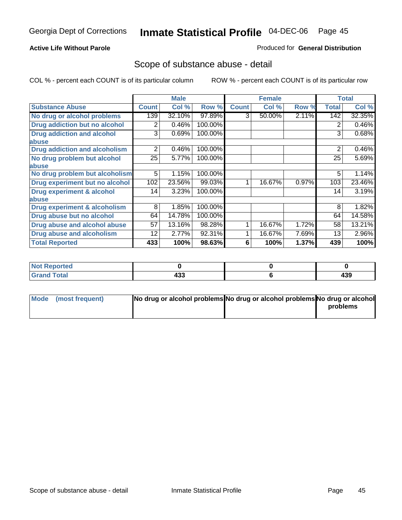### **Active Life Without Parole**

#### Produced for **General Distribution**

### Scope of substance abuse - detail

|                                         |              | <b>Male</b> |         |              | <b>Female</b> |       |              | <b>Total</b> |
|-----------------------------------------|--------------|-------------|---------|--------------|---------------|-------|--------------|--------------|
| <b>Substance Abuse</b>                  | <b>Count</b> | Col %       | Row %   | <b>Count</b> | Col %         | Row % | <b>Total</b> | Col %        |
| No drug or alcohol problems             | 139          | 32.10%      | 97.89%  | 3            | 50.00%        | 2.11% | 142          | 32.35%       |
| Drug addiction but no alcohol           | 2            | 0.46%       | 100.00% |              |               |       | 2            | 0.46%        |
| <b>Drug addiction and alcohol</b>       | 3            | 0.69%       | 100.00% |              |               |       | 3            | 0.68%        |
| abuse                                   |              |             |         |              |               |       |              |              |
| <b>Drug addiction and alcoholism</b>    | 2            | 0.46%       | 100.00% |              |               |       | 2            | 0.46%        |
| No drug problem but alcohol             | 25           | 5.77%       | 100.00% |              |               |       | 25           | 5.69%        |
| abuse                                   |              |             |         |              |               |       |              |              |
| No drug problem but alcoholism          | 5            | 1.15%       | 100.00% |              |               |       | 5            | 1.14%        |
| Drug experiment but no alcohol          | 102          | 23.56%      | 99.03%  |              | 16.67%        | 0.97% | 103          | 23.46%       |
| <b>Drug experiment &amp; alcohol</b>    | 14           | 3.23%       | 100.00% |              |               |       | 14           | 3.19%        |
| abuse                                   |              |             |         |              |               |       |              |              |
| <b>Drug experiment &amp; alcoholism</b> | 8            | 1.85%       | 100.00% |              |               |       | 8            | 1.82%        |
| Drug abuse but no alcohol               | 64           | 14.78%      | 100.00% |              |               |       | 64           | 14.58%       |
| Drug abuse and alcohol abuse            | 57           | 13.16%      | 98.28%  |              | 16.67%        | 1.72% | 58           | 13.21%       |
| Drug abuse and alcoholism               | 12           | 2.77%       | 92.31%  |              | 16.67%        | 7.69% | 13           | 2.96%        |
| <b>Total Reported</b>                   | 433          | 100%        | 98.63%  | 6            | 100%          | 1.37% | 439          | 100%         |

| <b>Not Reported</b> |     |     |
|---------------------|-----|-----|
| <b>Total</b>        |     | ה ה |
| <b>Gran</b>         | 499 | 493 |

| Mode (most frequent) | No drug or alcohol problems No drug or alcohol problems No drug or alcohol |          |
|----------------------|----------------------------------------------------------------------------|----------|
|                      |                                                                            | problems |
|                      |                                                                            |          |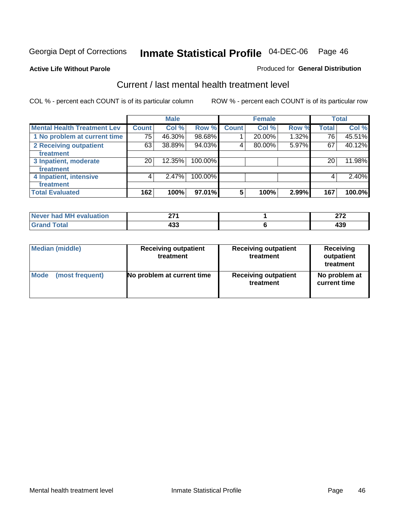#### **Active Life Without Parole**

#### Produced for **General Distribution**

### Current / last mental health treatment level

|                                    |              | <b>Male</b> |            |                 | <b>Female</b> |       |              | <b>Total</b> |
|------------------------------------|--------------|-------------|------------|-----------------|---------------|-------|--------------|--------------|
| <b>Mental Health Treatment Lev</b> | <b>Count</b> | Col %       | Row %      | <b>Count</b>    | Col %         | Row % | <b>Total</b> | Col %        |
| 1 No problem at current time       | 75           | 46.30%      | 98.68%     |                 | 20.00%        | 1.32% | 76           | 45.51%       |
| 2 Receiving outpatient             | 63           | 38.89%      | 94.03%     | 4               | 80.00%        | 5.97% | 67           | 40.12%       |
| treatment                          |              |             |            |                 |               |       |              |              |
| 3 Inpatient, moderate              | 20           | 12.35%      | 100.00%    |                 |               |       | 20           | 11.98%       |
| treatment                          |              |             |            |                 |               |       |              |              |
| 4 Inpatient, intensive             | 4            | 2.47%       | $100.00\%$ |                 |               |       | 4            | 2.40%        |
| treatment                          |              |             |            |                 |               |       |              |              |
| <b>Total Evaluated</b>             | 162          | 100%        | 97.01%     | $5\phantom{.0}$ | 100%          | 2.99% | 167          | 100.0%       |

| Never had MH evaluation | ヘラィ        | $\sim$                          |
|-------------------------|------------|---------------------------------|
| <b>Total</b>            | ,,,<br>499 | $\overline{\phantom{a}}$<br>כטו |

| <b>Median (middle)</b> | <b>Receiving outpatient</b><br>treatment | <b>Receiving outpatient</b><br>treatment | <b>Receiving</b><br>outpatient<br>treatment |
|------------------------|------------------------------------------|------------------------------------------|---------------------------------------------|
| <b>Mode</b>            | No problem at current time               | <b>Receiving outpatient</b>              | No problem at                               |
| (most frequent)        |                                          | treatment                                | current time                                |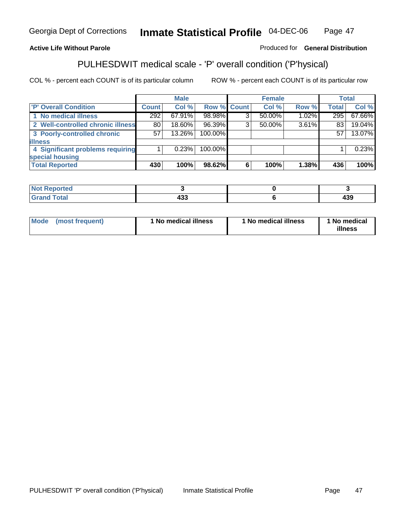### **Active Life Without Parole**

#### Produced for **General Distribution**

### PULHESDWIT medical scale - 'P' overall condition ('P'hysical)

|                                   |              | <b>Male</b> |                    |   | <b>Female</b> |          |              | <b>Total</b> |
|-----------------------------------|--------------|-------------|--------------------|---|---------------|----------|--------------|--------------|
| 'P' Overall Condition             | <b>Count</b> | Col %       | <b>Row % Count</b> |   | Col %         | Row %    | <b>Total</b> | Col %        |
| 1 No medical illness              | 292          | $67.91\%$   | 98.98%             | ົ | 50.00%        | $1.02\%$ | 295          | 67.66%       |
| 2 Well-controlled chronic illness | 80           | 18.60%      | 96.39%             | 3 | $50.00\%$     | 3.61%    | 83           | 19.04%       |
| 3 Poorly-controlled chronic       | 57           | 13.26%      | 100.00%            |   |               |          | 57           | 13.07%       |
| <b>illness</b>                    |              |             |                    |   |               |          |              |              |
| 4 Significant problems requiring  |              | 0.23%       | 100.00%            |   |               |          |              | 0.23%        |
| special housing                   |              |             |                    |   |               |          |              |              |
| <b>Total Reported</b>             | 430          | 100%        | 98.62%             | 6 | 100%          | 1.38%    | 436          | 100%         |

| <b>Not Reported</b>           |            |     |
|-------------------------------|------------|-----|
| <b>Total</b><br><b>'Grand</b> | ,,,<br>400 | 439 |

| <b>Mode</b> | (most frequent) | <sup>1</sup> No medical illness | 'No medical illness | 1 No medical<br>illness |
|-------------|-----------------|---------------------------------|---------------------|-------------------------|
|-------------|-----------------|---------------------------------|---------------------|-------------------------|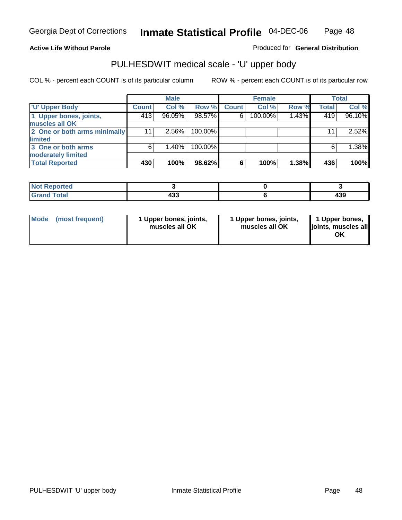### **Active Life Without Parole**

Produced for **General Distribution**

# PULHESDWIT medical scale - 'U' upper body

|                              |              | <b>Male</b> |         |              | <b>Female</b> |       |              | <b>Total</b> |
|------------------------------|--------------|-------------|---------|--------------|---------------|-------|--------------|--------------|
| <b>TU' Upper Body</b>        | <b>Count</b> | Col %       | Row %   | <b>Count</b> | Col %         | Row % | <b>Total</b> | Col %        |
| 1 Upper bones, joints,       | 413          | 96.05%      | 98.57%  | 6            | 100.00%       | 1.43% | 419          | 96.10%       |
| muscles all OK               |              |             |         |              |               |       |              |              |
| 2 One or both arms minimally | 11           | $2.56\%$    | 100.00% |              |               |       | 11           | 2.52%        |
| limited                      |              |             |         |              |               |       |              |              |
| 3 One or both arms           | 6            | 1.40%       | 100.00% |              |               |       | 6            | 1.38%        |
| moderately limited           |              |             |         |              |               |       |              |              |
| <b>Total Reported</b>        | 430          | 100%        | 98.62%  | 6            | 100%          | 1.38% | 436          | 100%         |

| <b>norted</b>      |            |          |
|--------------------|------------|----------|
| í ota <sup>l</sup> | ,,,<br>400 | .<br>4აა |

| l Mode<br>(most frequent) | 1 Upper bones, joints,<br>muscles all OK | 1 Upper bones, joints,<br>muscles all OK | 1 Upper bones,<br>joints, muscles all<br>ΟK |
|---------------------------|------------------------------------------|------------------------------------------|---------------------------------------------|
|---------------------------|------------------------------------------|------------------------------------------|---------------------------------------------|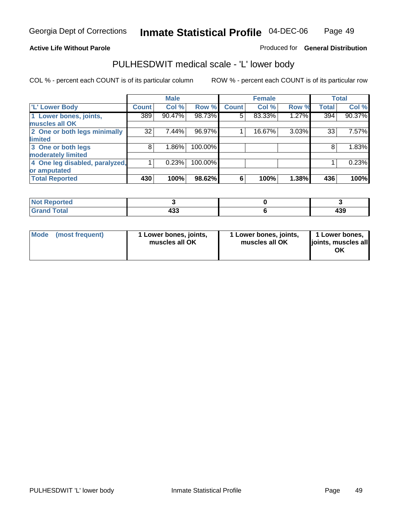#### **Active Life Without Parole**

#### Produced for **General Distribution**

### PULHESDWIT medical scale - 'L' lower body

|                                |              | <b>Male</b> |         |              | <b>Female</b> |       |              | <b>Total</b> |
|--------------------------------|--------------|-------------|---------|--------------|---------------|-------|--------------|--------------|
| 'L' Lower Body                 | <b>Count</b> | Col %       | Row %   | <b>Count</b> | Col %         | Row % | <b>Total</b> | Col %        |
| 1 Lower bones, joints,         | 389          | 90.47%      | 98.73%  | 5            | 83.33%        | 1.27% | 394          | 90.37%       |
| muscles all OK                 |              |             |         |              |               |       |              |              |
| 2 One or both legs minimally   | 32           | 7.44%       | 96.97%  |              | 16.67%        | 3.03% | 33           | 7.57%        |
| limited                        |              |             |         |              |               |       |              |              |
| 3 One or both legs             | 8            | 1.86%       | 100.00% |              |               |       | 8            | 1.83%        |
| moderately limited             |              |             |         |              |               |       |              |              |
| 4 One leg disabled, paralyzed, |              | 0.23%       | 100.00% |              |               |       |              | 0.23%        |
| or amputated                   |              |             |         |              |               |       |              |              |
| <b>Total Reported</b>          | 430          | 100%        | 98.62%  | 6            | 100%          | 1.38% | 436          | 100%         |

| <b>TATAL</b><br><b>Entrancement</b><br>'NH |            |            |
|--------------------------------------------|------------|------------|
| $f \wedge f \wedge f$<br>ι υιαι<br>.       | ,,,<br>100 | 120<br>499 |

|  | Mode (most frequent) | 1 Lower bones, joints,<br>muscles all OK | 1 Lower bones, joints,<br>muscles all OK | 1 Lower bones,<br>joints, muscles all<br>OK |
|--|----------------------|------------------------------------------|------------------------------------------|---------------------------------------------|
|--|----------------------|------------------------------------------|------------------------------------------|---------------------------------------------|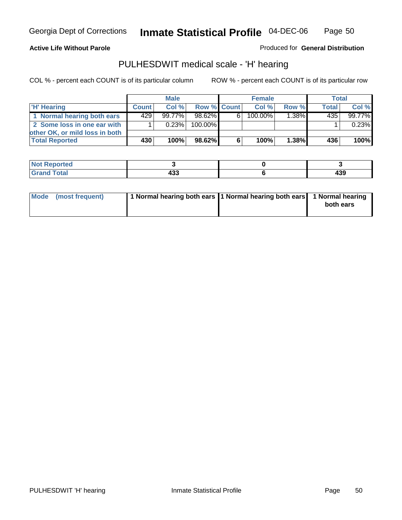**Active Life Without Parole** 

Produced for **General Distribution**

### PULHESDWIT medical scale - 'H' hearing

|                                |              | <b>Male</b> |             |    | <b>Female</b> |       | Total        |        |
|--------------------------------|--------------|-------------|-------------|----|---------------|-------|--------------|--------|
| <b>H' Hearing</b>              | <b>Count</b> | Col%        | Row % Count |    | Col%          | Row % | <b>Total</b> | Col %  |
| 1 Normal hearing both ears     | 429          | $99.77\%$   | 98.62%      | 61 | 100.00%       | 1.38% | 435          | 99.77% |
| 2 Some loss in one ear with    |              | 0.23%       | 100.00%     |    |               |       |              | 0.23%  |
| other OK, or mild loss in both |              |             |             |    |               |       |              |        |
| <b>Total Reported</b>          | 430          | 100%        | 98.62%      |    | 100%          | 1.38% | 436'         | 100%   |

| тео       |           |     |
|-----------|-----------|-----|
| otal<br>_ | .<br>$ -$ | 439 |

| Mode (most frequent) | 1 Normal hearing both ears 1 Normal hearing both ears 1 Normal hearing | both ears |
|----------------------|------------------------------------------------------------------------|-----------|
|                      |                                                                        |           |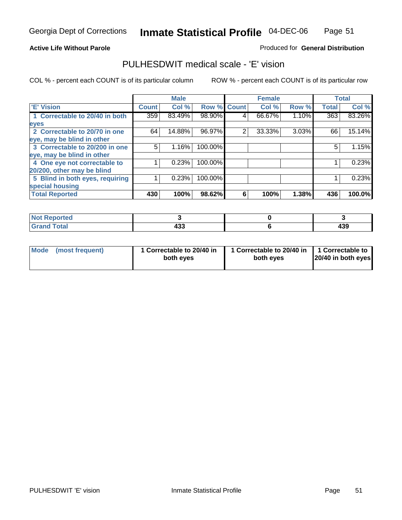#### **Active Life Without Parole**

#### Produced for **General Distribution**

### PULHESDWIT medical scale - 'E' vision

|                                 |              | <b>Male</b> |                    |   | <b>Female</b> |       |              | <b>Total</b> |
|---------------------------------|--------------|-------------|--------------------|---|---------------|-------|--------------|--------------|
| 'E' Vision                      | <b>Count</b> | Col %       | <b>Row % Count</b> |   | Col %         | Row % | <b>Total</b> | Col %        |
| 1 Correctable to 20/40 in both  | 359          | 83.49%      | 98.90%             | 4 | 66.67%        | 1.10% | 363          | 83.26%       |
| eyes                            |              |             |                    |   |               |       |              |              |
| 2 Correctable to 20/70 in one   | 64           | 14.88%      | 96.97%             | 2 | 33.33%        | 3.03% | 66           | 15.14%       |
| eye, may be blind in other      |              |             |                    |   |               |       |              |              |
| 3 Correctable to 20/200 in one  | 5            | 1.16%       | 100.00%            |   |               |       | 5            | 1.15%        |
| eye, may be blind in other      |              |             |                    |   |               |       |              |              |
| 4 One eye not correctable to    |              | 0.23%       | 100.00%            |   |               |       |              | 0.23%        |
| 20/200, other may be blind      |              |             |                    |   |               |       |              |              |
| 5 Blind in both eyes, requiring |              | 0.23%       | 100.00%            |   |               |       |              | 0.23%        |
| special housing                 |              |             |                    |   |               |       |              |              |
| <b>Total Reported</b>           | 430          | 100%        | 98.62%             | 6 | 100%          | 1.38% | 436          | 100.0%       |

| <b>Not Reported</b> |     |     |
|---------------------|-----|-----|
| <b>Total</b>        | ,,, | ,,, |
| Grr                 | 499 | 439 |

| Mode | (most frequent) | 1 Correctable to 20/40 in<br>both eves | 1 Correctable to 20/40 in   1 Correctable to<br>both eves | 20/40 in both eyes |
|------|-----------------|----------------------------------------|-----------------------------------------------------------|--------------------|
|------|-----------------|----------------------------------------|-----------------------------------------------------------|--------------------|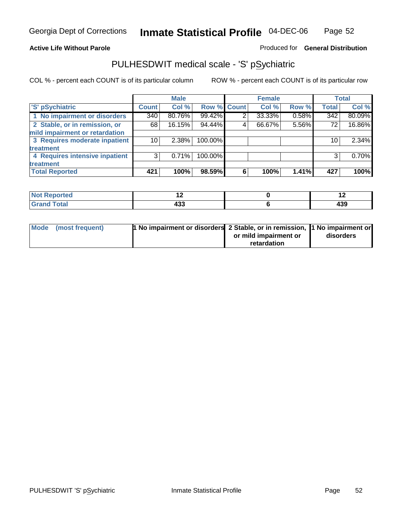### **Active Life Without Parole**

### Produced for **General Distribution**

# PULHESDWIT medical scale - 'S' pSychiatric

|                                |                 | <b>Male</b> |             |                | <b>Female</b> |       |              | <b>Total</b> |
|--------------------------------|-----------------|-------------|-------------|----------------|---------------|-------|--------------|--------------|
| 'S' pSychiatric                | <b>Count</b>    | Col %       | Row % Count |                | Col %         | Row % | <b>Total</b> | Col %        |
| 1 No impairment or disorders   | 340             | 80.76%      | 99.42%      | $\overline{2}$ | 33.33%        | 0.58% | 342          | 80.09%       |
| 2 Stable, or in remission, or  | 68              | 16.15%      | 94.44%      | 4              | 66.67%        | 5.56% | 72           | 16.86%       |
| mild impairment or retardation |                 |             |             |                |               |       |              |              |
| 3 Requires moderate inpatient  | 10 <sup>1</sup> | 2.38%       | 100.00%     |                |               |       | 10           | 2.34%        |
| treatment                      |                 |             |             |                |               |       |              |              |
| 4 Requires intensive inpatient | 3               | 0.71%       | 100.00%     |                |               |       |              | 0.70%        |
| treatment                      |                 |             |             |                |               |       |              |              |
| <b>Total Reported</b>          | 421             | 100%        | 98.59%      | 6              | 100%          | 1.41% | 427          | 100%l        |

| المناسب<br>prted<br>.<br>. | . . |     |
|----------------------------|-----|-----|
| <b>otal</b>                | ,,, | ,,, |
| ______                     | 499 | 133 |

| Mode (most frequent) | 1 No impairment or disorders 2 Stable, or in remission, 1 No impairment or |                       |           |
|----------------------|----------------------------------------------------------------------------|-----------------------|-----------|
|                      |                                                                            | or mild impairment or | disorders |
|                      |                                                                            | retardation           |           |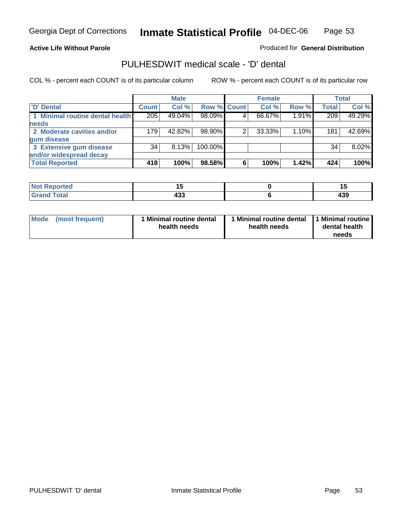**Active Life Without Parole** 

Produced for **General Distribution**

### PULHESDWIT medical scale - 'D' dental

|                                 |       | <b>Male</b> |             |   | <b>Female</b> |       |              | <b>Total</b> |
|---------------------------------|-------|-------------|-------------|---|---------------|-------|--------------|--------------|
| <b>D'</b> Dental                | Count | Col %       | Row % Count |   | Col %         | Row % | <b>Total</b> | Col %        |
| 1 Minimal routine dental health | 205   | 49.04%      | 98.09%      |   | 66.67%        | 1.91% | 209          | 49.29%       |
| <b>needs</b>                    |       |             |             |   |               |       |              |              |
| 2 Moderate cavities and/or      | 179   | 42.82%      | 98.90%      |   | 33.33%        | 1.10% | 181          | 42.69%       |
| gum disease                     |       |             |             |   |               |       |              |              |
| 3 Extensive gum disease         | 34    | 8.13%       | 100.00%     |   |               |       | 34           | 8.02%        |
| and/or widespread decay         |       |             |             |   |               |       |              |              |
| <b>Total Reported</b>           | 418   | 100%        | 98.58%      | 6 | 100%          | 1.42% | 424          | 100%         |

| <b>rted</b><br>N                   | יי<br>$\sim$       |                                     |
|------------------------------------|--------------------|-------------------------------------|
| $\sim$ $\sim$ $\sim$<br>. <u>.</u> | ,,,<br>4აა<br>$ -$ | .<br>ーママ<br>$\cdot$ $\cdot$ $\cdot$ |

| Mode (most frequent) | <b>Minimal routine dental</b><br>health needs | 1 Minimal routine dental<br>health needs | 1 Minimal routine<br>dental health<br>needs |
|----------------------|-----------------------------------------------|------------------------------------------|---------------------------------------------|
|----------------------|-----------------------------------------------|------------------------------------------|---------------------------------------------|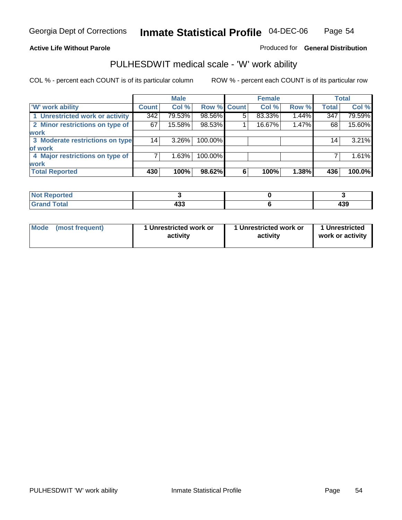### **Active Life Without Parole**

### Produced for **General Distribution**

### PULHESDWIT medical scale - 'W' work ability

|                                 |              | <b>Male</b> |             |   | <b>Female</b> |       |              | <b>Total</b> |
|---------------------------------|--------------|-------------|-------------|---|---------------|-------|--------------|--------------|
| <b>W' work ability</b>          | <b>Count</b> | Col %       | Row % Count |   | Col %         | Row % | <b>Total</b> | Col %        |
| 1 Unrestricted work or activity | 342          | 79.53%      | 98.56%      | 5 | 83.33%        | 1.44% | 347          | 79.59%       |
| 2 Minor restrictions on type of | 67           | 15.58%      | 98.53%      |   | 16.67%        | 1.47% | 68           | 15.60%       |
| <b>work</b>                     |              |             |             |   |               |       |              |              |
| 3 Moderate restrictions on type | 14           | $3.26\%$    | 100.00%     |   |               |       | 14           | 3.21%        |
| of work                         |              |             |             |   |               |       |              |              |
| 4 Major restrictions on type of |              | 1.63%       | 100.00%     |   |               |       |              | 1.61%        |
| <b>work</b>                     |              |             |             |   |               |       |              |              |
| <b>Total Reported</b>           | 430          | 100%        | 98.62%      | 6 | 100%          | 1.38% | 436          | 100.0%       |

| <b>Reported</b><br>. |     |     |
|----------------------|-----|-----|
| <b>Total</b>         | ,,, | "^^ |
| <b>C</b>             | 433 | 439 |

| Mode | (most frequent) | 1 Unrestricted work or<br>activity | 1 Unrestricted work or<br>activity | 1 Unrestricted<br>work or activity |
|------|-----------------|------------------------------------|------------------------------------|------------------------------------|
|      |                 |                                    |                                    |                                    |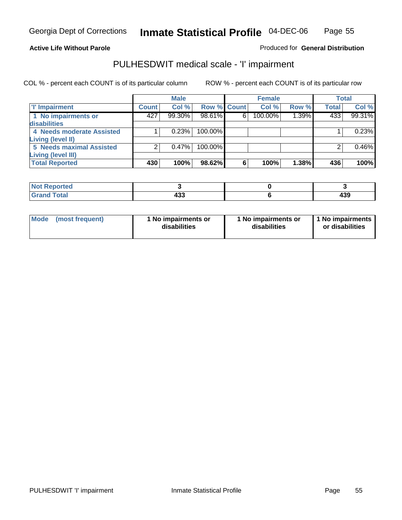#### **Active Life Without Parole**

### Produced for **General Distribution**

### PULHESDWIT medical scale - 'I' impairment

|                                 |              | <b>Male</b> |             |   | <b>Female</b> |       |              | <b>Total</b> |
|---------------------------------|--------------|-------------|-------------|---|---------------|-------|--------------|--------------|
| <b>T' Impairment</b>            | <b>Count</b> | Col %       | Row % Count |   | Col %         | Row % | <b>Total</b> | Col %        |
| 1 No impairments or             | 427          | 99.30%      | 98.61%      | 6 | 100.00%       | 1.39% | 433          | 99.31%       |
| disabilities                    |              |             |             |   |               |       |              |              |
| 4 Needs moderate Assisted       |              | 0.23%       | 100.00%     |   |               |       |              | 0.23%        |
| Living (level II)               |              |             |             |   |               |       |              |              |
| <b>5 Needs maximal Assisted</b> |              | 0.47%       | 100.00%     |   |               |       |              | 0.46%        |
| <b>Living (level III)</b>       |              |             |             |   |               |       |              |              |
| <b>Total Reported</b>           | 430          | 100%        | 98.62%      | 6 | 100%          | 1.38% | 436          | 100%         |

| ported<br>NOT.<br>$\sim$ |        |            |
|--------------------------|--------|------------|
| <b>ota</b>               | <br>┱┅ | 10C<br>403 |

| Mode            | 1 No impairments or | 1 No impairments or | 1 No impairments |
|-----------------|---------------------|---------------------|------------------|
| (most frequent) | disabilities        | disabilities        | or disabilities  |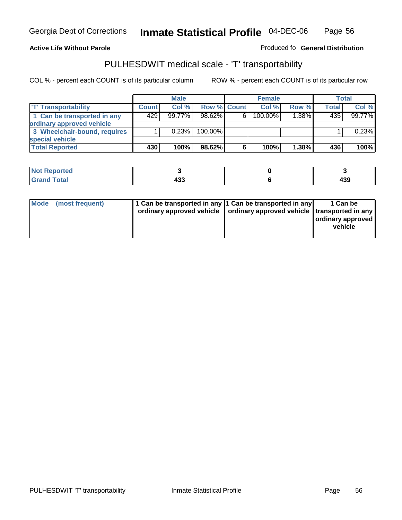#### **Inmate Statistical Profile** 04-DEC-06 Page Page 56

**Active Life Without Parole Produced fo Seneral Distribution** 

### PULHESDWIT medical scale - 'T' transportability

|                              |              | <b>Male</b> |                    |   | <b>Female</b> |          |              | <b>Total</b> |
|------------------------------|--------------|-------------|--------------------|---|---------------|----------|--------------|--------------|
| <b>T' Transportability</b>   | <b>Count</b> | Col%        | <b>Row % Count</b> |   | Col%          | Row %    | <b>Total</b> | Col %        |
| 1 Can be transported in any  | 429          | $99.77\%$   | $98.62\%$          | 6 | 100.00%       | $1.38\%$ | 435          | 99.77%       |
| ordinary approved vehicle    |              |             |                    |   |               |          |              |              |
| 3 Wheelchair-bound, requires |              | 0.23%       | 100.00%            |   |               |          |              | 0.23%        |
| special vehicle              |              |             |                    |   |               |          |              |              |
| <b>Total Reported</b>        | 430          | 100%        | 98.62%             | 6 | 100%          | 1.38%    | 436          | 100%         |

| <b>Not Reported</b> |     |     |
|---------------------|-----|-----|
| <b>Total</b>        |     | ,,, |
| Cro                 | 433 | 499 |

| Mode | (most frequent) | 1 Can be transported in any 1 Can be transported in any | ordinary approved vehicle   ordinary approved vehicle   transported in any | 1 Can be<br>ordinary approved<br>vehicle |
|------|-----------------|---------------------------------------------------------|----------------------------------------------------------------------------|------------------------------------------|
|------|-----------------|---------------------------------------------------------|----------------------------------------------------------------------------|------------------------------------------|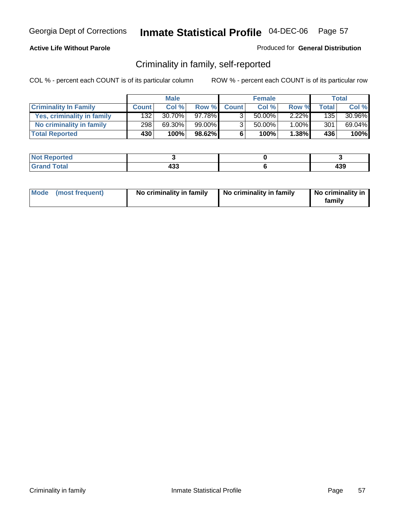### **Active Life Without Parole**

#### Produced for **General Distribution**

### Criminality in family, self-reported

|                              |              | <b>Male</b> |        |                | <b>Female</b> |          |       | Total  |
|------------------------------|--------------|-------------|--------|----------------|---------------|----------|-------|--------|
| <b>Criminality In Family</b> | <b>Count</b> | Col %       | Row %  | <b>Count</b>   | Col %         | Row %    | Total | Col %  |
| Yes, criminality in family   | 132          | $30.70\%$   | 97.78% | 3              | 50.00%        | $2.22\%$ | 135   | 30.96% |
| No criminality in family     | 298          | 69.30%      | 99.00% | 3 <sub>1</sub> | 50.00%        | $1.00\%$ | 301   | 69.04% |
| <b>Total Reported</b>        | 430          | 100%        | 98.62% | 6              | 100%          | $1.38\%$ | 436   | 100%   |

| ported<br><b>NOT</b><br>$\cdot$ ince |         |            |
|--------------------------------------|---------|------------|
| <b>otal</b><br>Gran<br>---           | <br>נים | חכו<br>493 |

| Mode (most frequent) |  | No criminality in family | No criminality in family | No criminality in<br>family |
|----------------------|--|--------------------------|--------------------------|-----------------------------|
|----------------------|--|--------------------------|--------------------------|-----------------------------|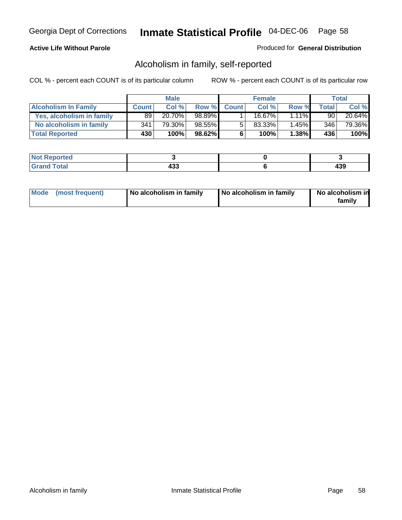### **Active Life Without Parole**

#### Produced for **General Distribution**

### Alcoholism in family, self-reported

|                             |              | <b>Male</b> |        |              | <b>Female</b> |          |       | Total  |
|-----------------------------|--------------|-------------|--------|--------------|---------------|----------|-------|--------|
| <b>Alcoholism In Family</b> | <b>Count</b> | Col %       | Row %  | <b>Count</b> | Col %         | Row %    | Total | Col %  |
| Yes, alcoholism in family   | 89           | 20.70%      | 98.89% |              | 16.67%        | $1.11\%$ | 90    | 20.64% |
| No alcoholism in family     | 341          | 79.30%      | 98.55% | 5            | 83.33%        | 1.45%    | 346   | 79.36% |
| <b>Total Reported</b>       | 430          | 100%        | 98.62% | 6            | 100%          | 1.38%    | 436   | 100%   |

| <b>Not</b><br>oorted<br>יסרו. |            |          |
|-------------------------------|------------|----------|
| Total<br>Gran<br>$\sim$       | ,,,<br>400 | .<br>403 |

|  | Mode (most frequent) | No alcoholism in family | No alcoholism in family | No alcoholism in<br>family |
|--|----------------------|-------------------------|-------------------------|----------------------------|
|--|----------------------|-------------------------|-------------------------|----------------------------|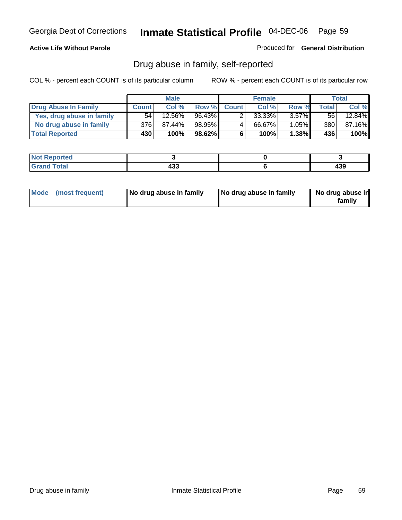#### **Active Life Without Parole**

Produced for **General Distribution**

### Drug abuse in family, self-reported

|                           |                  | <b>Male</b> |           |              | <b>Female</b> |          |       | Total  |
|---------------------------|------------------|-------------|-----------|--------------|---------------|----------|-------|--------|
| Drug Abuse In Family      | <b>Count</b>     | Col %       | Row %     | <b>Count</b> | Col %         | Row %    | Total | Col %  |
| Yes, drug abuse in family | 54               | $12.56\%$   | $96.43\%$ |              | 33.33%        | $3.57\%$ | 56 I  | 12.84% |
| No drug abuse in family   | 376              | 87.44%      | 98.95%    | 4            | 66.67%        | 1.05%    | 380   | 87.16% |
| <b>Total Reported</b>     | 430 <sup>1</sup> | 100%        | 98.62%    | 6            | 100%          | 1.38%    | 436   | 100%   |

| المتمتلس<br>NO1<br>тео |           |                |
|------------------------|-----------|----------------|
| $\sim$<br>_            | ,,,<br>__ | $\sim$<br>$ -$ |

|  | Mode (most frequent) | No drug abuse in family | No drug abuse in family | No drug abuse in<br>family |
|--|----------------------|-------------------------|-------------------------|----------------------------|
|--|----------------------|-------------------------|-------------------------|----------------------------|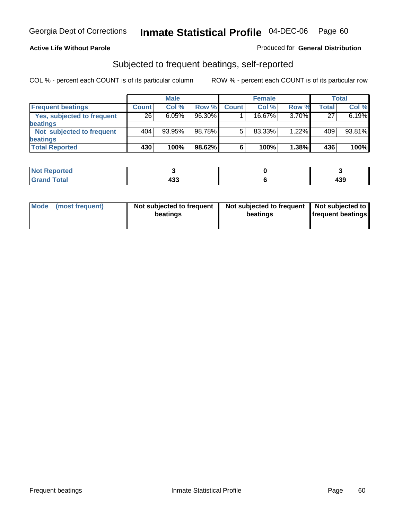#### **Active Life Without Parole**

#### Produced for **General Distribution**

### Subjected to frequent beatings, self-reported

|                            |              | <b>Male</b> |        |              | <b>Female</b> |       |       | <b>Total</b> |
|----------------------------|--------------|-------------|--------|--------------|---------------|-------|-------|--------------|
| <b>Frequent beatings</b>   | <b>Count</b> | Col%        | Row %  | <b>Count</b> | Col%          | Row % | Total | Col %        |
| Yes, subjected to frequent | 26           | 6.05%       | 96.30% |              | $16.67\%$     | 3.70% | 27    | 6.19%        |
| <b>beatings</b>            |              |             |        |              |               |       |       |              |
| Not subjected to frequent  | 404          | 93.95%      | 98.78% | 5            | 83.33%        | 1.22% | 409   | 93.81%       |
| <b>beatings</b>            |              |             |        |              |               |       |       |              |
| <b>Total Reported</b>      | 430          | 100%        | 98.62% | 6            | 100%          | 1.38% | 436   | 100%         |

| <b>Not Reported</b> |           |         |
|---------------------|-----------|---------|
| <b>Crond Total</b>  | 00<br>499 | <br>433 |

| Mode<br>(most frequent) | beatings | Not subjected to frequent | Not subjected to frequent<br>beatings | Not subjected to<br><b>frequent beatings</b> |
|-------------------------|----------|---------------------------|---------------------------------------|----------------------------------------------|
|                         |          |                           |                                       |                                              |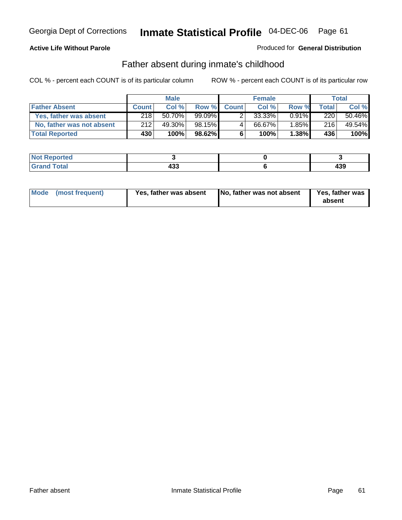### **Active Life Without Parole**

#### Produced for **General Distribution**

### Father absent during inmate's childhood

|                           |              | <b>Male</b> |         |              | <b>Female</b> |          |              | Total  |
|---------------------------|--------------|-------------|---------|--------------|---------------|----------|--------------|--------|
| <b>Father Absent</b>      | <b>Count</b> | Col%        | Row %   | <b>Count</b> | Col%          | Row %    | <b>Total</b> | Col %  |
| Yes, father was absent    | 218          | 50.70%      | 99.09%1 |              | 33.33%        | $0.91\%$ | 220          | 50.46% |
| No, father was not absent | 212          | 49.30%      | 98.15%  | 4            | 66.67%        | $1.85\%$ | 216          | 49.54% |
| <b>Total Reported</b>     | 430          | 100%        | 98.62%  | 6            | 100%          | $1.38\%$ | 436          | 100%   |

| <b>Not Reported</b>  |            |                 |
|----------------------|------------|-----------------|
| <b>Total</b><br>Cran | 100<br>ຯບພ | ,,,<br>-⊶<br>__ |

|  | Mode (most frequent) | Yes, father was absent | No, father was not absent | Yes, father was<br>absent |
|--|----------------------|------------------------|---------------------------|---------------------------|
|--|----------------------|------------------------|---------------------------|---------------------------|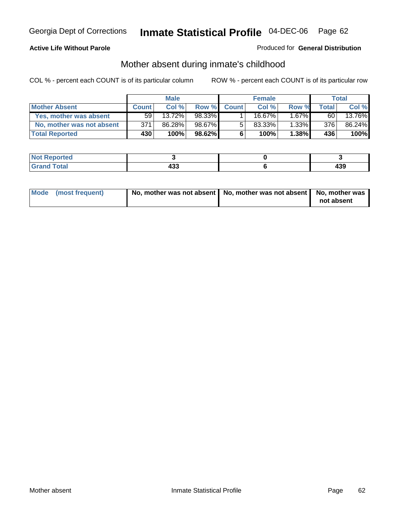#### **Active Life Without Parole**

#### Produced for **General Distribution**

# Mother absent during inmate's childhood

|                           | <b>Male</b>     |        |           | <b>Female</b> |        |          | Total |        |
|---------------------------|-----------------|--------|-----------|---------------|--------|----------|-------|--------|
| <b>Mother Absent</b>      | <b>Count</b>    | Col %  | Row %     | <b>Count</b>  | Col %  | Row %    | Total | Col %  |
| Yes, mother was absent    | 59 <sub>1</sub> | 13.72% | 98.33%    |               | 16.67% | $.67\%$  | 60    | 13.76% |
| No, mother was not absent | 371             | 86.28% | 98.67%    | 5             | 83.33% | $1.33\%$ | 376   | 86.24% |
| <b>Total Reported</b>     | 430             | 100%   | $98.62\%$ | 6             | 100%   | $1.38\%$ | 436   | 100%   |

| <b>Not Reported</b>  |            |                 |
|----------------------|------------|-----------------|
| <b>Total</b><br>Cran | 100<br>ຯບພ | ,,,<br>-⊶<br>__ |

| Mode (most frequent) | No, mother was not absent   No, mother was not absent   No, mother was | not absent |
|----------------------|------------------------------------------------------------------------|------------|
|----------------------|------------------------------------------------------------------------|------------|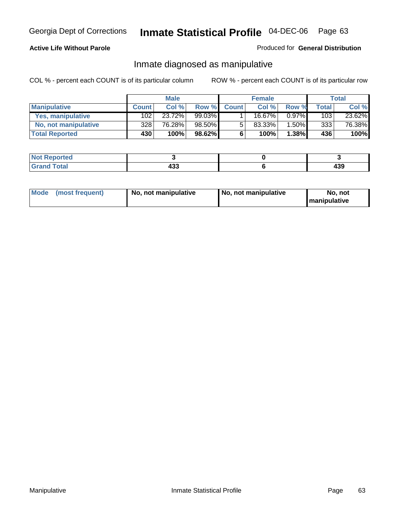### **Active Life Without Parole**

#### Produced for **General Distribution**

### Inmate diagnosed as manipulative

|                       | <b>Male</b>  |        |           | <b>Female</b> |        |          | Total        |        |
|-----------------------|--------------|--------|-----------|---------------|--------|----------|--------------|--------|
| <b>Manipulative</b>   | <b>Count</b> | Col%   | Row %     | <b>Count</b>  | Col %  | Row %    | <b>Total</b> | Col %  |
| Yes, manipulative     | 102          | 23.72% | 99.03%    |               | 16.67% | $0.97\%$ | 103          | 23.62% |
| No, not manipulative  | 328          | 76.28% | 98.50%    | 5             | 83.33% | $1.50\%$ | 333          | 76.38% |
| <b>Total Reported</b> | 430'         | 100%   | $98.62\%$ | 6             | 100%   | $1.38\%$ | 436          | 100%   |

| ported<br><b>NO</b><br><b>IJCI</b> |         |          |
|------------------------------------|---------|----------|
| $\sim$<br>Gran<br>$\sim$           | <br>נים | "<br>403 |

| <b>Mode</b><br>No, not manipulative<br>(most frequent) | No. not manipulative | No. not<br>I manipulative |
|--------------------------------------------------------|----------------------|---------------------------|
|--------------------------------------------------------|----------------------|---------------------------|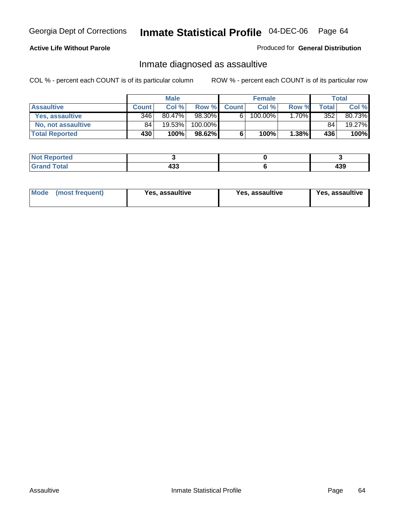### **Active Life Without Parole**

#### Produced for **General Distribution**

### Inmate diagnosed as assaultive

|                       | <b>Male</b>  |           |         | <b>Female</b> |         |          | Total |        |
|-----------------------|--------------|-----------|---------|---------------|---------|----------|-------|--------|
| <b>Assaultive</b>     | <b>Count</b> | Col %     | Row %   | <b>Count</b>  | Col %   | Row %    | Total | Col %  |
| Yes, assaultive       | 346          | $80.47\%$ | 98.30%  | 6             | 100.00% | $1.70\%$ | 352   | 80.73% |
| No. not assaultive    | 84           | 19.53%    | 100.00% |               |         |          | 84    | 19.27% |
| <b>Total Reported</b> | 430          | 100%      | 98.62%  | 6             | 100%    | $1.38\%$ | 436   | 100%   |

| <b>Not Reported</b> |      |     |
|---------------------|------|-----|
| <b>Total</b>        | ,,,  | ,,, |
| Grand               | - ၁၁ | − J |

| <b>Mode</b><br>Yes, assaultive<br>(most frequent) | Yes, assaultive | Yes, assaultive |
|---------------------------------------------------|-----------------|-----------------|
|---------------------------------------------------|-----------------|-----------------|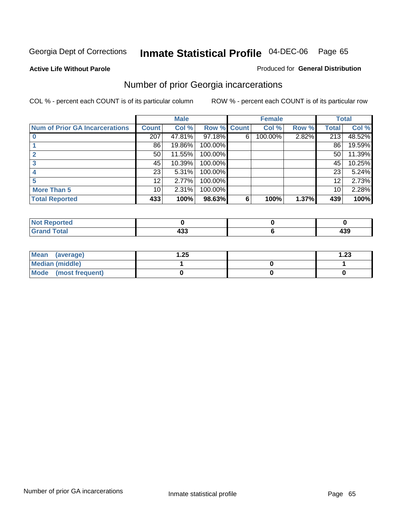**Active Life Without Parole** 

### Produced for **General Distribution**

### Number of prior Georgia incarcerations

|                                |              | <b>Male</b> |                    |   | <b>Female</b> |       |       | <b>Total</b> |
|--------------------------------|--------------|-------------|--------------------|---|---------------|-------|-------|--------------|
| Num of Prior GA Incarcerations | <b>Count</b> | Col %       | <b>Row % Count</b> |   | Col %         | Row % | Total | Col %        |
|                                | 207          | 47.81%      | 97.18%             | 6 | 100.00%       | 2.82% | 213   | 48.52%       |
|                                | 86           | 19.86%      | 100.00%            |   |               |       | 86    | 19.59%       |
|                                | 50           | 11.55%      | 100.00%            |   |               |       | 50    | 11.39%       |
|                                | 45           | 10.39%      | 100.00%            |   |               |       | 45    | 10.25%       |
|                                | 23           | 5.31%       | 100.00%            |   |               |       | 23    | 5.24%        |
|                                | 12           | 2.77%       | 100.00%            |   |               |       | 12    | 2.73%        |
| <b>More Than 5</b>             | 10           | 2.31%       | 100.00%            |   |               |       | 10    | 2.28%        |
| <b>Total Reported</b>          | 433          | 100%        | 98.63%             | 6 | 100%          | 1.37% | 439   | 100%         |

| Reported<br>NOT                 |  |     |
|---------------------------------|--|-----|
| <b>otal</b><br>$\mathbf{v}$ and |  | 439 |

| Mean (average)       | .25 | $\overline{.23}$ |
|----------------------|-----|------------------|
| Median (middle)      |     |                  |
| Mode (most frequent) |     |                  |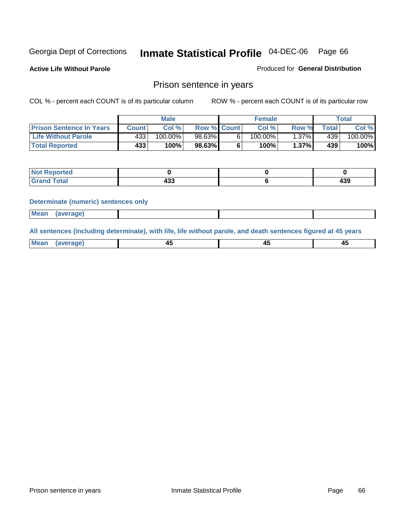**Active Life Without Parole** 

Produced for **General Distribution**

### Prison sentence in years

COL % - percent each COUNT is of its particular column ROW % - percent each COUNT is of its particular row

|                                 | <b>Male</b> |            |                    | <b>Female</b> |            |       | Total            |         |
|---------------------------------|-------------|------------|--------------------|---------------|------------|-------|------------------|---------|
| <b>Prison Sentence In Years</b> | Count       | Col %      | <b>Row % Count</b> |               | Col %      | Row % | Total            | Col %   |
| <b>Life Without Parole</b>      | 433'        | $100.00\%$ | 98.63%             |               | $100.00\%$ | ا37%. | 439 <sup>1</sup> | 100.00% |
| <b>Total Reported</b>           | 433         | 100%       | 98.63%             |               | 100%       | 1.37% | 439'             | 100%    |

| <b>eported</b>  |   |      |
|-----------------|---|------|
| <b>Total</b>    | . | A ממ |
| $\mathsf{C}$ mu | . | 433  |

#### **Determinate (numeric) sentences only**

|--|

**All sentences (including determinate), with life, life without parole, and death sentences figured at 45 years**

| Me           |             |        |              |
|--------------|-------------|--------|--------------|
| mе<br>.<br>. | ᠇<br>$\sim$ | $\sim$ | т.<br>$\sim$ |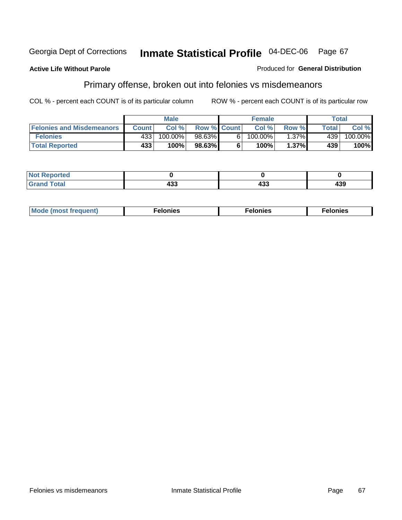#### **Active Life Without Parole**

#### Produced for **General Distribution**

# Primary offense, broken out into felonies vs misdemeanors

|                                  | <b>Male</b>  |         |                    | <b>Female</b> |         |          | Total  |            |
|----------------------------------|--------------|---------|--------------------|---------------|---------|----------|--------|------------|
| <b>Felonies and Misdemeanors</b> | <b>Count</b> | Col%    | <b>Row % Count</b> |               | Col%    | Row %    | Total. | Col %      |
| <b>Felonies</b>                  | 433          | 100.00% | 98.63%             | 61            | 100.00% | $1.37\%$ | 439    | $100.00\%$ |
| <b>Total Reported</b>            | 433'         | 100%    | $98.63\%$          |               | 100%    | 1.37%    | 439    | 100%       |

| rted<br>NO:<br>$\sim$ |            |           |     |
|-----------------------|------------|-----------|-----|
| $\sim$                | ---<br>IJJ | ,,,<br>יט | 439 |

| M <sub>0</sub><br>. | צאור<br>. | . |
|---------------------|-----------|---|
|---------------------|-----------|---|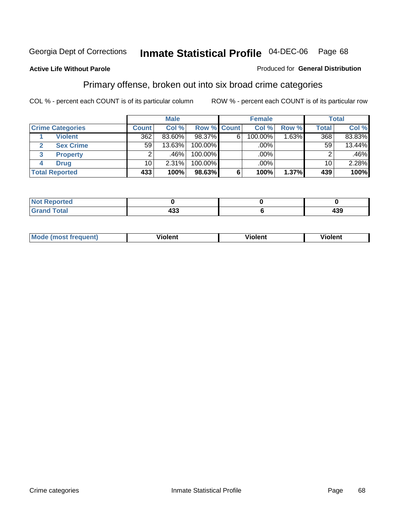#### **Active Life Without Parole**

#### Produced for **General Distribution**

### Primary offense, broken out into six broad crime categories

|   |                         | <b>Male</b>     |          | <b>Female</b>      |   |         | Total  |                 |         |
|---|-------------------------|-----------------|----------|--------------------|---|---------|--------|-----------------|---------|
|   | <b>Crime Categories</b> | <b>Count</b>    | Col %    | <b>Row % Count</b> |   | Col %   | Row %  | <b>Total</b>    | Col %   |
|   | <b>Violent</b>          | 362             | 83.60%   | 98.37%             | 6 | 100.00% | 1.63%┃ | 368             | 83.83%  |
| 2 | <b>Sex Crime</b>        | 59              | 13.63%   | 100.00%            |   | .00%    |        | 59              | 13.44%  |
| 3 | <b>Property</b>         | 2               | .46%     | 100.00%            |   | .00%    |        |                 | $.46\%$ |
| 4 | <b>Drug</b>             | 10 <sup>1</sup> | $2.31\%$ | $100.00\%$         |   | $.00\%$ |        | 10 <sup>1</sup> | 2.28%   |
|   | <b>Total Reported</b>   | 433             | 100%     | 98.63%             | 6 | 100%    | 1.37%  | 439             | 100%    |

| السائدات | .<br>TJJ<br>$ -$ | 439 |
|----------|------------------|-----|

| <b>Mode</b><br>frequent)<br>ns<br>$\cdots$ | - --<br><b>Tolent</b> | <br>Violent | --<br>Violent |
|--------------------------------------------|-----------------------|-------------|---------------|
|                                            |                       |             |               |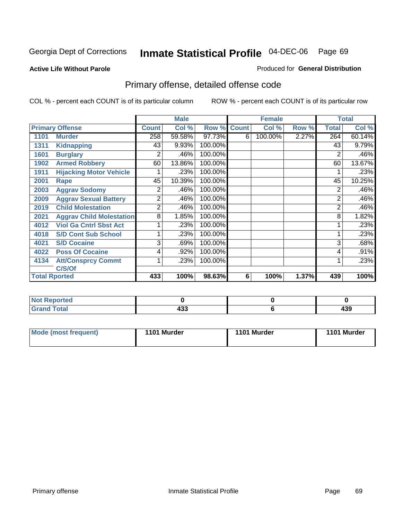#### **Active Life Without Parole**

#### Produced for **General Distribution**

# Primary offense, detailed offense code

|      |                                 |              | <b>Male</b> |             |   | <b>Female</b> |       |              | <b>Total</b> |
|------|---------------------------------|--------------|-------------|-------------|---|---------------|-------|--------------|--------------|
|      | <b>Primary Offense</b>          | <b>Count</b> | Col %       | Row % Count |   | Col %         | Row % | <b>Total</b> | Col %        |
| 1101 | <b>Murder</b>                   | 258          | 59.58%      | 97.73%      | 6 | 100.00%       | 2.27% | 264          | 60.14%       |
| 1311 | <b>Kidnapping</b>               | 43           | 9.93%       | 100.00%     |   |               |       | 43           | 9.79%        |
| 1601 | <b>Burglary</b>                 | 2            | .46%        | 100.00%     |   |               |       | 2            | .46%         |
| 1902 | <b>Armed Robbery</b>            | 60           | 13.86%      | 100.00%     |   |               |       | 60           | 13.67%       |
| 1911 | <b>Hijacking Motor Vehicle</b>  |              | .23%        | 100.00%     |   |               |       |              | .23%         |
| 2001 | Rape                            | 45           | 10.39%      | 100.00%     |   |               |       | 45           | 10.25%       |
| 2003 | <b>Aggrav Sodomy</b>            | 2            | .46%        | 100.00%     |   |               |       | 2            | .46%         |
| 2009 | <b>Aggrav Sexual Battery</b>    | 2            | .46%        | 100.00%     |   |               |       | 2            | .46%         |
| 2019 | <b>Child Molestation</b>        | 2            | .46%        | 100.00%     |   |               |       | 2            | .46%         |
| 2021 | <b>Aggrav Child Molestation</b> | 8            | 1.85%       | 100.00%     |   |               |       | 8            | 1.82%        |
| 4012 | <b>Viol Ga Cntrl Sbst Act</b>   |              | .23%        | 100.00%     |   |               |       |              | .23%         |
| 4018 | <b>S/D Cont Sub School</b>      |              | .23%        | 100.00%     |   |               |       |              | .23%         |
| 4021 | <b>S/D Cocaine</b>              | 3            | .69%        | 100.00%     |   |               |       | 3            | .68%         |
| 4022 | <b>Poss Of Cocaine</b>          | 4            | .92%        | 100.00%     |   |               |       | 4            | .91%         |
| 4134 | <b>Att/Consprcy Commt</b>       | 1            | .23%        | 100.00%     |   |               |       |              | .23%         |
|      | C/S/Of                          |              |             |             |   |               |       |              |              |
|      | <b>Total Rported</b>            | 433          | 100%        | 98.63%      | 6 | 100%          | 1.37% | 439          | 100%         |

| Reported<br>ומשו |               |     |
|------------------|---------------|-----|
| <b>Total</b>     | $\sim$ $\sim$ |     |
| $\sim$ .         | 499           | 433 |

| Mode (most frequent) | 1101 Murder | 1101 Murder | 1101 Murder |
|----------------------|-------------|-------------|-------------|
|                      |             |             |             |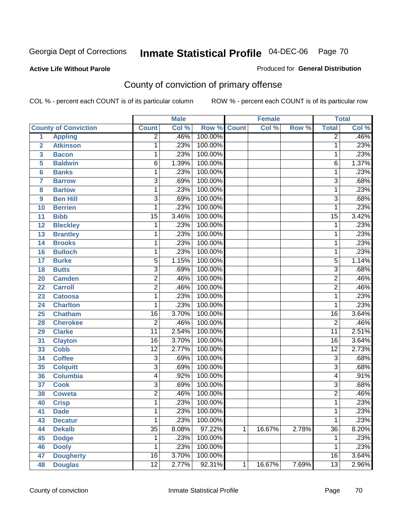**Active Life Without Parole** 

Produced for **General Distribution**

# County of conviction of primary offense

|                         |                             |                 | <b>Male</b> |                    |              | <b>Female</b> |       |                 | <b>Total</b> |
|-------------------------|-----------------------------|-----------------|-------------|--------------------|--------------|---------------|-------|-----------------|--------------|
|                         | <b>County of Conviction</b> | <b>Count</b>    | Col %       | <b>Row % Count</b> |              | Col %         | Row % | <b>Total</b>    | Col %        |
| 1                       | <b>Appling</b>              | $\overline{2}$  | .46%        | 100.00%            |              |               |       | $\overline{2}$  | .46%         |
| $\overline{2}$          | <b>Atkinson</b>             | 1               | .23%        | 100.00%            |              |               |       | 1               | .23%         |
| $\overline{\mathbf{3}}$ | <b>Bacon</b>                | 1               | .23%        | 100.00%            |              |               |       | 1               | .23%         |
| 5                       | <b>Baldwin</b>              | $\overline{6}$  | 1.39%       | 100.00%            |              |               |       | 6               | 1.37%        |
| 6                       | <b>Banks</b>                | 1               | .23%        | 100.00%            |              |               |       | 1               | .23%         |
| $\overline{7}$          | <b>Barrow</b>               | $\overline{3}$  | .69%        | 100.00%            |              |               |       | $\overline{3}$  | .68%         |
| 8                       | <b>Bartow</b>               | 1               | .23%        | 100.00%            |              |               |       | $\mathbf 1$     | .23%         |
| 9                       | <b>Ben Hill</b>             | 3               | .69%        | 100.00%            |              |               |       | $\overline{3}$  | .68%         |
| 10                      | <b>Berrien</b>              | 1               | .23%        | 100.00%            |              |               |       | 1               | .23%         |
| 11                      | <b>Bibb</b>                 | $\overline{15}$ | 3.46%       | 100.00%            |              |               |       | $\overline{15}$ | 3.42%        |
| 12                      | <b>Bleckley</b>             | 1               | .23%        | 100.00%            |              |               |       | $\mathbf 1$     | .23%         |
| 13                      | <b>Brantley</b>             | 1               | .23%        | 100.00%            |              |               |       | 1               | .23%         |
| $\overline{14}$         | <b>Brooks</b>               | 1               | .23%        | 100.00%            |              |               |       | 1               | .23%         |
| 16                      | <b>Bulloch</b>              | 1               | .23%        | 100.00%            |              |               |       | 1               | .23%         |
| 17                      | <b>Burke</b>                | 5               | 1.15%       | 100.00%            |              |               |       | 5               | 1.14%        |
| 18                      | <b>Butts</b>                | $\overline{3}$  | .69%        | 100.00%            |              |               |       | $\overline{3}$  | .68%         |
| 20                      | <b>Camden</b>               | $\overline{2}$  | .46%        | 100.00%            |              |               |       | $\overline{2}$  | .46%         |
| 22                      | <b>Carroll</b>              | $\overline{2}$  | .46%        | 100.00%            |              |               |       | $\overline{2}$  | .46%         |
| 23                      | <b>Catoosa</b>              | 1               | .23%        | 100.00%            |              |               |       | 1               | .23%         |
| 24                      | <b>Charlton</b>             | 1               | .23%        | 100.00%            |              |               |       | 1               | .23%         |
| 25                      | <b>Chatham</b>              | $\overline{16}$ | 3.70%       | 100.00%            |              |               |       | $\overline{16}$ | 3.64%        |
| 28                      | <b>Cherokee</b>             | $\overline{2}$  | .46%        | 100.00%            |              |               |       | $\overline{2}$  | .46%         |
| 29                      | <b>Clarke</b>               | $\overline{11}$ | 2.54%       | 100.00%            |              |               |       | $\overline{11}$ | 2.51%        |
| 31                      | <b>Clayton</b>              | $\overline{16}$ | 3.70%       | 100.00%            |              |               |       | 16              | 3.64%        |
| 33                      | <b>Cobb</b>                 | $\overline{12}$ | 2.77%       | 100.00%            |              |               |       | $\overline{12}$ | 2.73%        |
| 34                      | <b>Coffee</b>               | 3               | .69%        | 100.00%            |              |               |       | $\overline{3}$  | .68%         |
| 35                      | <b>Colquitt</b>             | $\overline{3}$  | .69%        | 100.00%            |              |               |       | $\overline{3}$  | .68%         |
| 36                      | <b>Columbia</b>             | 4               | .92%        | 100.00%            |              |               |       | 4               | .91%         |
| 37                      | <b>Cook</b>                 | $\overline{3}$  | .69%        | 100.00%            |              |               |       | $\overline{3}$  | .68%         |
| 38                      | <b>Coweta</b>               | $\overline{2}$  | .46%        | 100.00%            |              |               |       | $\overline{2}$  | .46%         |
| 40                      | <b>Crisp</b>                | 1               | .23%        | 100.00%            |              |               |       | 1               | .23%         |
| 41                      | <b>Dade</b>                 | 1               | .23%        | 100.00%            |              |               |       | 1               | .23%         |
| 43                      | <b>Decatur</b>              | $\mathbf{1}$    | .23%        | 100.00%            |              |               |       | 1               | .23%         |
| 44                      | <b>Dekalb</b>               | $\overline{35}$ | 8.08%       | 97.22%             | $\mathbf{1}$ | 16.67%        | 2.78% | $\overline{36}$ | 8.20%        |
| 45                      | <b>Dodge</b>                | 1               | .23%        | 100.00%            |              |               |       | 1               | .23%         |
| 46                      | <b>Dooly</b>                | 1               | .23%        | 100.00%            |              |               |       | 1               | .23%         |
| 47                      | <b>Dougherty</b>            | $\overline{16}$ | 3.70%       | 100.00%            |              |               |       | 16              | 3.64%        |
| 48                      | <b>Douglas</b>              | $\overline{12}$ | 2.77%       | 92.31%             | $\mathbf 1$  | 16.67%        | 7.69% | $\overline{13}$ | 2.96%        |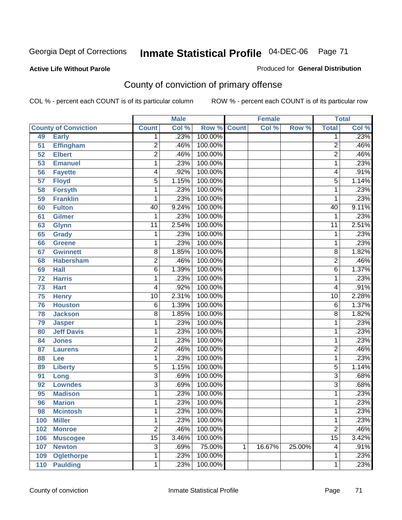#### **Active Life Without Parole**

#### Produced for **General Distribution**

# County of conviction of primary offense

|     |                             |                           | <b>Male</b> |                    |   | <b>Female</b> |        |                 | <b>Total</b> |
|-----|-----------------------------|---------------------------|-------------|--------------------|---|---------------|--------|-----------------|--------------|
|     | <b>County of Conviction</b> | <b>Count</b>              | Col %       | <b>Row % Count</b> |   | Col %         | Row %  | <b>Total</b>    | Col %        |
| 49  | <b>Early</b>                | 1                         | .23%        | 100.00%            |   |               |        | 1               | .23%         |
| 51  | <b>Effingham</b>            | $\overline{2}$            | .46%        | 100.00%            |   |               |        | $\overline{2}$  | .46%         |
| 52  | <b>Elbert</b>               | $\overline{2}$            | .46%        | 100.00%            |   |               |        | $\overline{2}$  | .46%         |
| 53  | <b>Emanuel</b>              | 1                         | .23%        | 100.00%            |   |               |        | 1               | .23%         |
| 56  | <b>Fayette</b>              | 4                         | .92%        | 100.00%            |   |               |        | 4               | .91%         |
| 57  | <b>Floyd</b>                | 5                         | 1.15%       | 100.00%            |   |               |        | 5               | 1.14%        |
| 58  | <b>Forsyth</b>              | 1                         | .23%        | 100.00%            |   |               |        | 1               | .23%         |
| 59  | <b>Franklin</b>             | 1                         | .23%        | 100.00%            |   |               |        | 1               | .23%         |
| 60  | <b>Fulton</b>               | 40                        | 9.24%       | 100.00%            |   |               |        | 40              | 9.11%        |
| 61  | <b>Gilmer</b>               | 1                         | .23%        | 100.00%            |   |               |        | 1               | .23%         |
| 63  | <b>Glynn</b>                | $\overline{11}$           | 2.54%       | 100.00%            |   |               |        | $\overline{11}$ | 2.51%        |
| 65  | <b>Grady</b>                | 1                         | .23%        | 100.00%            |   |               |        | 1               | .23%         |
| 66  | <b>Greene</b>               | 1                         | .23%        | 100.00%            |   |               |        | 1               | .23%         |
| 67  | <b>Gwinnett</b>             | $\overline{8}$            | 1.85%       | 100.00%            |   |               |        | 8               | 1.82%        |
| 68  | <b>Habersham</b>            | $\overline{2}$            | .46%        | 100.00%            |   |               |        | $\overline{2}$  | .46%         |
| 69  | <b>Hall</b>                 | $\overline{6}$            | 1.39%       | 100.00%            |   |               |        | 6               | 1.37%        |
| 72  | <b>Harris</b>               | 1                         | .23%        | 100.00%            |   |               |        | 1               | .23%         |
| 73  | <b>Hart</b>                 | 4                         | .92%        | 100.00%            |   |               |        | 4               | .91%         |
| 75  | <b>Henry</b>                | $\overline{10}$           | 2.31%       | 100.00%            |   |               |        | 10              | 2.28%        |
| 76  | <b>Houston</b>              | 6                         | 1.39%       | 100.00%            |   |               |        | 6               | 1.37%        |
| 78  | <b>Jackson</b>              | $\overline{8}$            | 1.85%       | 100.00%            |   |               |        | 8               | 1.82%        |
| 79  | <b>Jasper</b>               | 1                         | .23%        | 100.00%            |   |               |        | 1               | .23%         |
| 80  | <b>Jeff Davis</b>           | 1                         | .23%        | 100.00%            |   |               |        | 1               | .23%         |
| 84  | <b>Jones</b>                | 1                         | .23%        | 100.00%            |   |               |        | 1               | .23%         |
| 87  | <b>Laurens</b>              | $\overline{2}$            | .46%        | 100.00%            |   |               |        | 2               | .46%         |
| 88  | Lee                         | 1                         | .23%        | 100.00%            |   |               |        | 1               | .23%         |
| 89  | <b>Liberty</b>              | $\overline{5}$            | 1.15%       | 100.00%            |   |               |        | 5               | 1.14%        |
| 91  | Long                        | $\overline{3}$            | .69%        | 100.00%            |   |               |        | 3               | .68%         |
| 92  | <b>Lowndes</b>              | $\overline{\overline{3}}$ | .69%        | 100.00%            |   |               |        | $\overline{3}$  | .68%         |
| 95  | <b>Madison</b>              | 1                         | .23%        | 100.00%            |   |               |        | 1               | .23%         |
| 96  | <b>Marion</b>               | 1                         | .23%        | 100.00%            |   |               |        | 1               | .23%         |
| 98  | <b>Mcintosh</b>             | 1                         | .23%        | 100.00%            |   |               |        | 1               | .23%         |
| 100 | <b>Miller</b>               | 1                         | .23%        | 100.00%            |   |               |        | 1               | .23%         |
| 102 | <b>Monroe</b>               | $\overline{2}$            | .46%        | 100.00%            |   |               |        | $\overline{2}$  | .46%         |
| 106 | <b>Muscogee</b>             | $\overline{15}$           | 3.46%       | 100.00%            |   |               |        | $\overline{15}$ | 3.42%        |
| 107 | <b>Newton</b>               | $\overline{3}$            | .69%        | 75.00%             | 1 | 16.67%        | 25.00% | 4               | .91%         |
| 109 | <b>Oglethorpe</b>           | 1                         | .23%        | 100.00%            |   |               |        | 1               | .23%         |
| 110 | <b>Paulding</b>             | $\mathbf{1}$              | .23%        | 100.00%            |   |               |        | 1               | .23%         |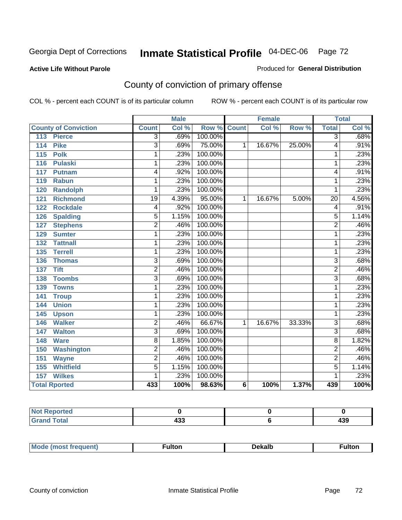#### **Active Life Without Parole**

#### Produced for **General Distribution**

# County of conviction of primary offense

|                             |                           | <b>Male</b> |                    |                | <b>Female</b> |        |                 | <b>Total</b> |
|-----------------------------|---------------------------|-------------|--------------------|----------------|---------------|--------|-----------------|--------------|
| <b>County of Conviction</b> | <b>Count</b>              | Col %       | <b>Row % Count</b> |                | Col %         | Row %  | <b>Total</b>    | Col %        |
| 113<br><b>Pierce</b>        | 3                         | .69%        | 100.00%            |                |               |        | $\overline{3}$  | .68%         |
| <b>Pike</b><br>114          | $\overline{3}$            | .69%        | 75.00%             | 1              | 16.67%        | 25.00% | 4               | .91%         |
| <b>Polk</b><br>115          | 1                         | .23%        | 100.00%            |                |               |        | 1               | .23%         |
| 116<br><b>Pulaski</b>       | 1                         | .23%        | 100.00%            |                |               |        | 1               | .23%         |
| 117<br><b>Putnam</b>        | 4                         | .92%        | 100.00%            |                |               |        | 4               | .91%         |
| <b>Rabun</b><br>119         | 1                         | .23%        | 100.00%            |                |               |        | 1               | .23%         |
| <b>Randolph</b><br>120      | 1                         | .23%        | 100.00%            |                |               |        | 1               | .23%         |
| 121<br><b>Richmond</b>      | $\overline{19}$           | 4.39%       | 95.00%             | 1              | 16.67%        | 5.00%  | $\overline{20}$ | 4.56%        |
| <b>Rockdale</b><br>122      | 4                         | .92%        | 100.00%            |                |               |        | 4               | .91%         |
| 126<br><b>Spalding</b>      | 5                         | 1.15%       | 100.00%            |                |               |        | 5               | 1.14%        |
| <b>Stephens</b><br>127      | $\overline{2}$            | .46%        | 100.00%            |                |               |        | $\overline{2}$  | .46%         |
| <b>Sumter</b><br>129        | 1                         | .23%        | 100.00%            |                |               |        | 1               | .23%         |
| 132<br><b>Tattnall</b>      | 1                         | .23%        | 100.00%            |                |               |        | 1               | .23%         |
| <b>Terrell</b><br>135       | 1                         | .23%        | 100.00%            |                |               |        | 1               | .23%         |
| 136<br><b>Thomas</b>        | 3                         | .69%        | 100.00%            |                |               |        | 3               | .68%         |
| <b>Tift</b><br>137          | $\overline{2}$            | .46%        | 100.00%            |                |               |        | 2               | .46%         |
| <b>Toombs</b><br>138        | $\overline{\overline{3}}$ | .69%        | 100.00%            |                |               |        | $\overline{3}$  | .68%         |
| 139<br><b>Towns</b>         | 1                         | .23%        | 100.00%            |                |               |        | 1               | .23%         |
| <b>Troup</b><br>141         | 1                         | .23%        | 100.00%            |                |               |        | 1               | .23%         |
| <b>Union</b><br>144         | 1                         | .23%        | 100.00%            |                |               |        | 1               | .23%         |
| 145<br><b>Upson</b>         | 1                         | .23%        | 100.00%            |                |               |        | 1               | .23%         |
| <b>Walker</b><br>146        | $\overline{2}$            | .46%        | 66.67%             | 1              | 16.67%        | 33.33% | $\overline{3}$  | .68%         |
| 147<br><b>Walton</b>        | $\overline{3}$            | .69%        | 100.00%            |                |               |        | $\overline{3}$  | .68%         |
| <b>Ware</b><br>148          | $\overline{8}$            | 1.85%       | 100.00%            |                |               |        | $\overline{8}$  | 1.82%        |
| <b>Washington</b><br>150    | $\overline{2}$            | .46%        | 100.00%            |                |               |        | $\overline{2}$  | .46%         |
| 151<br><b>Wayne</b>         | $\overline{2}$            | .46%        | 100.00%            |                |               |        | $\overline{2}$  | .46%         |
| <b>Whitfield</b><br>155     | $\overline{5}$            | 1.15%       | 100.00%            |                |               |        | $\overline{5}$  | 1.14%        |
| 157<br><b>Wilkes</b>        | 1                         | .23%        | 100.00%            |                |               |        | 1               | .23%         |
| <b>Total Rported</b>        | 433                       | 100%        | 98.63%             | $6\phantom{1}$ | 100%          | 1.37%  | 439             | 100%         |

| <b>Reported</b><br>N |                 |     |
|----------------------|-----------------|-----|
| Cotal                | $\overline{10}$ | 120 |
| _____                | 499             | 499 |

| M<br>_____ |  |  |
|------------|--|--|
|            |  |  |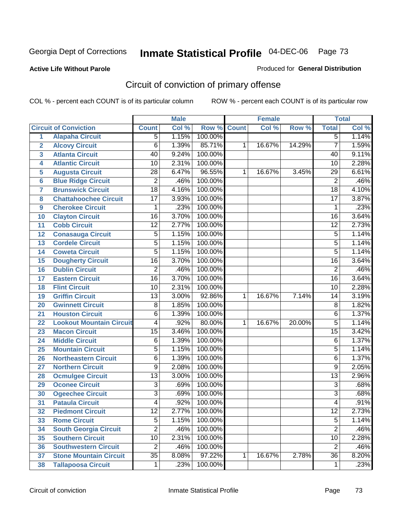#### **Active Life Without Parole**

#### Produced for **General Distribution**

# Circuit of conviction of primary offense

|                |                                 |                 | <b>Male</b> |         |              | <b>Female</b> |        |                 | <b>Total</b>               |
|----------------|---------------------------------|-----------------|-------------|---------|--------------|---------------|--------|-----------------|----------------------------|
|                | <b>Circuit of Conviction</b>    | <b>Count</b>    | Col %       | Row %   | <b>Count</b> | Col %         | Row %  | <b>Total</b>    | $\overline{\text{Col }^9}$ |
| 1              | <b>Alapaha Circuit</b>          | $\overline{5}$  | 1.15%       | 100.00% |              |               |        | $\overline{5}$  | 1.14%                      |
| $\overline{2}$ | <b>Alcovy Circuit</b>           | $\overline{6}$  | 1.39%       | 85.71%  | 1            | 16.67%        | 14.29% | $\overline{7}$  | 1.59%                      |
| 3              | <b>Atlanta Circuit</b>          | 40              | 9.24%       | 100.00% |              |               |        | 40              | 9.11%                      |
| 4              | <b>Atlantic Circuit</b>         | 10              | 2.31%       | 100.00% |              |               |        | $\overline{10}$ | 2.28%                      |
| 5              | <b>Augusta Circuit</b>          | 28              | 6.47%       | 96.55%  | 1            | 16.67%        | 3.45%  | 29              | 6.61%                      |
| 6              | <b>Blue Ridge Circuit</b>       | $\overline{2}$  | .46%        | 100.00% |              |               |        | $\overline{2}$  | .46%                       |
| $\overline{7}$ | <b>Brunswick Circuit</b>        | $\overline{18}$ | 4.16%       | 100.00% |              |               |        | $\overline{18}$ | 4.10%                      |
| 8              | <b>Chattahoochee Circuit</b>    | $\overline{17}$ | 3.93%       | 100.00% |              |               |        | $\overline{17}$ | 3.87%                      |
| 9              | <b>Cherokee Circuit</b>         | 1               | .23%        | 100.00% |              |               |        | 1               | .23%                       |
| 10             | <b>Clayton Circuit</b>          | $\overline{16}$ | 3.70%       | 100.00% |              |               |        | $\overline{16}$ | 3.64%                      |
| 11             | <b>Cobb Circuit</b>             | 12              | 2.77%       | 100.00% |              |               |        | $\overline{12}$ | 2.73%                      |
| 12             | <b>Conasauga Circuit</b>        | $\overline{5}$  | 1.15%       | 100.00% |              |               |        | $\overline{5}$  | 1.14%                      |
| 13             | <b>Cordele Circuit</b>          | $\overline{5}$  | 1.15%       | 100.00% |              |               |        | 5               | 1.14%                      |
| 14             | <b>Coweta Circuit</b>           | $\overline{5}$  | 1.15%       | 100.00% |              |               |        | $\overline{5}$  | 1.14%                      |
| 15             | <b>Dougherty Circuit</b>        | $\overline{16}$ | 3.70%       | 100.00% |              |               |        | $\overline{16}$ | 3.64%                      |
| 16             | <b>Dublin Circuit</b>           | $\overline{2}$  | .46%        | 100.00% |              |               |        | $\overline{2}$  | .46%                       |
| 17             | <b>Eastern Circuit</b>          | $\overline{16}$ | 3.70%       | 100.00% |              |               |        | $\overline{16}$ | 3.64%                      |
| 18             | <b>Flint Circuit</b>            | $\overline{10}$ | 2.31%       | 100.00% |              |               |        | 10              | 2.28%                      |
| 19             | <b>Griffin Circuit</b>          | 13              | 3.00%       | 92.86%  | 1            | 16.67%        | 7.14%  | 14              | 3.19%                      |
| 20             | <b>Gwinnett Circuit</b>         | $\overline{8}$  | 1.85%       | 100.00% |              |               |        | $\overline{8}$  | 1.82%                      |
| 21             | <b>Houston Circuit</b>          | 6               | 1.39%       | 100.00% |              |               |        | 6               | 1.37%                      |
| 22             | <b>Lookout Mountain Circuit</b> | 4               | .92%        | 80.00%  | 1            | 16.67%        | 20.00% | $\overline{5}$  | 1.14%                      |
| 23             | <b>Macon Circuit</b>            | $\overline{15}$ | 3.46%       | 100.00% |              |               |        | $\overline{15}$ | 3.42%                      |
| 24             | <b>Middle Circuit</b>           | 6               | 1.39%       | 100.00% |              |               |        | 6               | 1.37%                      |
| 25             | <b>Mountain Circuit</b>         | $\overline{5}$  | 1.15%       | 100.00% |              |               |        | 5               | 1.14%                      |
| 26             | <b>Northeastern Circuit</b>     | 6               | 1.39%       | 100.00% |              |               |        | 6               | 1.37%                      |
| 27             | <b>Northern Circuit</b>         | 9               | 2.08%       | 100.00% |              |               |        | 9               | 2.05%                      |
| 28             | <b>Ocmulgee Circuit</b>         | $\overline{13}$ | 3.00%       | 100.00% |              |               |        | $\overline{13}$ | 2.96%                      |
| 29             | <b>Oconee Circuit</b>           | 3               | .69%        | 100.00% |              |               |        | $\overline{3}$  | .68%                       |
| 30             | <b>Ogeechee Circuit</b>         | 3               | .69%        | 100.00% |              |               |        | $\overline{3}$  | .68%                       |
| 31             | <b>Pataula Circuit</b>          | 4               | .92%        | 100.00% |              |               |        | 4               | .91%                       |
| 32             | <b>Piedmont Circuit</b>         | 12              | 2.77%       | 100.00% |              |               |        | $\overline{12}$ | 2.73%                      |
| 33             | <b>Rome Circuit</b>             | $\overline{5}$  | 1.15%       | 100.00% |              |               |        | $\overline{5}$  | 1.14%                      |
| 34             | <b>South Georgia Circuit</b>    | $\overline{2}$  | .46%        | 100.00% |              |               |        | $\overline{2}$  | .46%                       |
| 35             | <b>Southern Circuit</b>         | 10              | 2.31%       | 100.00% |              |               |        | $\overline{10}$ | 2.28%                      |
| 36             | <b>Southwestern Circuit</b>     | $\overline{2}$  | .46%        | 100.00% |              |               |        | $\overline{2}$  | .46%                       |
| 37             | <b>Stone Mountain Circuit</b>   | $\overline{35}$ | 8.08%       | 97.22%  | 1            | 16.67%        | 2.78%  | $\overline{36}$ | 8.20%                      |
| 38             | <b>Tallapoosa Circuit</b>       | $\mathbf 1$     | .23%        | 100.00% |              |               |        | 1               | .23%                       |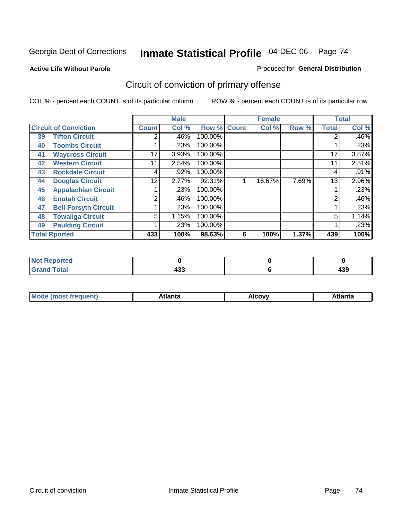**Active Life Without Parole** 

#### Produced for **General Distribution**

# Circuit of conviction of primary offense

|                              |                             |              | <b>Male</b> |             |   | <b>Female</b> |       |              | <b>Total</b> |
|------------------------------|-----------------------------|--------------|-------------|-------------|---|---------------|-------|--------------|--------------|
| <b>Circuit of Conviction</b> |                             | <b>Count</b> | Col %       | Row % Count |   | Col %         | Row % | <b>Total</b> | Col %        |
| 39                           | <b>Tifton Circuit</b>       | 2            | .46%        | 100.00%     |   |               |       |              | $.46\%$      |
| 40                           | <b>Toombs Circuit</b>       |              | .23%        | 100.00%     |   |               |       |              | .23%         |
| 41                           | <b>Waycross Circuit</b>     | 17           | 3.93%       | 100.00%     |   |               |       | 17           | 3.87%        |
| 42                           | <b>Western Circuit</b>      | 11           | 2.54%       | 100.00%     |   |               |       | 11           | 2.51%        |
| 43                           | <b>Rockdale Circuit</b>     | 4            | .92%        | 100.00%     |   |               |       | 4            | .91%         |
| 44                           | <b>Douglas Circuit</b>      | 12           | 2.77%       | 92.31%      |   | 16.67%        | 7.69% | 13           | 2.96%        |
| 45                           | <b>Appalachian Circuit</b>  |              | .23%        | 100.00%     |   |               |       |              | .23%         |
| 46                           | <b>Enotah Circuit</b>       | 2            | .46%        | 100.00%     |   |               |       | 2            | .46%         |
| 47                           | <b>Bell-Forsyth Circuit</b> |              | .23%        | 100.00%     |   |               |       |              | .23%         |
| 48                           | <b>Towaliga Circuit</b>     | 5            | 1.15%       | 100.00%     |   |               |       | 5            | 1.14%        |
| 49                           | <b>Paulding Circuit</b>     |              | .23%        | 100.00%     |   |               |       |              | .23%         |
|                              | <b>Total Rported</b>        | 433          | 100%        | 98.63%      | 6 | 100%          | 1.37% | 439          | 100%         |

| Reported<br>'NI L |     |     |
|-------------------|-----|-----|
| <b>otal</b>       | 400 | 120 |
| $\mathbf{v}$ and  | 499 | 433 |

| Mc<br>.+Inn+,<br>.<br>ำ∨∿<br>''Ilta<br>idlik<br><b>ALIE</b><br>$ -$ |  |  |
|---------------------------------------------------------------------|--|--|
|                                                                     |  |  |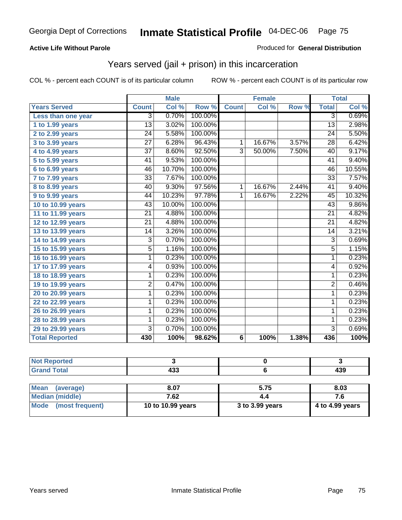#### **Active Life Without Parole**

#### Produced for **General Distribution**

## Years served (jail + prison) in this incarceration

|                       |                 | <b>Male</b> |         |                | <b>Female</b> |       |                 | <b>Total</b> |
|-----------------------|-----------------|-------------|---------|----------------|---------------|-------|-----------------|--------------|
| <b>Years Served</b>   | <b>Count</b>    | Col %       | Row %   | <b>Count</b>   | Col %         | Row % | <b>Total</b>    | Col %        |
| Less than one year    | 3               | 0.70%       | 100.00% |                |               |       | $\overline{3}$  | 0.69%        |
| 1 to 1.99 years       | 13              | 3.02%       | 100.00% |                |               |       | 13              | 2.98%        |
| 2 to 2.99 years       | $\overline{24}$ | 5.58%       | 100.00% |                |               |       | $\overline{24}$ | 5.50%        |
| 3 to 3.99 years       | 27              | 6.28%       | 96.43%  | 1              | 16.67%        | 3.57% | 28              | 6.42%        |
| 4 to 4.99 years       | 37              | 8.60%       | 92.50%  | 3              | 50.00%        | 7.50% | 40              | 9.17%        |
| 5 to 5.99 years       | $\overline{41}$ | 9.53%       | 100.00% |                |               |       | $\overline{41}$ | 9.40%        |
| 6 to 6.99 years       | 46              | 10.70%      | 100.00% |                |               |       | 46              | 10.55%       |
| 7 to 7.99 years       | $\overline{33}$ | 7.67%       | 100.00% |                |               |       | $\overline{33}$ | 7.57%        |
| 8 to 8.99 years       | 40              | 9.30%       | 97.56%  | $\mathbf{1}$   | 16.67%        | 2.44% | 41              | 9.40%        |
| 9 to 9.99 years       | 44              | 10.23%      | 97.78%  | $\mathbf{1}$   | 16.67%        | 2.22% | 45              | 10.32%       |
| 10 to 10.99 years     | 43              | 10.00%      | 100.00% |                |               |       | 43              | 9.86%        |
| 11 to 11.99 years     | $\overline{21}$ | 4.88%       | 100.00% |                |               |       | $\overline{21}$ | 4.82%        |
| 12 to 12.99 years     | 21              | 4.88%       | 100.00% |                |               |       | 21              | 4.82%        |
| 13 to 13.99 years     | 14              | 3.26%       | 100.00% |                |               |       | 14              | 3.21%        |
| 14 to 14.99 years     | 3               | 0.70%       | 100.00% |                |               |       | $\overline{3}$  | 0.69%        |
| 15 to 15.99 years     | 5               | 1.16%       | 100.00% |                |               |       | 5               | 1.15%        |
| 16 to 16.99 years     | 1               | 0.23%       | 100.00% |                |               |       | 1               | 0.23%        |
| 17 to 17.99 years     | 4               | 0.93%       | 100.00% |                |               |       | 4               | 0.92%        |
| 18 to 18.99 years     | 1               | 0.23%       | 100.00% |                |               |       | 1               | 0.23%        |
| 19 to 19.99 years     | 2               | 0.47%       | 100.00% |                |               |       | $\overline{2}$  | 0.46%        |
| 20 to 20.99 years     | 1               | 0.23%       | 100.00% |                |               |       | $\mathbf{1}$    | 0.23%        |
| 22 to 22.99 years     | 1               | 0.23%       | 100.00% |                |               |       | 1               | 0.23%        |
| 26 to 26.99 years     | 1               | 0.23%       | 100.00% |                |               |       | 1               | 0.23%        |
| 28 to 28.99 years     | 1               | 0.23%       | 100.00% |                |               |       | 1               | 0.23%        |
| 29 to 29.99 years     | $\overline{3}$  | 0.70%       | 100.00% |                |               |       | $\overline{3}$  | 0.69%        |
| <b>Total Reported</b> | 430             | 100%        | 98.62%  | $6\phantom{1}$ | 100%          | 1.38% | 436             | 100%         |

| <b>Not Reported</b>            |                   |                 |                 |
|--------------------------------|-------------------|-----------------|-----------------|
| <b>Grand Total</b>             | 433               |                 | 439             |
|                                |                   |                 |                 |
| <b>Mean</b><br>(average)       | 8.07              | 5.75            | 8.03            |
| <b>Median (middle)</b>         | 7.62              |                 | 7.6             |
| <b>Mode</b><br>(most frequent) | 10 to 10.99 years | 3 to 3.99 years | 4 to 4.99 years |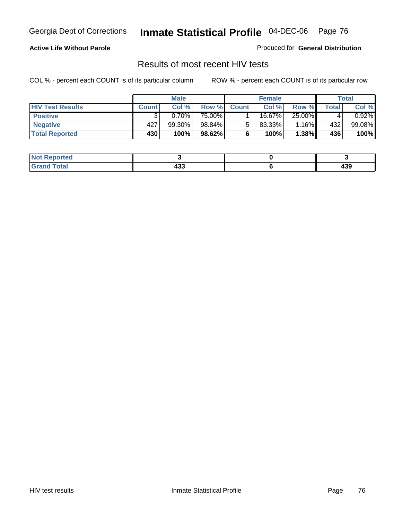#### **Active Life Without Parole**

Produced for **General Distribution**

## Results of most recent HIV tests

|                         |              | <b>Male</b> |        |              | <b>Female</b> |        |       | Total     |
|-------------------------|--------------|-------------|--------|--------------|---------------|--------|-------|-----------|
| <b>HIV Test Results</b> | <b>Count</b> | Col %       | Row %  | <b>Count</b> | Col %         | Row %  | Total | Col %     |
| <b>Positive</b>         |              | 0.70%       | 75.00% |              | 16.67%        | 25.00% |       | $0.92\%$  |
| <b>Negative</b>         | 427          | 99.30%      | 98.84% |              | $83.33\%$     | 1.16%  | 432   | $99.08\%$ |
| <b>Total Reported</b>   | 430          | 100%        | 98.62% |              | 100%          | 1.38%  | 436   | 100%      |

| <b>Not Reported</b> |                                 |         |
|---------------------|---------------------------------|---------|
| <b>Grand Total</b>  | $\overline{\phantom{a}}$<br>400 | <br>433 |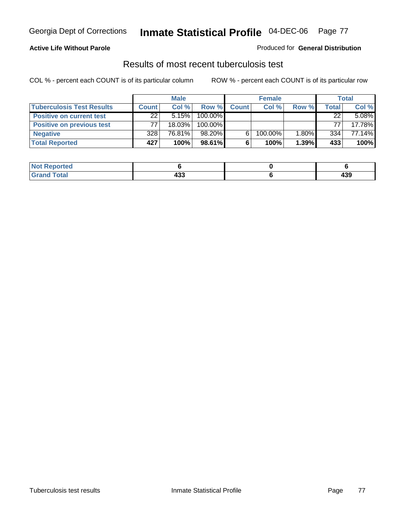#### **Active Life Without Parole**

#### Produced for **General Distribution**

### Results of most recent tuberculosis test

|                                  |              | <b>Male</b> |         |              | <b>Female</b> |          |       | Total  |
|----------------------------------|--------------|-------------|---------|--------------|---------------|----------|-------|--------|
| <b>Tuberculosis Test Results</b> | <b>Count</b> | Col%        | Row %   | <b>Count</b> | Col%          | Row %    | Total | Col %  |
| <b>Positive on current test</b>  | 22           | 5.15%       | 100.00% |              |               |          | 22    | 5.08%  |
| <b>Positive on previous test</b> | 77           | $18.03\%$   | 100.00% |              |               |          | 77    | 17.78% |
| <b>Negative</b>                  | 328          | 76.81%      | 98.20%  | 6            | 100.00%       | $1.80\%$ | 334   | 77.14% |
| <b>Total Reported</b>            | 427          | 100%        | 98.61%  | 6            | 100%          | 1.39%    | 433   | 100%   |

| <b>Not</b><br>. Reported |                 |            |
|--------------------------|-----------------|------------|
| <b>Total</b>             | $\cdots$<br>433 | 100<br>499 |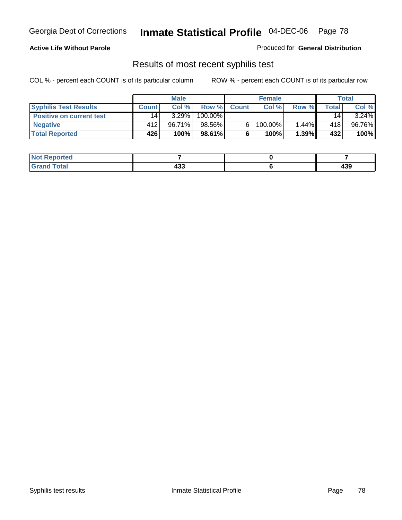### **Active Life Without Parole**

Produced for **General Distribution**

## Results of most recent syphilis test

|                                 |              | <b>Male</b> |         |              | <b>Female</b> |       |                 | Total  |
|---------------------------------|--------------|-------------|---------|--------------|---------------|-------|-----------------|--------|
| <b>Syphilis Test Results</b>    | <b>Count</b> | Col %       | Row %   | <b>Count</b> | Col %         | Row % | Total.          | Col %  |
| <b>Positive on current test</b> | 14           | 3.29%       | 100.00% |              |               |       | 14 <sub>1</sub> | 3.24%  |
| <b>Negative</b>                 | 412          | 96.71%      | 98.56%  |              | 100.00%       | 1.44% | 418             | 96.76% |
| <b>Total Reported</b>           | 426          | 100%        | 98.61%  |              | 100%          | 1.39% | 432             | 100%   |

| <b>Not Reported</b> |         |         |
|---------------------|---------|---------|
| <b>Grand Total</b>  | <br>400 | <br>493 |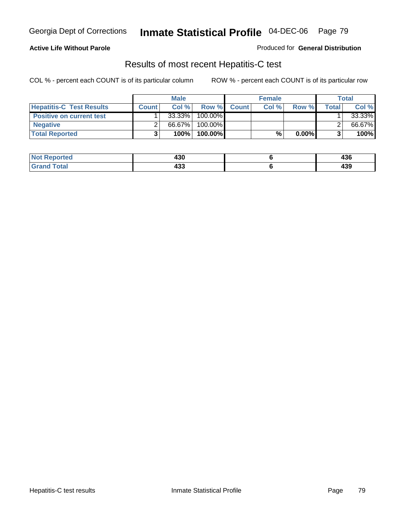### **Active Life Without Parole**

Produced for **General Distribution**

## Results of most recent Hepatitis-C test

|                                 |              | <b>Male</b> |         |             | <b>Female</b> |          |       | <b>Total</b> |
|---------------------------------|--------------|-------------|---------|-------------|---------------|----------|-------|--------------|
| <b>Hepatitis-C Test Results</b> | <b>Count</b> | Col%        |         | Row % Count | Col %         | Row %    | Total | Col %        |
| <b>Positive on current test</b> |              | 33.33%      | 100.00% |             |               |          |       | 33.33%       |
| <b>Negative</b>                 |              | 66.67%      | 100.00% |             |               |          |       | 66.67%       |
| <b>Total Reported</b>           |              | 100%        | 100.00% |             | %             | $0.00\%$ |       | 100%         |

| <b>Not Reported</b> | 430 | "^^<br>490 |
|---------------------|-----|------------|
| <b>Fotal</b>        |     | ,,,        |
| <b>Grat</b>         | 499 | 493        |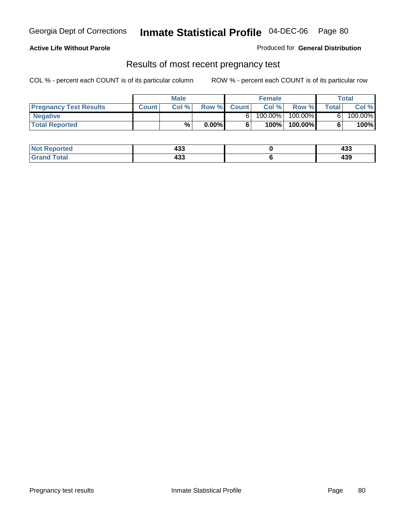### **Active Life Without Parole**

Produced for **General Distribution**

### Results of most recent pregnancy test

|                               | Male         |       |          | <b>Female</b> |         |            | Total |         |
|-------------------------------|--------------|-------|----------|---------------|---------|------------|-------|---------|
| <b>Pregnancy Test Results</b> | <b>Count</b> | Col % | Row %    | <b>Count</b>  | Col %   | Row %      | Total | Col %   |
| <b>Negative</b>               |              |       |          |               | 100.00% | $100.00\%$ |       | 100.00% |
| <b>Total Reported</b>         |              | %     | $0.00\%$ |               | 100%    | 100.00%    |       | 100%    |

| <b>Not Reported</b> | <br>433 | ,<br>400   |
|---------------------|---------|------------|
| <b>Grand Total</b>  | <br>4აა | ה ה<br>492 |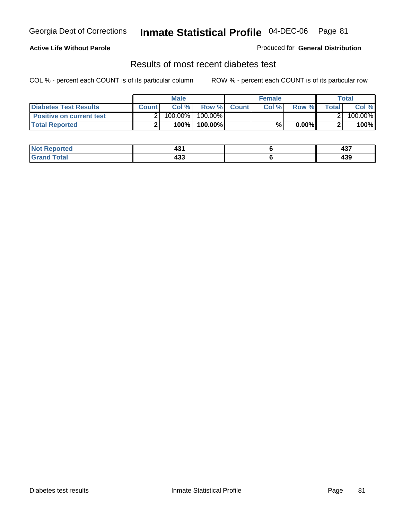### **Active Life Without Parole**

#### Produced for **General Distribution**

## Results of most recent diabetes test

|                                 |              | Male    |            |              | <b>Female</b> |          |              | Total   |
|---------------------------------|--------------|---------|------------|--------------|---------------|----------|--------------|---------|
| Diabetes Test Results           | <b>Count</b> | Col %   | Row %      | <b>Count</b> | Col %         | Row %I   | <b>Total</b> | Col %   |
| <b>Positive on current test</b> |              | 100.00% | $100.00\%$ |              |               |          |              | 100.00% |
| <b>Total Reported</b>           |              | 100%    | 100.00%    |              | %             | $0.00\%$ |              | 100%    |

| Not F<br>Reported  | ໍ່<br>∼ | 10 <sup>2</sup><br>701 |
|--------------------|---------|------------------------|
| <b>Grand Total</b> | <br>4აა | <br>492                |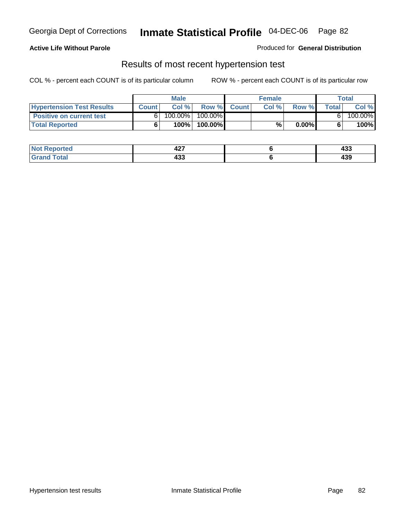#### **Active Life Without Parole**

#### Produced for **General Distribution**

### Results of most recent hypertension test

|                                  |              | <b>Male</b> |            |             | <b>Female</b> |          |       | <b>Total</b> |
|----------------------------------|--------------|-------------|------------|-------------|---------------|----------|-------|--------------|
| <b>Hypertension Test Results</b> | <b>Count</b> | Col %       |            | Row % Count | Col%          | Row %    | Total | Col %        |
| <b>Positive on current test</b>  |              | 100.00%     | $100.00\%$ |             |               |          |       | 100.00%      |
| <b>Total Reported</b>            |              | 100%        | 100.00%    |             | %             | $0.00\%$ |       | 100%         |

| <b>Reported</b> | "~<br>44 L | ,,,<br>433 |
|-----------------|------------|------------|
| <b>otal</b>     | ,,,        | "^^        |
| _____           | 499        | 493        |